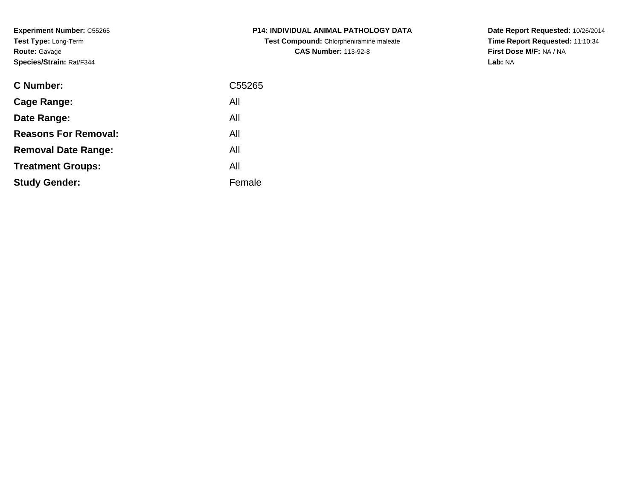**Experiment Number:** C55265**Test Type:** Long-Term**Route:** Gavage**Species/Strain:** Rat/F344

| <b>C Number:</b>            | C55265 |
|-----------------------------|--------|
| <b>Cage Range:</b>          | All    |
| Date Range:                 | All    |
| <b>Reasons For Removal:</b> | All    |
| <b>Removal Date Range:</b>  | All    |
| <b>Treatment Groups:</b>    | All    |
| <b>Study Gender:</b>        | Female |
|                             |        |

**P14: INDIVIDUAL ANIMAL PATHOLOGY DATATest Compound:** Chlorpheniramine maleate**CAS Number:** 113-92-8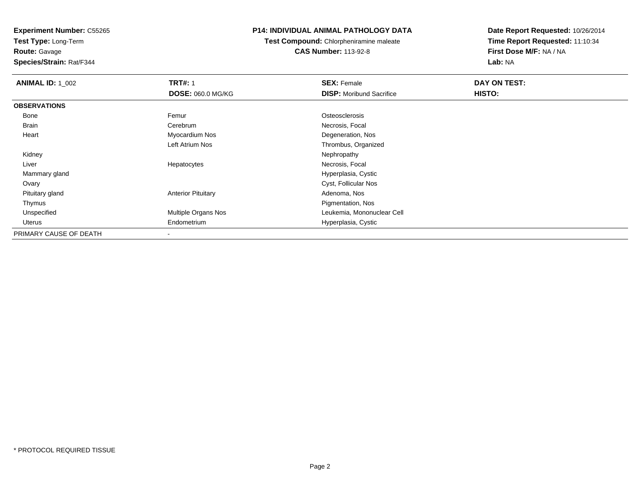**Test Type:** Long-Term

**Route:** Gavage

**Species/Strain:** Rat/F344

# **P14: INDIVIDUAL ANIMAL PATHOLOGY DATA**

**Test Compound:** Chlorpheniramine maleate**CAS Number:** 113-92-8

| <b>ANIMAL ID: 1 002</b> | <b>TRT#: 1</b>            | <b>SEX: Female</b>              | DAY ON TEST: |  |
|-------------------------|---------------------------|---------------------------------|--------------|--|
|                         | <b>DOSE: 060.0 MG/KG</b>  | <b>DISP:</b> Moribund Sacrifice | HISTO:       |  |
| <b>OBSERVATIONS</b>     |                           |                                 |              |  |
| Bone                    | Femur                     | Osteosclerosis                  |              |  |
| Brain                   | Cerebrum                  | Necrosis, Focal                 |              |  |
| Heart                   | Myocardium Nos            | Degeneration, Nos               |              |  |
|                         | Left Atrium Nos           | Thrombus, Organized             |              |  |
| Kidney                  |                           | Nephropathy                     |              |  |
| Liver                   | Hepatocytes               | Necrosis, Focal                 |              |  |
| Mammary gland           |                           | Hyperplasia, Cystic             |              |  |
| Ovary                   |                           | Cyst, Follicular Nos            |              |  |
| Pituitary gland         | <b>Anterior Pituitary</b> | Adenoma, Nos                    |              |  |
| Thymus                  |                           | Pigmentation, Nos               |              |  |
| Unspecified             | Multiple Organs Nos       | Leukemia, Mononuclear Cell      |              |  |
| Uterus                  | Endometrium               | Hyperplasia, Cystic             |              |  |
| PRIMARY CAUSE OF DEATH  | $\,$                      |                                 |              |  |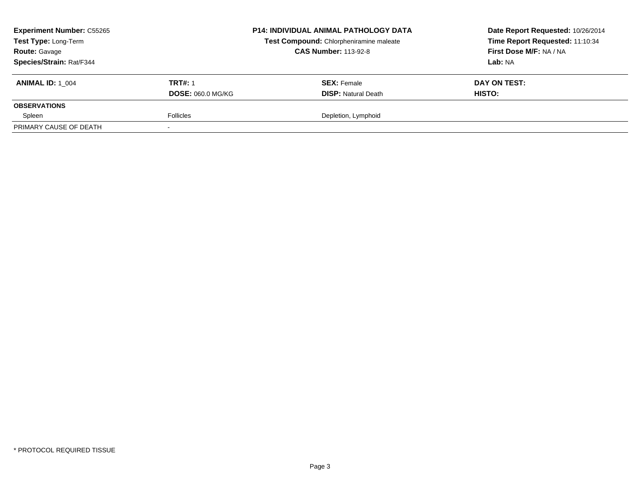| <b>Experiment Number: C55265</b><br>Test Type: Long-Term<br><b>Route: Gavage</b> |                          | <b>P14: INDIVIDUAL ANIMAL PATHOLOGY DATA</b><br>Test Compound: Chlorpheniramine maleate<br><b>CAS Number: 113-92-8</b> | Date Report Requested: 10/26/2014<br>Time Report Requested: 11:10:34<br>First Dose M/F: NA / NA |
|----------------------------------------------------------------------------------|--------------------------|------------------------------------------------------------------------------------------------------------------------|-------------------------------------------------------------------------------------------------|
| Species/Strain: Rat/F344                                                         |                          |                                                                                                                        | Lab: NA                                                                                         |
| <b>ANIMAL ID: 1 004</b>                                                          | <b>TRT#: 1</b>           | <b>SEX:</b> Female                                                                                                     | DAY ON TEST:                                                                                    |
|                                                                                  | <b>DOSE: 060.0 MG/KG</b> | <b>DISP:</b> Natural Death                                                                                             | <b>HISTO:</b>                                                                                   |
| <b>OBSERVATIONS</b>                                                              |                          |                                                                                                                        |                                                                                                 |
| Spleen                                                                           | <b>Follicles</b>         | Depletion, Lymphoid                                                                                                    |                                                                                                 |
| PRIMARY CAUSE OF DEATH                                                           |                          |                                                                                                                        |                                                                                                 |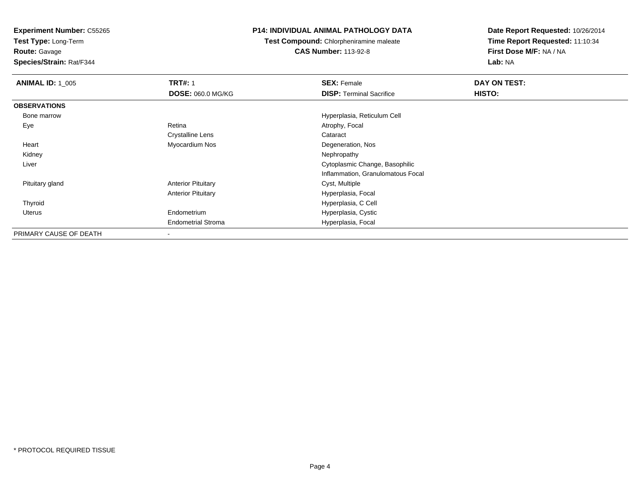**Test Type:** Long-Term

**Route:** Gavage

**Species/Strain:** Rat/F344

## **P14: INDIVIDUAL ANIMAL PATHOLOGY DATA**

**Test Compound:** Chlorpheniramine maleate**CAS Number:** 113-92-8

| <b>ANIMAL ID: 1 005</b> | <b>TRT#: 1</b>            | <b>SEX: Female</b>                | DAY ON TEST: |  |
|-------------------------|---------------------------|-----------------------------------|--------------|--|
|                         | <b>DOSE: 060.0 MG/KG</b>  | <b>DISP: Terminal Sacrifice</b>   | HISTO:       |  |
| <b>OBSERVATIONS</b>     |                           |                                   |              |  |
| Bone marrow             |                           | Hyperplasia, Reticulum Cell       |              |  |
| Eye                     | Retina                    | Atrophy, Focal                    |              |  |
|                         | <b>Crystalline Lens</b>   | Cataract                          |              |  |
| Heart                   | Myocardium Nos            | Degeneration, Nos                 |              |  |
| Kidney                  |                           | Nephropathy                       |              |  |
| Liver                   |                           | Cytoplasmic Change, Basophilic    |              |  |
|                         |                           | Inflammation, Granulomatous Focal |              |  |
| Pituitary gland         | <b>Anterior Pituitary</b> | Cyst, Multiple                    |              |  |
|                         | <b>Anterior Pituitary</b> | Hyperplasia, Focal                |              |  |
| Thyroid                 |                           | Hyperplasia, C Cell               |              |  |
| Uterus                  | Endometrium               | Hyperplasia, Cystic               |              |  |
|                         | <b>Endometrial Stroma</b> | Hyperplasia, Focal                |              |  |
| PRIMARY CAUSE OF DEATH  |                           |                                   |              |  |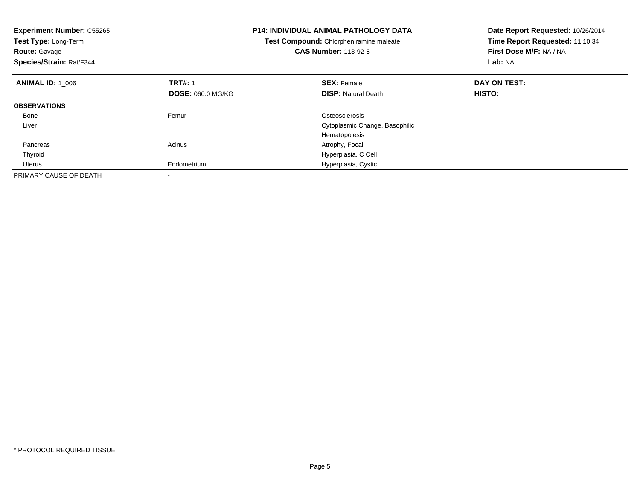| <b>Experiment Number: C55265</b><br>Test Type: Long-Term<br><b>Route: Gavage</b><br>Species/Strain: Rat/F344 |                          | <b>P14: INDIVIDUAL ANIMAL PATHOLOGY DATA</b><br>Test Compound: Chlorpheniramine maleate<br><b>CAS Number: 113-92-8</b> | Date Report Requested: 10/26/2014<br>Time Report Requested: 11:10:34<br>First Dose M/F: NA / NA<br>Lab: NA |
|--------------------------------------------------------------------------------------------------------------|--------------------------|------------------------------------------------------------------------------------------------------------------------|------------------------------------------------------------------------------------------------------------|
| <b>ANIMAL ID: 1 006</b>                                                                                      | <b>TRT#: 1</b>           | <b>SEX: Female</b>                                                                                                     | DAY ON TEST:                                                                                               |
|                                                                                                              | <b>DOSE: 060.0 MG/KG</b> | <b>DISP:</b> Natural Death                                                                                             | <b>HISTO:</b>                                                                                              |
| <b>OBSERVATIONS</b>                                                                                          |                          |                                                                                                                        |                                                                                                            |
| Bone                                                                                                         | Femur                    | Osteosclerosis                                                                                                         |                                                                                                            |
| Liver                                                                                                        |                          | Cytoplasmic Change, Basophilic                                                                                         |                                                                                                            |
|                                                                                                              |                          | Hematopoiesis                                                                                                          |                                                                                                            |
| Pancreas                                                                                                     | Acinus                   | Atrophy, Focal                                                                                                         |                                                                                                            |
| Thyroid                                                                                                      |                          | Hyperplasia, C Cell                                                                                                    |                                                                                                            |
| Uterus                                                                                                       | Endometrium              | Hyperplasia, Cystic                                                                                                    |                                                                                                            |
| PRIMARY CAUSE OF DEATH                                                                                       |                          |                                                                                                                        |                                                                                                            |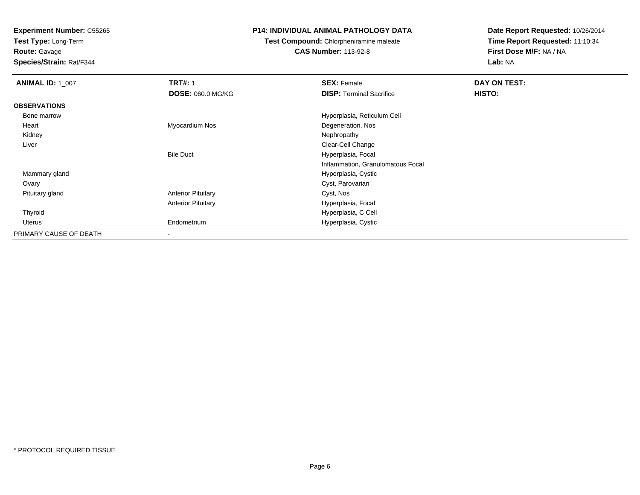**Test Type:** Long-Term

**Route:** Gavage

**Species/Strain:** Rat/F344

## **P14: INDIVIDUAL ANIMAL PATHOLOGY DATA**

**Test Compound:** Chlorpheniramine maleate

**CAS Number:** 113-92-8

| <b>ANIMAL ID: 1 007</b> | <b>TRT#: 1</b>            | <b>SEX: Female</b>                | DAY ON TEST: |
|-------------------------|---------------------------|-----------------------------------|--------------|
|                         | <b>DOSE: 060.0 MG/KG</b>  | <b>DISP: Terminal Sacrifice</b>   | HISTO:       |
| <b>OBSERVATIONS</b>     |                           |                                   |              |
| Bone marrow             |                           | Hyperplasia, Reticulum Cell       |              |
| Heart                   | Myocardium Nos            | Degeneration, Nos                 |              |
| Kidney                  |                           | Nephropathy                       |              |
| Liver                   |                           | Clear-Cell Change                 |              |
|                         | <b>Bile Duct</b>          | Hyperplasia, Focal                |              |
|                         |                           | Inflammation, Granulomatous Focal |              |
| Mammary gland           |                           | Hyperplasia, Cystic               |              |
| Ovary                   |                           | Cyst, Parovarian                  |              |
| Pituitary gland         | <b>Anterior Pituitary</b> | Cyst, Nos                         |              |
|                         | <b>Anterior Pituitary</b> | Hyperplasia, Focal                |              |
| Thyroid                 |                           | Hyperplasia, C Cell               |              |
| Uterus                  | Endometrium               | Hyperplasia, Cystic               |              |
| PRIMARY CAUSE OF DEATH  | $\blacksquare$            |                                   |              |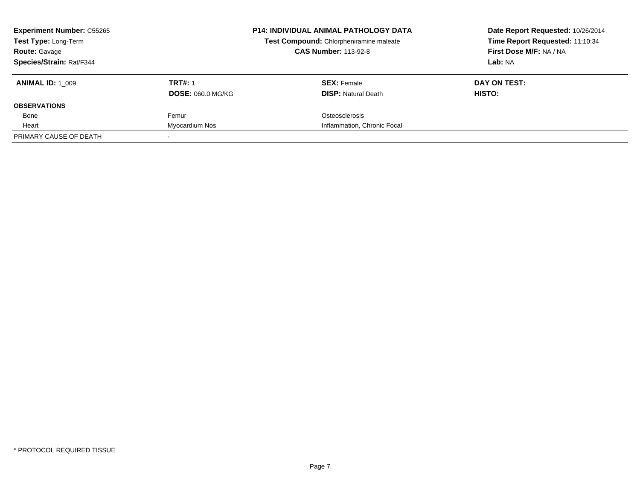| <b>Experiment Number: C55265</b> |                          | <b>P14: INDIVIDUAL ANIMAL PATHOLOGY DATA</b> | Date Report Requested: 10/26/2014 |
|----------------------------------|--------------------------|----------------------------------------------|-----------------------------------|
| Test Type: Long-Term             |                          | Test Compound: Chlorpheniramine maleate      | Time Report Requested: 11:10:34   |
| <b>Route: Gavage</b>             |                          | <b>CAS Number: 113-92-8</b>                  | First Dose M/F: NA / NA           |
| Species/Strain: Rat/F344         |                          |                                              | Lab: NA                           |
| <b>ANIMAL ID: 1 009</b>          | <b>TRT#: 1</b>           | <b>SEX: Female</b>                           | DAY ON TEST:                      |
|                                  | <b>DOSE: 060.0 MG/KG</b> | <b>DISP: Natural Death</b>                   | HISTO:                            |
| <b>OBSERVATIONS</b>              |                          |                                              |                                   |
| Bone                             | Femur                    | Osteosclerosis                               |                                   |
| Heart                            | Myocardium Nos           | Inflammation, Chronic Focal                  |                                   |
| PRIMARY CAUSE OF DEATH           |                          |                                              |                                   |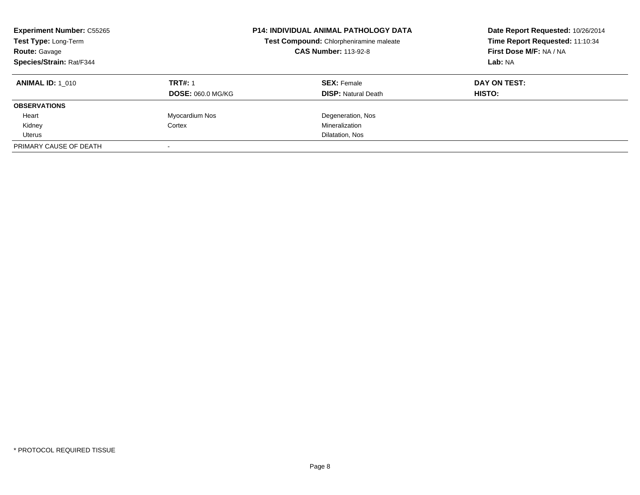| <b>Experiment Number: C55265</b><br>Test Type: Long-Term<br>Route: Gavage<br>Species/Strain: Rat/F344 |                          | <b>P14: INDIVIDUAL ANIMAL PATHOLOGY DATA</b><br>Test Compound: Chlorpheniramine maleate<br><b>CAS Number: 113-92-8</b> | Date Report Requested: 10/26/2014<br>Time Report Requested: 11:10:34<br>First Dose M/F: NA / NA<br>Lab: NA |
|-------------------------------------------------------------------------------------------------------|--------------------------|------------------------------------------------------------------------------------------------------------------------|------------------------------------------------------------------------------------------------------------|
| <b>ANIMAL ID: 1 010</b>                                                                               | <b>TRT#: 1</b>           | <b>SEX:</b> Female                                                                                                     | DAY ON TEST:                                                                                               |
|                                                                                                       | <b>DOSE: 060.0 MG/KG</b> | <b>DISP:</b> Natural Death                                                                                             | <b>HISTO:</b>                                                                                              |
| <b>OBSERVATIONS</b>                                                                                   |                          |                                                                                                                        |                                                                                                            |
| Heart                                                                                                 | Myocardium Nos           | Degeneration, Nos                                                                                                      |                                                                                                            |
| Kidney                                                                                                | Cortex                   | Mineralization                                                                                                         |                                                                                                            |
| Uterus                                                                                                |                          | Dilatation, Nos                                                                                                        |                                                                                                            |
| PRIMARY CAUSE OF DEATH                                                                                |                          |                                                                                                                        |                                                                                                            |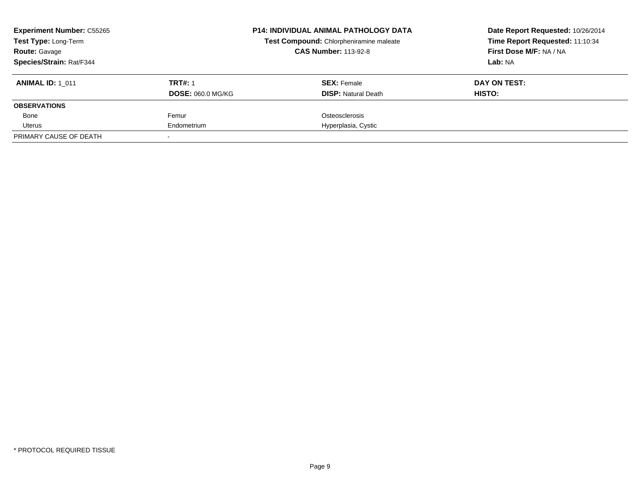| <b>Experiment Number: C55265</b><br><b>Test Type: Long-Term</b><br><b>Route: Gavage</b> |                          | <b>P14: INDIVIDUAL ANIMAL PATHOLOGY DATA</b><br>Test Compound: Chlorpheniramine maleate<br><b>CAS Number: 113-92-8</b> | Date Report Requested: 10/26/2014<br>Time Report Requested: 11:10:34<br>First Dose M/F: NA / NA |
|-----------------------------------------------------------------------------------------|--------------------------|------------------------------------------------------------------------------------------------------------------------|-------------------------------------------------------------------------------------------------|
| Species/Strain: Rat/F344                                                                |                          |                                                                                                                        | Lab: NA                                                                                         |
| <b>ANIMAL ID: 1 011</b>                                                                 | <b>TRT#: 1</b>           | <b>SEX: Female</b>                                                                                                     | DAY ON TEST:                                                                                    |
|                                                                                         | <b>DOSE: 060.0 MG/KG</b> | <b>DISP:</b> Natural Death                                                                                             | HISTO:                                                                                          |
| <b>OBSERVATIONS</b>                                                                     |                          |                                                                                                                        |                                                                                                 |
| Bone                                                                                    | Femur                    | Osteosclerosis                                                                                                         |                                                                                                 |
| Uterus                                                                                  | Endometrium              | Hyperplasia, Cystic                                                                                                    |                                                                                                 |
| PRIMARY CAUSE OF DEATH                                                                  |                          |                                                                                                                        |                                                                                                 |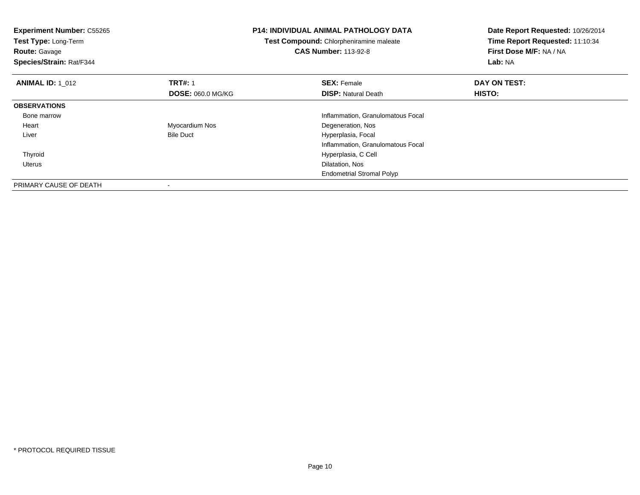| <b>Experiment Number: C55265</b><br>Test Type: Long-Term<br><b>Route: Gavage</b><br>Species/Strain: Rat/F344 |                          | <b>P14: INDIVIDUAL ANIMAL PATHOLOGY DATA</b><br>Test Compound: Chlorpheniramine maleate<br><b>CAS Number: 113-92-8</b> | Date Report Requested: 10/26/2014<br>Time Report Requested: 11:10:34<br>First Dose M/F: NA / NA<br>Lab: NA |
|--------------------------------------------------------------------------------------------------------------|--------------------------|------------------------------------------------------------------------------------------------------------------------|------------------------------------------------------------------------------------------------------------|
| <b>ANIMAL ID: 1 012</b>                                                                                      | <b>TRT#: 1</b>           | <b>SEX: Female</b>                                                                                                     | DAY ON TEST:                                                                                               |
|                                                                                                              | <b>DOSE: 060.0 MG/KG</b> | <b>DISP:</b> Natural Death                                                                                             | HISTO:                                                                                                     |
| <b>OBSERVATIONS</b>                                                                                          |                          |                                                                                                                        |                                                                                                            |
| Bone marrow                                                                                                  |                          | Inflammation, Granulomatous Focal                                                                                      |                                                                                                            |
| Heart                                                                                                        | Myocardium Nos           | Degeneration, Nos                                                                                                      |                                                                                                            |
| Liver                                                                                                        | <b>Bile Duct</b>         | Hyperplasia, Focal                                                                                                     |                                                                                                            |
|                                                                                                              |                          | Inflammation, Granulomatous Focal                                                                                      |                                                                                                            |
| Thyroid                                                                                                      |                          | Hyperplasia, C Cell                                                                                                    |                                                                                                            |
| Uterus                                                                                                       |                          | Dilatation, Nos                                                                                                        |                                                                                                            |
|                                                                                                              |                          | <b>Endometrial Stromal Polyp</b>                                                                                       |                                                                                                            |
| PRIMARY CAUSE OF DEATH                                                                                       |                          |                                                                                                                        |                                                                                                            |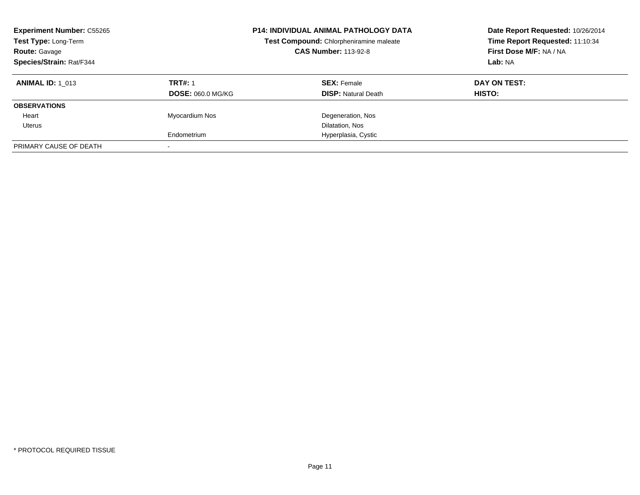| <b>Experiment Number: C55265</b><br>Test Type: Long-Term<br><b>Route: Gavage</b><br>Species/Strain: Rat/F344 |                          | <b>P14: INDIVIDUAL ANIMAL PATHOLOGY DATA</b><br>Test Compound: Chlorpheniramine maleate<br><b>CAS Number: 113-92-8</b> | Date Report Requested: 10/26/2014<br>Time Report Requested: 11:10:34<br>First Dose M/F: NA / NA<br>Lab: NA |
|--------------------------------------------------------------------------------------------------------------|--------------------------|------------------------------------------------------------------------------------------------------------------------|------------------------------------------------------------------------------------------------------------|
| <b>ANIMAL ID: 1 013</b>                                                                                      | <b>TRT#: 1</b>           | <b>SEX: Female</b>                                                                                                     | DAY ON TEST:                                                                                               |
|                                                                                                              | <b>DOSE: 060.0 MG/KG</b> | <b>DISP:</b> Natural Death                                                                                             | HISTO:                                                                                                     |
| <b>OBSERVATIONS</b>                                                                                          |                          |                                                                                                                        |                                                                                                            |
| Heart                                                                                                        | Myocardium Nos           | Degeneration, Nos                                                                                                      |                                                                                                            |
| Uterus                                                                                                       |                          | Dilatation, Nos                                                                                                        |                                                                                                            |
|                                                                                                              | Endometrium              | Hyperplasia, Cystic                                                                                                    |                                                                                                            |
| PRIMARY CAUSE OF DEATH                                                                                       |                          |                                                                                                                        |                                                                                                            |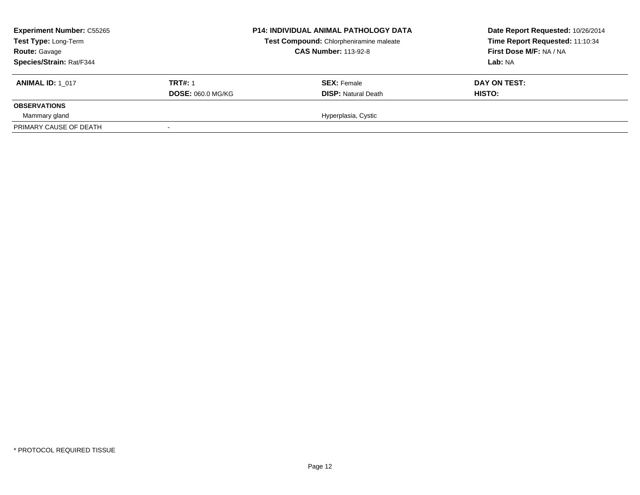| <b>Experiment Number: C55265</b><br>Test Type: Long-Term<br><b>Route: Gavage</b><br><b>Species/Strain: Rat/F344</b> |                          | <b>P14: INDIVIDUAL ANIMAL PATHOLOGY DATA</b><br>Test Compound: Chlorpheniramine maleate<br><b>CAS Number: 113-92-8</b> | Date Report Requested: 10/26/2014<br>Time Report Requested: 11:10:34<br>First Dose M/F: NA / NA<br>Lab: NA |
|---------------------------------------------------------------------------------------------------------------------|--------------------------|------------------------------------------------------------------------------------------------------------------------|------------------------------------------------------------------------------------------------------------|
| <b>ANIMAL ID: 1 017</b>                                                                                             | <b>TRT#: 1</b>           | <b>SEX:</b> Female                                                                                                     | DAY ON TEST:                                                                                               |
| <b>OBSERVATIONS</b>                                                                                                 | <b>DOSE: 060.0 MG/KG</b> | <b>DISP:</b> Natural Death                                                                                             | <b>HISTO:</b>                                                                                              |
| Mammary gland                                                                                                       |                          | Hyperplasia, Cystic                                                                                                    |                                                                                                            |
| PRIMARY CAUSE OF DEATH                                                                                              |                          |                                                                                                                        |                                                                                                            |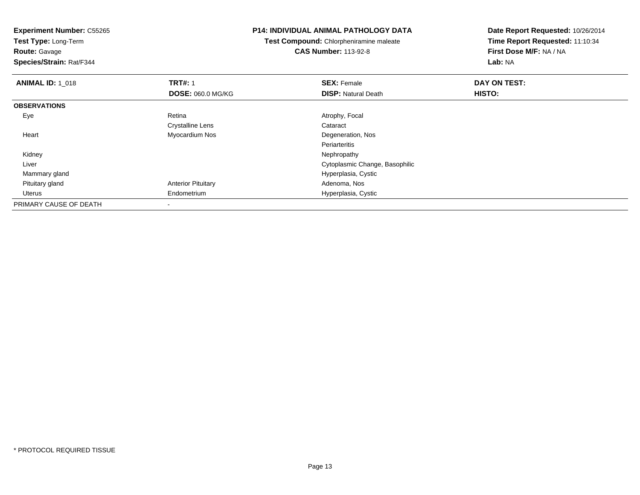**Test Type:** Long-Term

**Route:** Gavage

**Species/Strain:** Rat/F344

#### **P14: INDIVIDUAL ANIMAL PATHOLOGY DATA**

**Test Compound:** Chlorpheniramine maleate**CAS Number:** 113-92-8

| <b>ANIMAL ID: 1_018</b> | <b>TRT#: 1</b>            | <b>SEX: Female</b>             | DAY ON TEST: |  |
|-------------------------|---------------------------|--------------------------------|--------------|--|
|                         | <b>DOSE: 060.0 MG/KG</b>  | <b>DISP: Natural Death</b>     | HISTO:       |  |
| <b>OBSERVATIONS</b>     |                           |                                |              |  |
| Eye                     | Retina                    | Atrophy, Focal                 |              |  |
|                         | <b>Crystalline Lens</b>   | Cataract                       |              |  |
| Heart                   | Myocardium Nos            | Degeneration, Nos              |              |  |
|                         |                           | Periarteritis                  |              |  |
| Kidney                  |                           | Nephropathy                    |              |  |
| Liver                   |                           | Cytoplasmic Change, Basophilic |              |  |
| Mammary gland           |                           | Hyperplasia, Cystic            |              |  |
| Pituitary gland         | <b>Anterior Pituitary</b> | Adenoma, Nos                   |              |  |
| Uterus                  | Endometrium               | Hyperplasia, Cystic            |              |  |
| PRIMARY CAUSE OF DEATH  |                           |                                |              |  |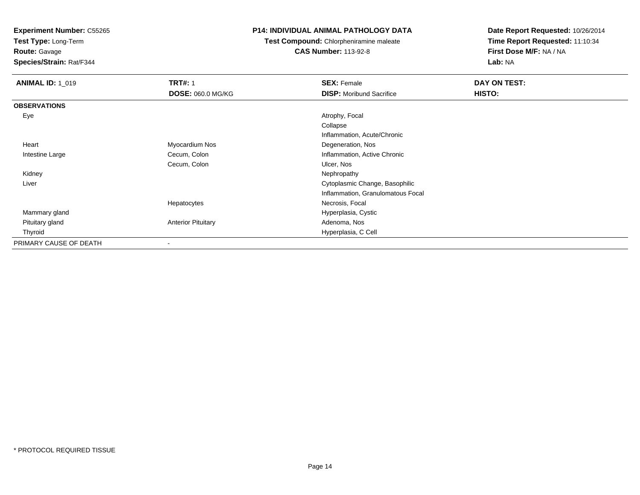**Test Type:** Long-Term

**Route:** Gavage

**Species/Strain:** Rat/F344

## **P14: INDIVIDUAL ANIMAL PATHOLOGY DATA**

**Test Compound:** Chlorpheniramine maleate**CAS Number:** 113-92-8

| <b>ANIMAL ID: 1_019</b> | <b>TRT#: 1</b>            | <b>SEX: Female</b>                | DAY ON TEST: |
|-------------------------|---------------------------|-----------------------------------|--------------|
|                         | <b>DOSE: 060.0 MG/KG</b>  | <b>DISP:</b> Moribund Sacrifice   | HISTO:       |
| <b>OBSERVATIONS</b>     |                           |                                   |              |
| Eye                     |                           | Atrophy, Focal                    |              |
|                         |                           | Collapse                          |              |
|                         |                           | Inflammation, Acute/Chronic       |              |
| Heart                   | Myocardium Nos            | Degeneration, Nos                 |              |
| Intestine Large         | Cecum, Colon              | Inflammation, Active Chronic      |              |
|                         | Cecum, Colon              | Ulcer, Nos                        |              |
| Kidney                  |                           | Nephropathy                       |              |
| Liver                   |                           | Cytoplasmic Change, Basophilic    |              |
|                         |                           | Inflammation, Granulomatous Focal |              |
|                         | Hepatocytes               | Necrosis, Focal                   |              |
| Mammary gland           |                           | Hyperplasia, Cystic               |              |
| Pituitary gland         | <b>Anterior Pituitary</b> | Adenoma, Nos                      |              |
| Thyroid                 |                           | Hyperplasia, C Cell               |              |
| PRIMARY CAUSE OF DEATH  |                           |                                   |              |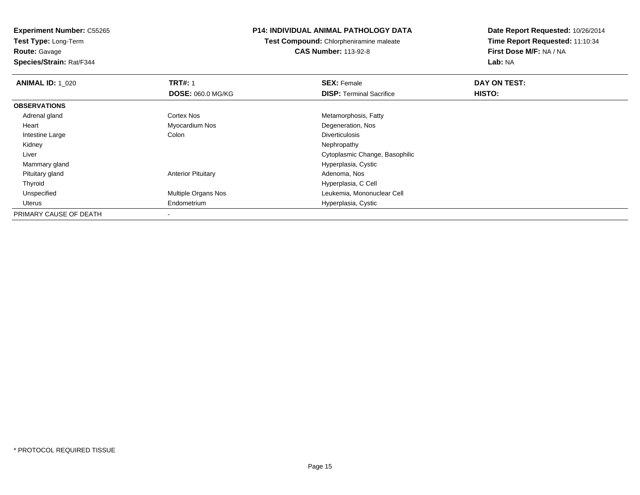**Test Type:** Long-Term**Route:** Gavage

**Species/Strain:** Rat/F344

## **P14: INDIVIDUAL ANIMAL PATHOLOGY DATA**

**Test Compound:** Chlorpheniramine maleate**CAS Number:** 113-92-8

| <b>ANIMAL ID: 1 020</b> | <b>TRT#: 1</b>             | <b>SEX: Female</b>              | DAY ON TEST: |  |
|-------------------------|----------------------------|---------------------------------|--------------|--|
|                         | <b>DOSE: 060.0 MG/KG</b>   | <b>DISP:</b> Terminal Sacrifice | HISTO:       |  |
| <b>OBSERVATIONS</b>     |                            |                                 |              |  |
| Adrenal gland           | Cortex Nos                 | Metamorphosis, Fatty            |              |  |
| Heart                   | Myocardium Nos             | Degeneration, Nos               |              |  |
| Intestine Large         | Colon                      | <b>Diverticulosis</b>           |              |  |
| Kidney                  |                            | Nephropathy                     |              |  |
| Liver                   |                            | Cytoplasmic Change, Basophilic  |              |  |
| Mammary gland           |                            | Hyperplasia, Cystic             |              |  |
| Pituitary gland         | <b>Anterior Pituitary</b>  | Adenoma, Nos                    |              |  |
| Thyroid                 |                            | Hyperplasia, C Cell             |              |  |
| Unspecified             | <b>Multiple Organs Nos</b> | Leukemia, Mononuclear Cell      |              |  |
| Uterus                  | Endometrium                | Hyperplasia, Cystic             |              |  |
| PRIMARY CAUSE OF DEATH  |                            |                                 |              |  |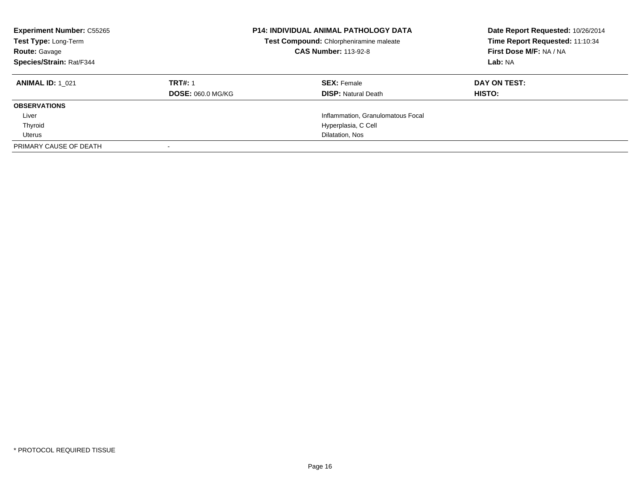| <b>Experiment Number: C55265</b><br>Test Type: Long-Term<br><b>Route: Gavage</b><br>Species/Strain: Rat/F344 |                          | <b>P14: INDIVIDUAL ANIMAL PATHOLOGY DATA</b><br>Test Compound: Chlorpheniramine maleate<br><b>CAS Number: 113-92-8</b> | Date Report Requested: 10/26/2014<br>Time Report Requested: 11:10:34<br>First Dose M/F: NA / NA<br>Lab: NA |
|--------------------------------------------------------------------------------------------------------------|--------------------------|------------------------------------------------------------------------------------------------------------------------|------------------------------------------------------------------------------------------------------------|
| <b>ANIMAL ID: 1 021</b>                                                                                      | <b>TRT#: 1</b>           | <b>SEX: Female</b>                                                                                                     | DAY ON TEST:                                                                                               |
|                                                                                                              | <b>DOSE: 060.0 MG/KG</b> | <b>DISP: Natural Death</b>                                                                                             | HISTO:                                                                                                     |
| <b>OBSERVATIONS</b>                                                                                          |                          |                                                                                                                        |                                                                                                            |
| Liver                                                                                                        |                          | Inflammation, Granulomatous Focal                                                                                      |                                                                                                            |
| Thyroid                                                                                                      |                          | Hyperplasia, C Cell                                                                                                    |                                                                                                            |
| Uterus                                                                                                       |                          | Dilatation, Nos                                                                                                        |                                                                                                            |
| PRIMARY CAUSE OF DEATH                                                                                       |                          |                                                                                                                        |                                                                                                            |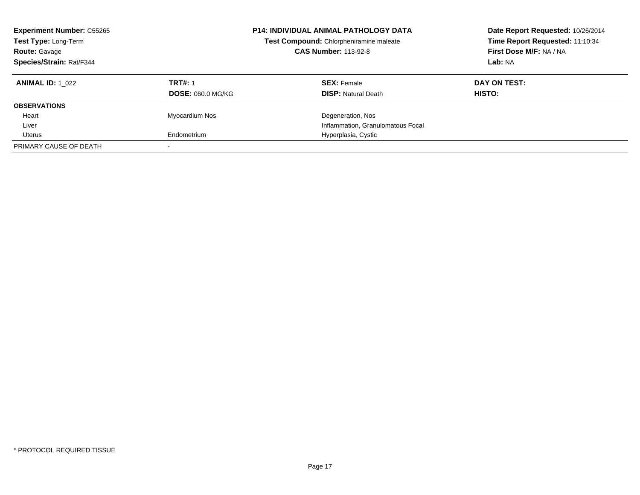| <b>Experiment Number: C55265</b><br>Test Type: Long-Term<br><b>Route: Gavage</b><br>Species/Strain: Rat/F344 |                                            | <b>P14: INDIVIDUAL ANIMAL PATHOLOGY DATA</b><br>Test Compound: Chlorpheniramine maleate<br><b>CAS Number: 113-92-8</b> | Date Report Requested: 10/26/2014<br>Time Report Requested: 11:10:34<br>First Dose M/F: NA / NA<br>Lab: NA |
|--------------------------------------------------------------------------------------------------------------|--------------------------------------------|------------------------------------------------------------------------------------------------------------------------|------------------------------------------------------------------------------------------------------------|
| <b>ANIMAL ID:</b> 1 022                                                                                      | <b>TRT#: 1</b><br><b>DOSE: 060.0 MG/KG</b> | <b>SEX: Female</b><br><b>DISP:</b> Natural Death                                                                       | DAY ON TEST:<br><b>HISTO:</b>                                                                              |
| <b>OBSERVATIONS</b>                                                                                          |                                            |                                                                                                                        |                                                                                                            |
| Heart                                                                                                        | Myocardium Nos                             | Degeneration, Nos                                                                                                      |                                                                                                            |
| Liver                                                                                                        |                                            | Inflammation, Granulomatous Focal                                                                                      |                                                                                                            |
| Uterus                                                                                                       | Endometrium                                | Hyperplasia, Cystic                                                                                                    |                                                                                                            |
| PRIMARY CAUSE OF DEATH                                                                                       |                                            |                                                                                                                        |                                                                                                            |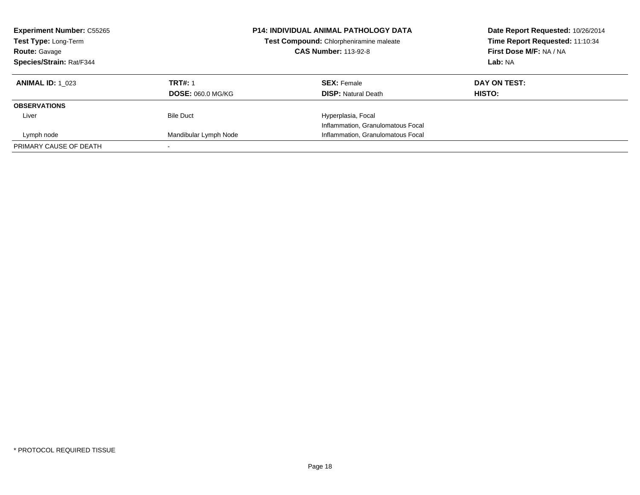| <b>Experiment Number: C55265</b><br>Test Type: Long-Term<br><b>Route: Gavage</b><br>Species/Strain: Rat/F344 |                          | <b>P14: INDIVIDUAL ANIMAL PATHOLOGY DATA</b><br>Test Compound: Chlorpheniramine maleate<br><b>CAS Number: 113-92-8</b> | Date Report Requested: 10/26/2014<br>Time Report Requested: 11:10:34<br>First Dose M/F: NA / NA<br>Lab: NA |
|--------------------------------------------------------------------------------------------------------------|--------------------------|------------------------------------------------------------------------------------------------------------------------|------------------------------------------------------------------------------------------------------------|
| <b>ANIMAL ID: 1 023</b>                                                                                      | <b>TRT#: 1</b>           | <b>SEX: Female</b>                                                                                                     | DAY ON TEST:                                                                                               |
|                                                                                                              | <b>DOSE: 060.0 MG/KG</b> | <b>DISP:</b> Natural Death                                                                                             | HISTO:                                                                                                     |
| <b>OBSERVATIONS</b>                                                                                          |                          |                                                                                                                        |                                                                                                            |
| Liver                                                                                                        | <b>Bile Duct</b>         | Hyperplasia, Focal                                                                                                     |                                                                                                            |
|                                                                                                              |                          | Inflammation, Granulomatous Focal                                                                                      |                                                                                                            |
| Lymph node                                                                                                   | Mandibular Lymph Node    | Inflammation, Granulomatous Focal                                                                                      |                                                                                                            |
| PRIMARY CAUSE OF DEATH                                                                                       |                          |                                                                                                                        |                                                                                                            |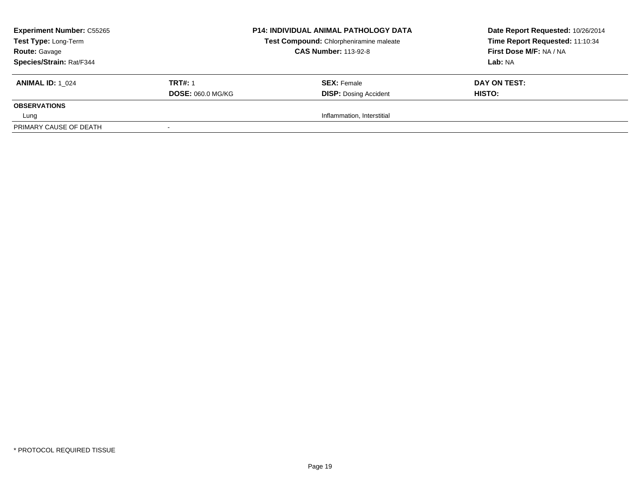| <b>Experiment Number: C55265</b><br>Test Type: Long-Term<br><b>Route: Gavage</b> |                          | <b>P14: INDIVIDUAL ANIMAL PATHOLOGY DATA</b><br>Test Compound: Chlorpheniramine maleate<br><b>CAS Number: 113-92-8</b> | Date Report Requested: 10/26/2014<br>Time Report Requested: 11:10:34<br>First Dose M/F: NA / NA |
|----------------------------------------------------------------------------------|--------------------------|------------------------------------------------------------------------------------------------------------------------|-------------------------------------------------------------------------------------------------|
| Species/Strain: Rat/F344                                                         |                          |                                                                                                                        | Lab: NA                                                                                         |
| <b>ANIMAL ID: 1 024</b>                                                          | <b>TRT#: 1</b>           | <b>SEX: Female</b>                                                                                                     | DAY ON TEST:                                                                                    |
|                                                                                  | <b>DOSE: 060.0 MG/KG</b> | <b>DISP: Dosing Accident</b>                                                                                           | <b>HISTO:</b>                                                                                   |
| <b>OBSERVATIONS</b>                                                              |                          |                                                                                                                        |                                                                                                 |
| Lung                                                                             |                          | Inflammation, Interstitial                                                                                             |                                                                                                 |
| PRIMARY CAUSE OF DEATH                                                           |                          |                                                                                                                        |                                                                                                 |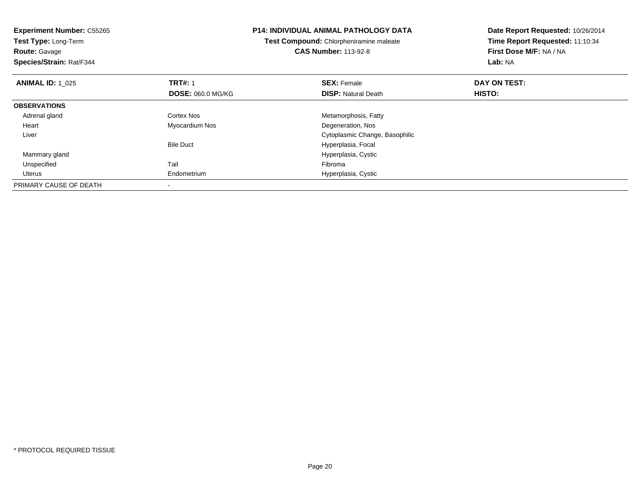| <b>Experiment Number: C55265</b><br><b>Test Type: Long-Term</b><br><b>Route: Gavage</b><br>Species/Strain: Rat/F344 |                          | <b>P14: INDIVIDUAL ANIMAL PATHOLOGY DATA</b><br>Test Compound: Chlorpheniramine maleate<br><b>CAS Number: 113-92-8</b> | Date Report Requested: 10/26/2014<br>Time Report Requested: 11:10:34<br>First Dose M/F: NA / NA<br>Lab: NA |
|---------------------------------------------------------------------------------------------------------------------|--------------------------|------------------------------------------------------------------------------------------------------------------------|------------------------------------------------------------------------------------------------------------|
| <b>ANIMAL ID: 1_025</b>                                                                                             | <b>TRT#: 1</b>           | <b>SEX: Female</b>                                                                                                     | DAY ON TEST:                                                                                               |
|                                                                                                                     | <b>DOSE: 060.0 MG/KG</b> | <b>DISP:</b> Natural Death                                                                                             | HISTO:                                                                                                     |
| <b>OBSERVATIONS</b>                                                                                                 |                          |                                                                                                                        |                                                                                                            |
| Adrenal gland                                                                                                       | Cortex Nos               | Metamorphosis, Fatty                                                                                                   |                                                                                                            |
| Heart                                                                                                               | Myocardium Nos           | Degeneration, Nos                                                                                                      |                                                                                                            |
| Liver                                                                                                               |                          | Cytoplasmic Change, Basophilic                                                                                         |                                                                                                            |
|                                                                                                                     | <b>Bile Duct</b>         | Hyperplasia, Focal                                                                                                     |                                                                                                            |
| Mammary gland                                                                                                       |                          | Hyperplasia, Cystic                                                                                                    |                                                                                                            |
| Unspecified                                                                                                         | Tail                     | Fibroma                                                                                                                |                                                                                                            |
| Uterus                                                                                                              | Endometrium              | Hyperplasia, Cystic                                                                                                    |                                                                                                            |
| PRIMARY CAUSE OF DEATH                                                                                              |                          |                                                                                                                        |                                                                                                            |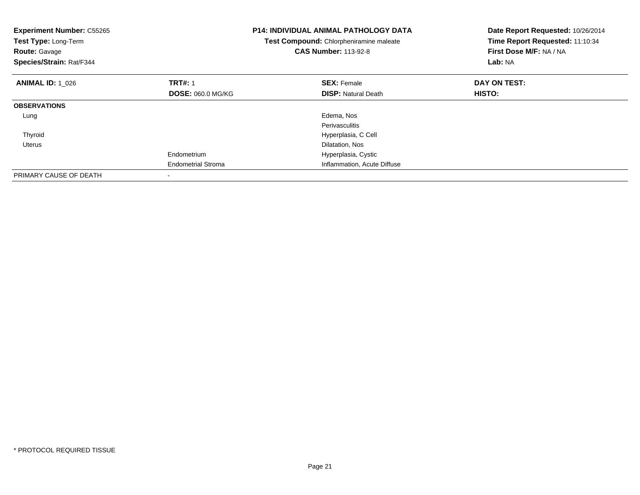| <b>Experiment Number: C55265</b><br>Test Type: Long-Term<br><b>Route: Gavage</b><br>Species/Strain: Rat/F344 |                           | <b>P14: INDIVIDUAL ANIMAL PATHOLOGY DATA</b><br>Test Compound: Chlorpheniramine maleate<br><b>CAS Number: 113-92-8</b> | Date Report Requested: 10/26/2014<br>Time Report Requested: 11:10:34<br>First Dose M/F: NA / NA<br>Lab: NA |
|--------------------------------------------------------------------------------------------------------------|---------------------------|------------------------------------------------------------------------------------------------------------------------|------------------------------------------------------------------------------------------------------------|
| <b>ANIMAL ID: 1 026</b>                                                                                      | <b>TRT#: 1</b>            | <b>SEX: Female</b>                                                                                                     | DAY ON TEST:                                                                                               |
|                                                                                                              | <b>DOSE: 060.0 MG/KG</b>  | <b>DISP:</b> Natural Death                                                                                             | HISTO:                                                                                                     |
| <b>OBSERVATIONS</b>                                                                                          |                           |                                                                                                                        |                                                                                                            |
| Lung                                                                                                         |                           | Edema, Nos                                                                                                             |                                                                                                            |
|                                                                                                              |                           | Perivasculitis                                                                                                         |                                                                                                            |
| Thyroid                                                                                                      |                           | Hyperplasia, C Cell                                                                                                    |                                                                                                            |
| Uterus                                                                                                       |                           | Dilatation, Nos                                                                                                        |                                                                                                            |
|                                                                                                              | Endometrium               | Hyperplasia, Cystic                                                                                                    |                                                                                                            |
|                                                                                                              | <b>Endometrial Stroma</b> | Inflammation, Acute Diffuse                                                                                            |                                                                                                            |
| PRIMARY CAUSE OF DEATH                                                                                       |                           |                                                                                                                        |                                                                                                            |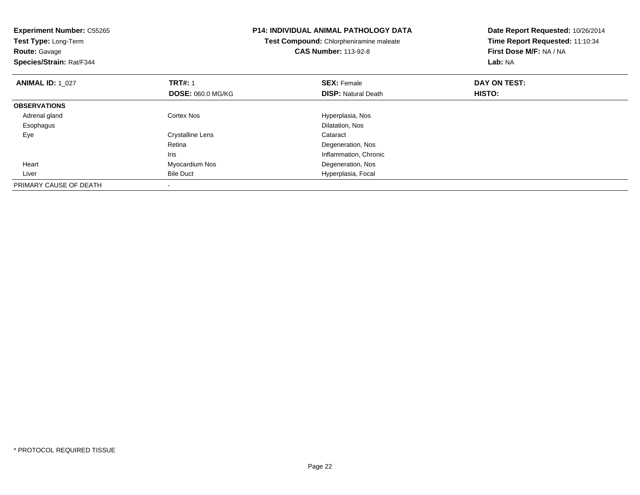| <b>Experiment Number: C55265</b><br>Test Type: Long-Term<br><b>Route: Gavage</b><br>Species/Strain: Rat/F344 |                                            | <b>P14: INDIVIDUAL ANIMAL PATHOLOGY DATA</b><br>Test Compound: Chlorpheniramine maleate<br><b>CAS Number: 113-92-8</b> | Date Report Requested: 10/26/2014<br>Time Report Requested: 11:10:34<br>First Dose M/F: NA / NA<br>Lab: NA |
|--------------------------------------------------------------------------------------------------------------|--------------------------------------------|------------------------------------------------------------------------------------------------------------------------|------------------------------------------------------------------------------------------------------------|
| <b>ANIMAL ID: 1 027</b>                                                                                      | <b>TRT#: 1</b><br><b>DOSE: 060.0 MG/KG</b> | <b>SEX: Female</b><br><b>DISP: Natural Death</b>                                                                       | DAY ON TEST:<br>HISTO:                                                                                     |
| <b>OBSERVATIONS</b>                                                                                          |                                            |                                                                                                                        |                                                                                                            |
| Adrenal gland<br>Esophagus                                                                                   | Cortex Nos                                 | Hyperplasia, Nos<br>Dilatation, Nos                                                                                    |                                                                                                            |
| Eye                                                                                                          | Crystalline Lens<br>Retina<br>Iris         | Cataract<br>Degeneration, Nos<br>Inflammation, Chronic                                                                 |                                                                                                            |
| Heart                                                                                                        | Myocardium Nos                             | Degeneration, Nos                                                                                                      |                                                                                                            |
| Liver                                                                                                        | <b>Bile Duct</b>                           | Hyperplasia, Focal                                                                                                     |                                                                                                            |
| PRIMARY CAUSE OF DEATH                                                                                       |                                            |                                                                                                                        |                                                                                                            |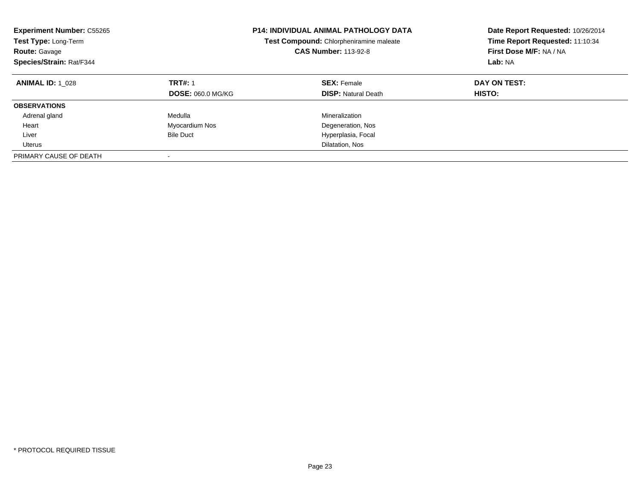| <b>Experiment Number: C55265</b><br>Test Type: Long-Term<br><b>Route: Gavage</b><br>Species/Strain: Rat/F344 |                                            | <b>P14: INDIVIDUAL ANIMAL PATHOLOGY DATA</b><br>Test Compound: Chlorpheniramine maleate<br><b>CAS Number: 113-92-8</b> | Date Report Requested: 10/26/2014<br>Time Report Requested: 11:10:34<br>First Dose M/F: NA / NA<br>Lab: NA |
|--------------------------------------------------------------------------------------------------------------|--------------------------------------------|------------------------------------------------------------------------------------------------------------------------|------------------------------------------------------------------------------------------------------------|
| <b>ANIMAL ID: 1 028</b>                                                                                      | <b>TRT#: 1</b><br><b>DOSE: 060.0 MG/KG</b> | <b>SEX: Female</b><br><b>DISP: Natural Death</b>                                                                       | DAY ON TEST:<br>HISTO:                                                                                     |
| <b>OBSERVATIONS</b>                                                                                          |                                            |                                                                                                                        |                                                                                                            |
| Adrenal gland                                                                                                | Medulla                                    | Mineralization                                                                                                         |                                                                                                            |
| Heart                                                                                                        | Myocardium Nos                             | Degeneration, Nos                                                                                                      |                                                                                                            |
| Liver                                                                                                        | <b>Bile Duct</b>                           | Hyperplasia, Focal                                                                                                     |                                                                                                            |
| Uterus                                                                                                       |                                            | Dilatation, Nos                                                                                                        |                                                                                                            |
| PRIMARY CAUSE OF DEATH                                                                                       |                                            |                                                                                                                        |                                                                                                            |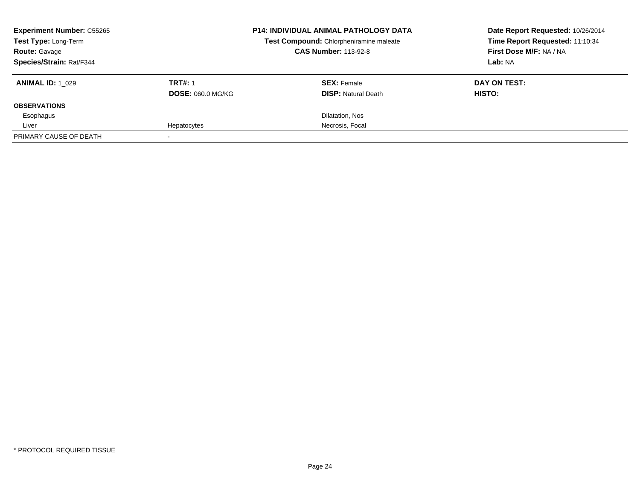| <b>Experiment Number: C55265</b> |                          | <b>P14: INDIVIDUAL ANIMAL PATHOLOGY DATA</b> | Date Report Requested: 10/26/2014 |
|----------------------------------|--------------------------|----------------------------------------------|-----------------------------------|
| Test Type: Long-Term             |                          | Test Compound: Chlorpheniramine maleate      | Time Report Requested: 11:10:34   |
| <b>Route: Gavage</b>             |                          | <b>CAS Number: 113-92-8</b>                  | First Dose M/F: NA / NA           |
| Species/Strain: Rat/F344         |                          |                                              | Lab: NA                           |
| <b>ANIMAL ID: 1 029</b>          | <b>TRT#: 1</b>           | <b>SEX: Female</b>                           | DAY ON TEST:                      |
|                                  | <b>DOSE: 060.0 MG/KG</b> | <b>DISP:</b> Natural Death                   | <b>HISTO:</b>                     |
| <b>OBSERVATIONS</b>              |                          |                                              |                                   |
| Esophagus                        |                          | Dilatation, Nos                              |                                   |
| Liver                            | Hepatocytes              | Necrosis, Focal                              |                                   |
| PRIMARY CAUSE OF DEATH           |                          |                                              |                                   |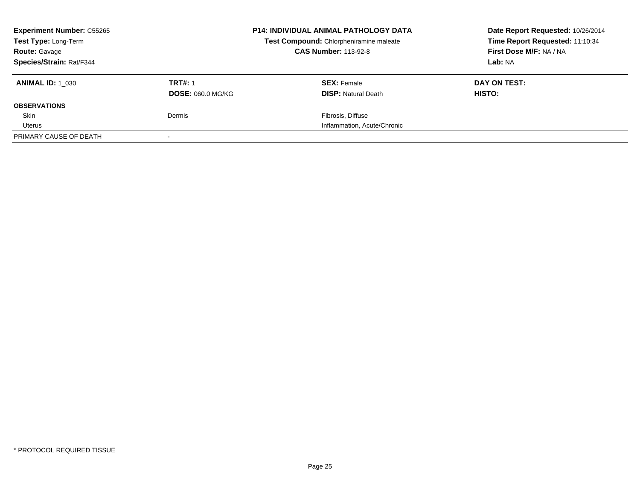| <b>Experiment Number: C55265</b><br>Test Type: Long-Term |                          | <b>P14: INDIVIDUAL ANIMAL PATHOLOGY DATA</b> | Date Report Requested: 10/26/2014 |
|----------------------------------------------------------|--------------------------|----------------------------------------------|-----------------------------------|
|                                                          |                          | Test Compound: Chlorpheniramine maleate      | Time Report Requested: 11:10:34   |
| <b>Route: Gavage</b>                                     |                          | <b>CAS Number: 113-92-8</b>                  | First Dose M/F: NA / NA           |
| Species/Strain: Rat/F344                                 |                          |                                              | Lab: NA                           |
| <b>ANIMAL ID: 1 030</b>                                  | <b>TRT#: 1</b>           | <b>SEX: Female</b>                           | DAY ON TEST:                      |
|                                                          | <b>DOSE: 060.0 MG/KG</b> | <b>DISP:</b> Natural Death                   | HISTO:                            |
| <b>OBSERVATIONS</b>                                      |                          |                                              |                                   |
| Skin                                                     | Dermis                   | Fibrosis, Diffuse                            |                                   |
| Uterus                                                   |                          | Inflammation, Acute/Chronic                  |                                   |
| PRIMARY CAUSE OF DEATH                                   |                          |                                              |                                   |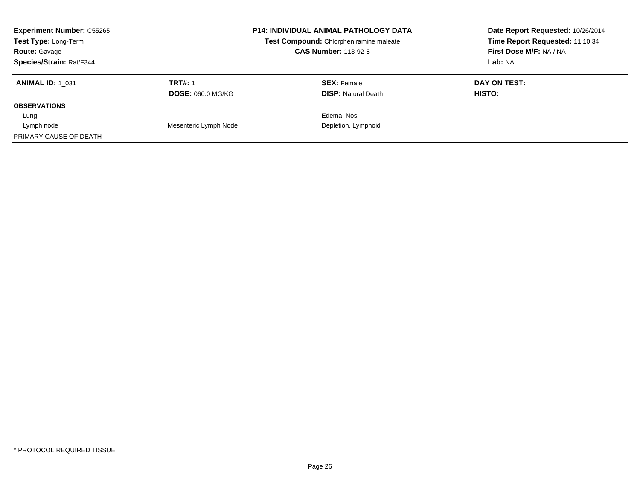| <b>Experiment Number: C55265</b><br><b>P14: INDIVIDUAL ANIMAL PATHOLOGY DATA</b><br>Test Compound: Chlorpheniramine maleate<br><b>Test Type: Long-Term</b><br><b>Route: Gavage</b> |                          | <b>CAS Number: 113-92-8</b> | Date Report Requested: 10/26/2014<br>Time Report Requested: 11:10:34<br>First Dose M/F: NA / NA |  |
|------------------------------------------------------------------------------------------------------------------------------------------------------------------------------------|--------------------------|-----------------------------|-------------------------------------------------------------------------------------------------|--|
| Species/Strain: Rat/F344                                                                                                                                                           |                          |                             | Lab: NA                                                                                         |  |
| <b>ANIMAL ID: 1 031</b>                                                                                                                                                            | <b>TRT#: 1</b>           | <b>SEX: Female</b>          | DAY ON TEST:                                                                                    |  |
|                                                                                                                                                                                    | <b>DOSE: 060.0 MG/KG</b> | <b>DISP:</b> Natural Death  | HISTO:                                                                                          |  |
| <b>OBSERVATIONS</b>                                                                                                                                                                |                          |                             |                                                                                                 |  |
| Lung                                                                                                                                                                               |                          | Edema, Nos                  |                                                                                                 |  |
| Lymph node                                                                                                                                                                         | Mesenteric Lymph Node    | Depletion, Lymphoid         |                                                                                                 |  |
| PRIMARY CAUSE OF DEATH                                                                                                                                                             |                          |                             |                                                                                                 |  |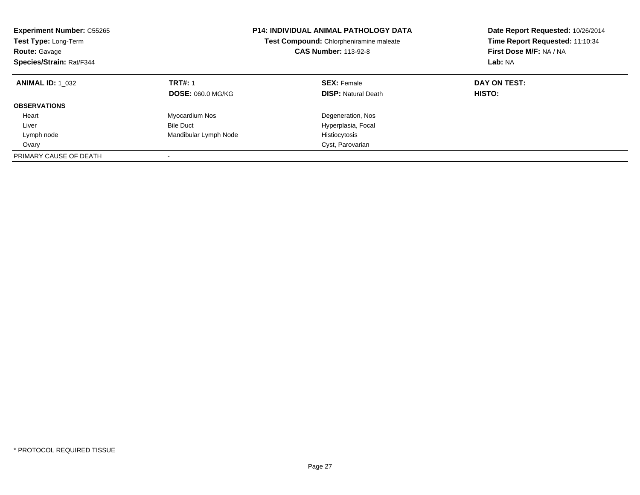| <b>Experiment Number: C55265</b><br>Test Type: Long-Term<br><b>CAS Number: 113-92-8</b><br><b>Route: Gavage</b><br>Species/Strain: Rat/F344 |                                            | <b>P14: INDIVIDUAL ANIMAL PATHOLOGY DATA</b><br>Test Compound: Chlorpheniramine maleate | Date Report Requested: 10/26/2014<br>Time Report Requested: 11:10:34<br>First Dose M/F: NA / NA<br>Lab: NA |
|---------------------------------------------------------------------------------------------------------------------------------------------|--------------------------------------------|-----------------------------------------------------------------------------------------|------------------------------------------------------------------------------------------------------------|
| <b>ANIMAL ID: 1_032</b>                                                                                                                     | <b>TRT#: 1</b><br><b>DOSE: 060.0 MG/KG</b> | <b>SEX: Female</b><br><b>DISP:</b> Natural Death                                        | DAY ON TEST:<br>HISTO:                                                                                     |
| <b>OBSERVATIONS</b>                                                                                                                         |                                            |                                                                                         |                                                                                                            |
| Heart                                                                                                                                       | Myocardium Nos                             | Degeneration, Nos                                                                       |                                                                                                            |
| Liver                                                                                                                                       | <b>Bile Duct</b>                           | Hyperplasia, Focal                                                                      |                                                                                                            |
| Lymph node                                                                                                                                  | Mandibular Lymph Node                      | Histiocytosis                                                                           |                                                                                                            |
| Ovary                                                                                                                                       |                                            | Cyst, Parovarian                                                                        |                                                                                                            |
| PRIMARY CAUSE OF DEATH                                                                                                                      |                                            |                                                                                         |                                                                                                            |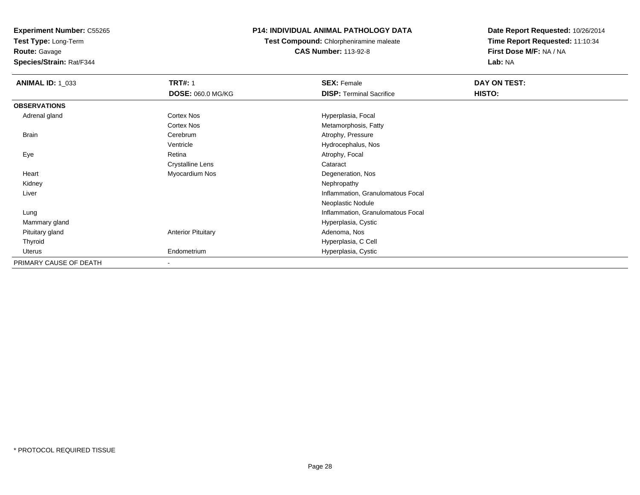**Test Type:** Long-Term

**Route:** Gavage

**Species/Strain:** Rat/F344

# **P14: INDIVIDUAL ANIMAL PATHOLOGY DATA**

**Test Compound:** Chlorpheniramine maleate**CAS Number:** 113-92-8

| <b>ANIMAL ID: 1_033</b> | <b>TRT#: 1</b>            | <b>SEX: Female</b>                | DAY ON TEST: |  |
|-------------------------|---------------------------|-----------------------------------|--------------|--|
|                         | <b>DOSE: 060.0 MG/KG</b>  | <b>DISP: Terminal Sacrifice</b>   | HISTO:       |  |
| <b>OBSERVATIONS</b>     |                           |                                   |              |  |
| Adrenal gland           | Cortex Nos                | Hyperplasia, Focal                |              |  |
|                         | <b>Cortex Nos</b>         | Metamorphosis, Fatty              |              |  |
| <b>Brain</b>            | Cerebrum                  | Atrophy, Pressure                 |              |  |
|                         | Ventricle                 | Hydrocephalus, Nos                |              |  |
| Eye                     | Retina                    | Atrophy, Focal                    |              |  |
|                         | <b>Crystalline Lens</b>   | Cataract                          |              |  |
| Heart                   | Myocardium Nos            | Degeneration, Nos                 |              |  |
| Kidney                  |                           | Nephropathy                       |              |  |
| Liver                   |                           | Inflammation, Granulomatous Focal |              |  |
|                         |                           | Neoplastic Nodule                 |              |  |
| Lung                    |                           | Inflammation, Granulomatous Focal |              |  |
| Mammary gland           |                           | Hyperplasia, Cystic               |              |  |
| Pituitary gland         | <b>Anterior Pituitary</b> | Adenoma, Nos                      |              |  |
| Thyroid                 |                           | Hyperplasia, C Cell               |              |  |
| Uterus                  | Endometrium               | Hyperplasia, Cystic               |              |  |
| PRIMARY CAUSE OF DEATH  |                           |                                   |              |  |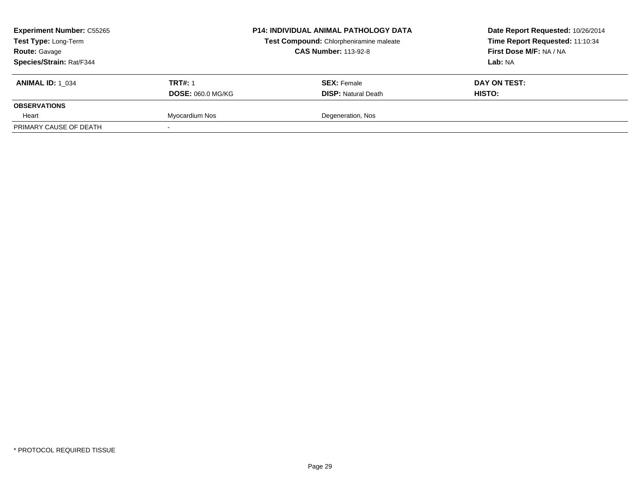| <b>Experiment Number: C55265</b><br>Test Type: Long-Term<br><b>Route: Gavage</b><br>Species/Strain: Rat/F344 |                                            | <b>P14: INDIVIDUAL ANIMAL PATHOLOGY DATA</b><br>Test Compound: Chlorpheniramine maleate<br><b>CAS Number: 113-92-8</b> | Date Report Requested: 10/26/2014<br>Time Report Requested: 11:10:34<br>First Dose M/F: NA / NA<br><b>Lab:</b> NA |  |
|--------------------------------------------------------------------------------------------------------------|--------------------------------------------|------------------------------------------------------------------------------------------------------------------------|-------------------------------------------------------------------------------------------------------------------|--|
| <b>ANIMAL ID: 1 034</b>                                                                                      | <b>TRT#: 1</b><br><b>DOSE: 060.0 MG/KG</b> | <b>SEX: Female</b><br><b>DISP: Natural Death</b>                                                                       | DAY ON TEST:<br>HISTO:                                                                                            |  |
| <b>OBSERVATIONS</b>                                                                                          |                                            |                                                                                                                        |                                                                                                                   |  |
| Heart                                                                                                        | Myocardium Nos                             | Degeneration, Nos                                                                                                      |                                                                                                                   |  |
| PRIMARY CAUSE OF DEATH                                                                                       |                                            |                                                                                                                        |                                                                                                                   |  |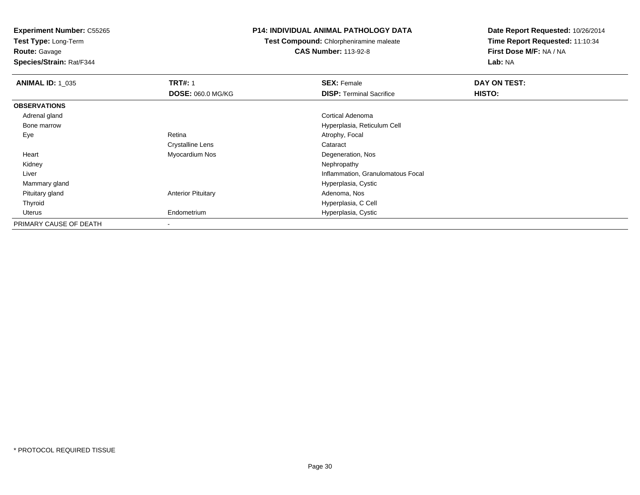**Test Type:** Long-Term

**Route:** Gavage

**Species/Strain:** Rat/F344

#### **P14: INDIVIDUAL ANIMAL PATHOLOGY DATA**

**Test Compound:** Chlorpheniramine maleate**CAS Number:** 113-92-8

| <b>ANIMAL ID: 1_035</b> | <b>TRT#: 1</b>            | <b>SEX: Female</b>                | DAY ON TEST: |  |
|-------------------------|---------------------------|-----------------------------------|--------------|--|
|                         | <b>DOSE: 060.0 MG/KG</b>  | <b>DISP:</b> Terminal Sacrifice   | HISTO:       |  |
| <b>OBSERVATIONS</b>     |                           |                                   |              |  |
| Adrenal gland           |                           | Cortical Adenoma                  |              |  |
| Bone marrow             |                           | Hyperplasia, Reticulum Cell       |              |  |
| Eye                     | Retina                    | Atrophy, Focal                    |              |  |
|                         | <b>Crystalline Lens</b>   | Cataract                          |              |  |
| Heart                   | Myocardium Nos            | Degeneration, Nos                 |              |  |
| Kidney                  |                           | Nephropathy                       |              |  |
| Liver                   |                           | Inflammation, Granulomatous Focal |              |  |
| Mammary gland           |                           | Hyperplasia, Cystic               |              |  |
| Pituitary gland         | <b>Anterior Pituitary</b> | Adenoma, Nos                      |              |  |
| Thyroid                 |                           | Hyperplasia, C Cell               |              |  |
| Uterus                  | Endometrium               | Hyperplasia, Cystic               |              |  |
| PRIMARY CAUSE OF DEATH  |                           |                                   |              |  |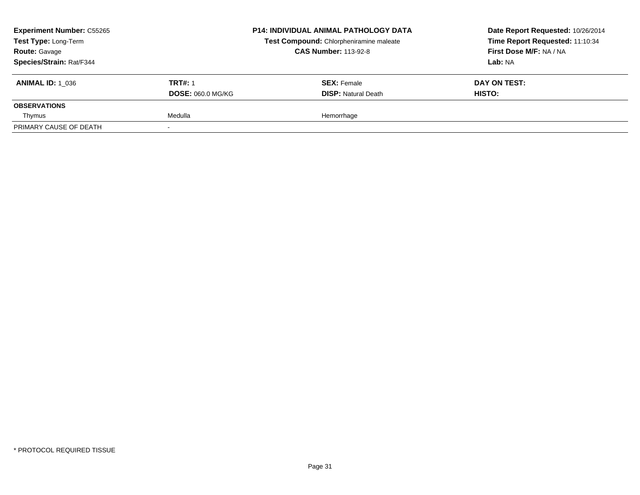| <b>Experiment Number: C55265</b><br>Test Type: Long-Term<br><b>Route: Gavage</b><br>Species/Strain: Rat/F344 |                                            | <b>P14: INDIVIDUAL ANIMAL PATHOLOGY DATA</b><br>Test Compound: Chlorpheniramine maleate<br><b>CAS Number: 113-92-8</b> | Date Report Requested: 10/26/2014<br>Time Report Requested: 11:10:34<br>First Dose M/F: NA / NA<br>Lab: NA |
|--------------------------------------------------------------------------------------------------------------|--------------------------------------------|------------------------------------------------------------------------------------------------------------------------|------------------------------------------------------------------------------------------------------------|
| <b>ANIMAL ID: 1 036</b>                                                                                      | <b>TRT#: 1</b><br><b>DOSE: 060.0 MG/KG</b> | <b>SEX: Female</b><br><b>DISP: Natural Death</b>                                                                       | DAY ON TEST:<br><b>HISTO:</b>                                                                              |
| <b>OBSERVATIONS</b>                                                                                          |                                            |                                                                                                                        |                                                                                                            |
| Thymus                                                                                                       | Medulla                                    | Hemorrhage                                                                                                             |                                                                                                            |
| PRIMARY CAUSE OF DEATH                                                                                       |                                            |                                                                                                                        |                                                                                                            |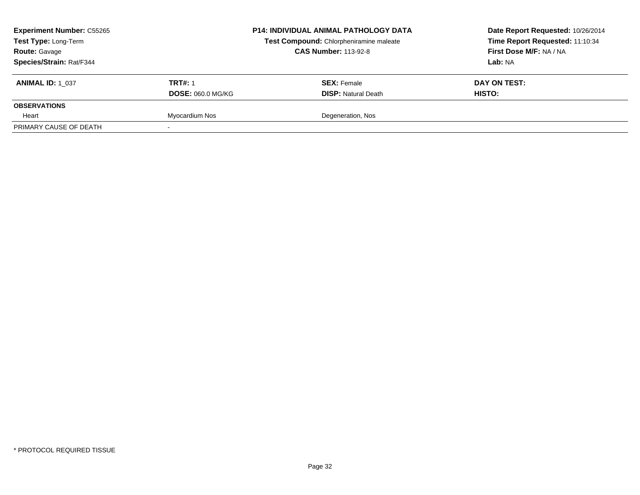| <b>Experiment Number: C55265</b><br>Test Type: Long-Term<br><b>Route: Gavage</b> | <b>P14: INDIVIDUAL ANIMAL PATHOLOGY DATA</b><br>Test Compound: Chlorpheniramine maleate<br><b>CAS Number: 113-92-8</b> |                            | Date Report Requested: 10/26/2014<br>Time Report Requested: 11:10:34<br>First Dose M/F: NA / NA |  |
|----------------------------------------------------------------------------------|------------------------------------------------------------------------------------------------------------------------|----------------------------|-------------------------------------------------------------------------------------------------|--|
| Species/Strain: Rat/F344                                                         |                                                                                                                        |                            | Lab: NA                                                                                         |  |
| <b>ANIMAL ID: 1 037</b>                                                          | <b>TRT#: 1</b>                                                                                                         | <b>SEX: Female</b>         | DAY ON TEST:                                                                                    |  |
|                                                                                  | <b>DOSE: 060.0 MG/KG</b>                                                                                               | <b>DISP: Natural Death</b> | HISTO:                                                                                          |  |
| <b>OBSERVATIONS</b>                                                              |                                                                                                                        |                            |                                                                                                 |  |
| Heart                                                                            | Myocardium Nos                                                                                                         | Degeneration, Nos          |                                                                                                 |  |
| PRIMARY CAUSE OF DEATH                                                           |                                                                                                                        |                            |                                                                                                 |  |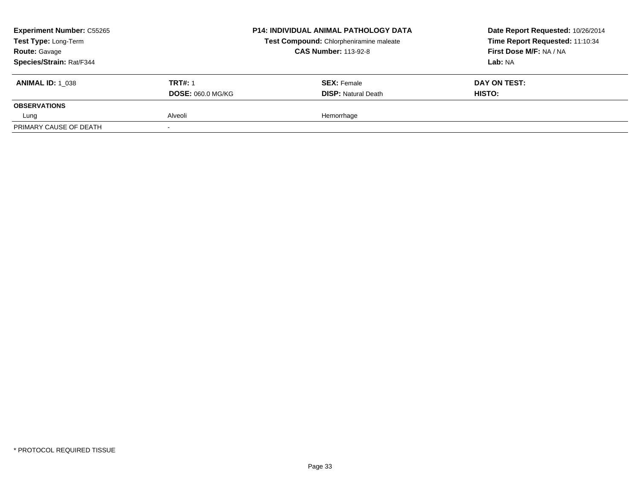| <b>Experiment Number: C55265</b><br>Test Type: Long-Term<br><b>Route: Gavage</b><br>Species/Strain: Rat/F344 |                                            | <b>P14: INDIVIDUAL ANIMAL PATHOLOGY DATA</b><br>Test Compound: Chlorpheniramine maleate<br><b>CAS Number: 113-92-8</b> | Date Report Requested: 10/26/2014<br>Time Report Requested: 11:10:34<br>First Dose M/F: NA / NA<br>Lab: NA |  |
|--------------------------------------------------------------------------------------------------------------|--------------------------------------------|------------------------------------------------------------------------------------------------------------------------|------------------------------------------------------------------------------------------------------------|--|
| <b>ANIMAL ID: 1 038</b>                                                                                      | <b>TRT#: 1</b><br><b>DOSE: 060.0 MG/KG</b> | <b>SEX: Female</b><br><b>DISP: Natural Death</b>                                                                       | DAY ON TEST:<br><b>HISTO:</b>                                                                              |  |
| <b>OBSERVATIONS</b>                                                                                          |                                            |                                                                                                                        |                                                                                                            |  |
| Lung                                                                                                         | Alveoli                                    | Hemorrhage                                                                                                             |                                                                                                            |  |
| PRIMARY CAUSE OF DEATH                                                                                       |                                            |                                                                                                                        |                                                                                                            |  |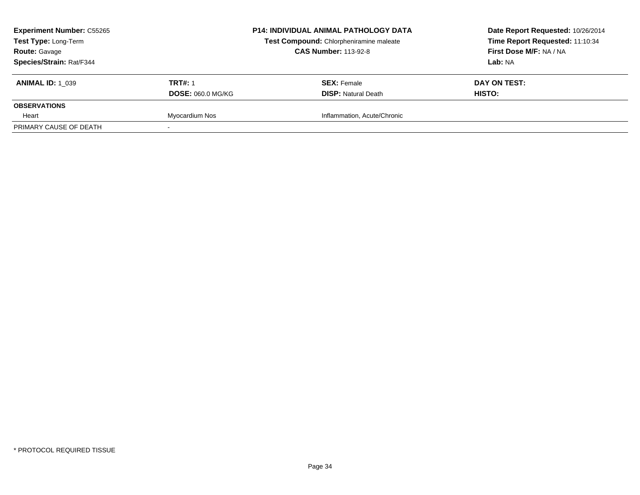| <b>Experiment Number: C55265</b><br>Test Type: Long-Term<br><b>Route: Gavage</b> |                          | <b>P14: INDIVIDUAL ANIMAL PATHOLOGY DATA</b><br>Test Compound: Chlorpheniramine maleate<br><b>CAS Number: 113-92-8</b> | Date Report Requested: 10/26/2014<br>Time Report Requested: 11:10:34<br>First Dose M/F: NA / NA |  |
|----------------------------------------------------------------------------------|--------------------------|------------------------------------------------------------------------------------------------------------------------|-------------------------------------------------------------------------------------------------|--|
| Species/Strain: Rat/F344                                                         |                          |                                                                                                                        | Lab: NA                                                                                         |  |
| <b>ANIMAL ID: 1 039</b>                                                          | <b>TRT#: 1</b>           | <b>SEX: Female</b>                                                                                                     | DAY ON TEST:                                                                                    |  |
|                                                                                  | <b>DOSE: 060.0 MG/KG</b> | <b>DISP: Natural Death</b>                                                                                             | HISTO:                                                                                          |  |
| <b>OBSERVATIONS</b>                                                              |                          |                                                                                                                        |                                                                                                 |  |
| Heart                                                                            | Myocardium Nos           | Inflammation, Acute/Chronic                                                                                            |                                                                                                 |  |
| PRIMARY CAUSE OF DEATH                                                           |                          |                                                                                                                        |                                                                                                 |  |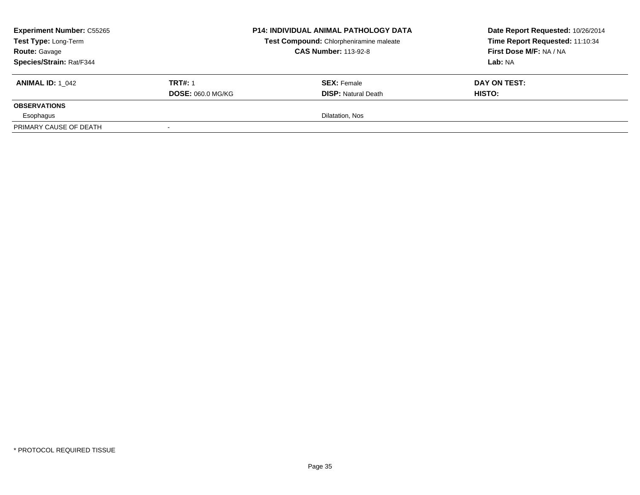| <b>Experiment Number: C55265</b><br>Test Type: Long-Term<br><b>Route: Gavage</b><br>Species/Strain: Rat/F344 |                                            | <b>P14: INDIVIDUAL ANIMAL PATHOLOGY DATA</b><br>Test Compound: Chlorpheniramine maleate<br><b>CAS Number: 113-92-8</b> | Date Report Requested: 10/26/2014<br>Time Report Requested: 11:10:34<br>First Dose M/F: NA / NA<br><b>Lab: NA</b> |  |
|--------------------------------------------------------------------------------------------------------------|--------------------------------------------|------------------------------------------------------------------------------------------------------------------------|-------------------------------------------------------------------------------------------------------------------|--|
| <b>ANIMAL ID: 1 042</b>                                                                                      | <b>TRT#: 1</b><br><b>DOSE: 060.0 MG/KG</b> | <b>SEX:</b> Female<br><b>DISP:</b> Natural Death                                                                       | DAY ON TEST:<br>HISTO:                                                                                            |  |
| <b>OBSERVATIONS</b>                                                                                          |                                            |                                                                                                                        |                                                                                                                   |  |
| Esophagus                                                                                                    |                                            | Dilatation, Nos                                                                                                        |                                                                                                                   |  |
| PRIMARY CAUSE OF DEATH                                                                                       | $\overline{\phantom{a}}$                   |                                                                                                                        |                                                                                                                   |  |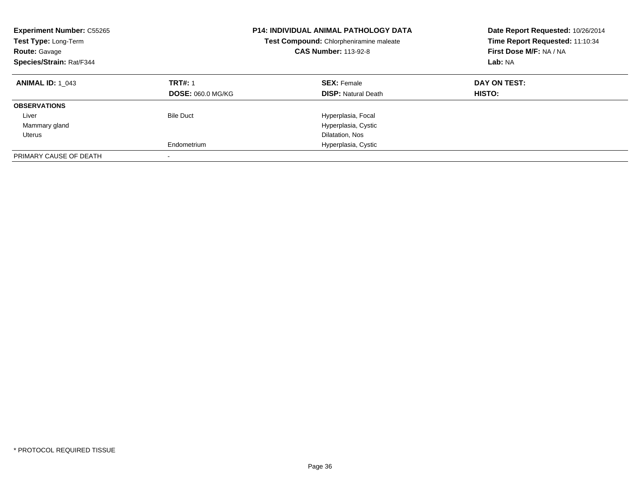| <b>Experiment Number: C55265</b><br>Test Type: Long-Term<br><b>Route: Gavage</b><br>Species/Strain: Rat/F344 | <b>P14: INDIVIDUAL ANIMAL PATHOLOGY DATA</b><br>Test Compound: Chlorpheniramine maleate<br><b>CAS Number: 113-92-8</b> |                                                  | Date Report Requested: 10/26/2014<br>Time Report Requested: 11:10:34<br>First Dose M/F: NA / NA<br>Lab: NA |
|--------------------------------------------------------------------------------------------------------------|------------------------------------------------------------------------------------------------------------------------|--------------------------------------------------|------------------------------------------------------------------------------------------------------------|
| <b>ANIMAL ID: 1 043</b>                                                                                      | <b>TRT#: 1</b><br><b>DOSE: 060.0 MG/KG</b>                                                                             | <b>SEX: Female</b><br><b>DISP:</b> Natural Death | DAY ON TEST:<br><b>HISTO:</b>                                                                              |
| <b>OBSERVATIONS</b>                                                                                          |                                                                                                                        |                                                  |                                                                                                            |
| Liver                                                                                                        | <b>Bile Duct</b>                                                                                                       | Hyperplasia, Focal                               |                                                                                                            |
| Mammary gland                                                                                                |                                                                                                                        | Hyperplasia, Cystic                              |                                                                                                            |
| Uterus                                                                                                       |                                                                                                                        | Dilatation, Nos                                  |                                                                                                            |
|                                                                                                              | Endometrium                                                                                                            | Hyperplasia, Cystic                              |                                                                                                            |
| PRIMARY CAUSE OF DEATH                                                                                       |                                                                                                                        |                                                  |                                                                                                            |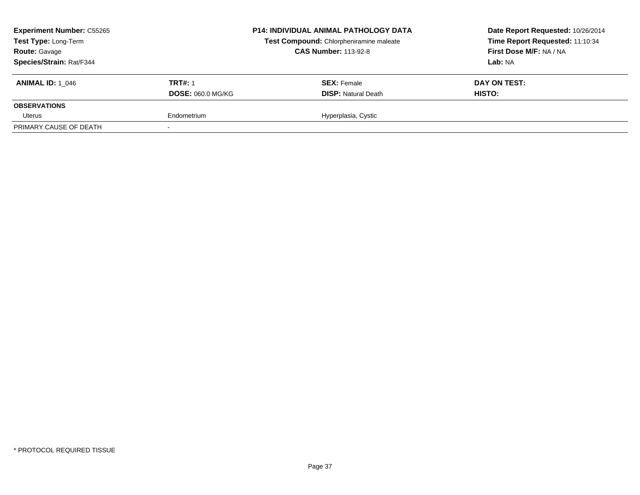| <b>Experiment Number: C55265</b><br>Test Type: Long-Term<br><b>Route: Gavage</b><br>Species/Strain: Rat/F344 |                                            | <b>P14: INDIVIDUAL ANIMAL PATHOLOGY DATA</b><br>Test Compound: Chlorpheniramine maleate<br><b>CAS Number: 113-92-8</b> | Date Report Requested: 10/26/2014<br>Time Report Requested: 11:10:34<br>First Dose M/F: NA / NA<br>Lab: NA |
|--------------------------------------------------------------------------------------------------------------|--------------------------------------------|------------------------------------------------------------------------------------------------------------------------|------------------------------------------------------------------------------------------------------------|
| <b>ANIMAL ID: 1 046</b>                                                                                      | <b>TRT#: 1</b><br><b>DOSE: 060.0 MG/KG</b> | <b>SEX: Female</b><br><b>DISP: Natural Death</b>                                                                       | DAY ON TEST:<br>HISTO:                                                                                     |
| <b>OBSERVATIONS</b>                                                                                          |                                            |                                                                                                                        |                                                                                                            |
| Uterus                                                                                                       | Endometrium                                | Hyperplasia, Cystic                                                                                                    |                                                                                                            |
| PRIMARY CAUSE OF DEATH                                                                                       |                                            |                                                                                                                        |                                                                                                            |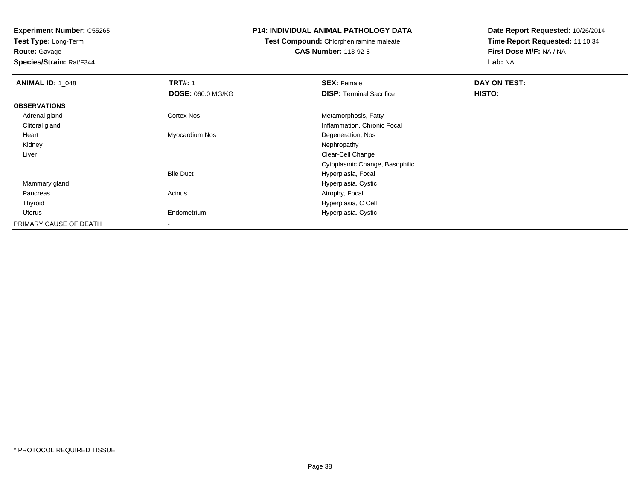**Test Type:** Long-Term**Route:** Gavage

**Species/Strain:** Rat/F344

# **P14: INDIVIDUAL ANIMAL PATHOLOGY DATA**

**Test Compound:** Chlorpheniramine maleate**CAS Number:** 113-92-8

| <b>ANIMAL ID: 1_048</b> | <b>TRT#: 1</b>           | <b>SEX: Female</b>              | DAY ON TEST: |  |
|-------------------------|--------------------------|---------------------------------|--------------|--|
|                         | <b>DOSE: 060.0 MG/KG</b> | <b>DISP: Terminal Sacrifice</b> | HISTO:       |  |
| <b>OBSERVATIONS</b>     |                          |                                 |              |  |
| Adrenal gland           | <b>Cortex Nos</b>        | Metamorphosis, Fatty            |              |  |
| Clitoral gland          |                          | Inflammation, Chronic Focal     |              |  |
| Heart                   | Myocardium Nos           | Degeneration, Nos               |              |  |
| Kidney                  |                          | Nephropathy                     |              |  |
| Liver                   |                          | Clear-Cell Change               |              |  |
|                         |                          | Cytoplasmic Change, Basophilic  |              |  |
|                         | <b>Bile Duct</b>         | Hyperplasia, Focal              |              |  |
| Mammary gland           |                          | Hyperplasia, Cystic             |              |  |
| Pancreas                | Acinus                   | Atrophy, Focal                  |              |  |
| Thyroid                 |                          | Hyperplasia, C Cell             |              |  |
| Uterus                  | Endometrium              | Hyperplasia, Cystic             |              |  |
| PRIMARY CAUSE OF DEATH  | $\,$                     |                                 |              |  |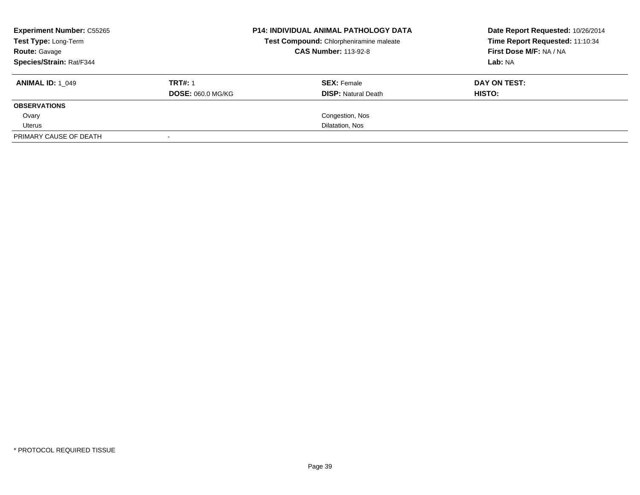| <b>Experiment Number: C55265</b><br>Test Type: Long-Term<br><b>Route: Gavage</b><br>Species/Strain: Rat/F344 |                          | <b>P14: INDIVIDUAL ANIMAL PATHOLOGY DATA</b><br>Test Compound: Chlorpheniramine maleate<br><b>CAS Number: 113-92-8</b> | Date Report Requested: 10/26/2014<br>Time Report Requested: 11:10:34<br>First Dose M/F: NA / NA |
|--------------------------------------------------------------------------------------------------------------|--------------------------|------------------------------------------------------------------------------------------------------------------------|-------------------------------------------------------------------------------------------------|
|                                                                                                              |                          |                                                                                                                        | Lab: NA                                                                                         |
| <b>ANIMAL ID: 1 049</b>                                                                                      | <b>TRT#: 1</b>           | <b>SEX: Female</b>                                                                                                     | DAY ON TEST:                                                                                    |
|                                                                                                              | <b>DOSE: 060.0 MG/KG</b> | <b>DISP:</b> Natural Death                                                                                             | HISTO:                                                                                          |
| <b>OBSERVATIONS</b>                                                                                          |                          |                                                                                                                        |                                                                                                 |
| Ovary                                                                                                        |                          | Congestion, Nos                                                                                                        |                                                                                                 |
| Uterus                                                                                                       |                          | Dilatation, Nos                                                                                                        |                                                                                                 |
| PRIMARY CAUSE OF DEATH                                                                                       |                          |                                                                                                                        |                                                                                                 |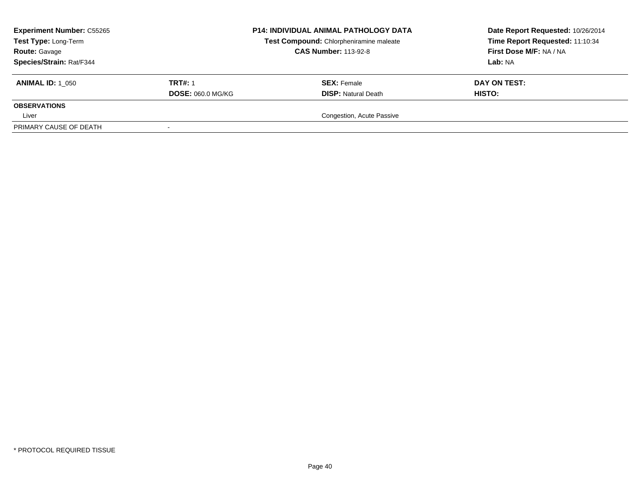| <b>Experiment Number: C55265</b><br>Test Type: Long-Term<br><b>Route: Gavage</b><br>Species/Strain: Rat/F344 |                                            | <b>P14: INDIVIDUAL ANIMAL PATHOLOGY DATA</b><br>Test Compound: Chlorpheniramine maleate<br><b>CAS Number: 113-92-8</b> | Date Report Requested: 10/26/2014<br>Time Report Requested: 11:10:34<br>First Dose M/F: NA / NA<br>Lab: NA |
|--------------------------------------------------------------------------------------------------------------|--------------------------------------------|------------------------------------------------------------------------------------------------------------------------|------------------------------------------------------------------------------------------------------------|
| <b>ANIMAL ID: 1 050</b>                                                                                      | <b>TRT#: 1</b><br><b>DOSE: 060.0 MG/KG</b> | <b>SEX: Female</b><br><b>DISP:</b> Natural Death                                                                       | DAY ON TEST:<br>HISTO:                                                                                     |
| <b>OBSERVATIONS</b>                                                                                          |                                            |                                                                                                                        |                                                                                                            |
| Liver                                                                                                        |                                            | Congestion, Acute Passive                                                                                              |                                                                                                            |
| PRIMARY CAUSE OF DEATH                                                                                       |                                            |                                                                                                                        |                                                                                                            |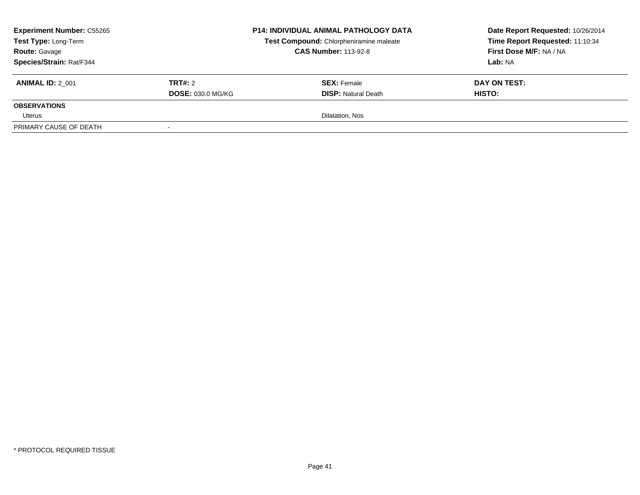| <b>Experiment Number: C55265</b><br>Test Type: Long-Term<br><b>Route: Gavage</b><br>Species/Strain: Rat/F344 |                                     | <b>P14: INDIVIDUAL ANIMAL PATHOLOGY DATA</b><br>Test Compound: Chlorpheniramine maleate<br><b>CAS Number: 113-92-8</b> | Date Report Requested: 10/26/2014<br>Time Report Requested: 11:10:34<br>First Dose M/F: NA / NA<br><b>Lab: NA</b> |
|--------------------------------------------------------------------------------------------------------------|-------------------------------------|------------------------------------------------------------------------------------------------------------------------|-------------------------------------------------------------------------------------------------------------------|
| <b>ANIMAL ID: 2 001</b>                                                                                      | TRT#: 2<br><b>DOSE: 030.0 MG/KG</b> | <b>SEX:</b> Female<br><b>DISP:</b> Natural Death                                                                       | DAY ON TEST:<br>HISTO:                                                                                            |
| <b>OBSERVATIONS</b><br>Uterus                                                                                |                                     | Dilatation, Nos                                                                                                        |                                                                                                                   |
| PRIMARY CAUSE OF DEATH                                                                                       | $\overline{\phantom{a}}$            |                                                                                                                        |                                                                                                                   |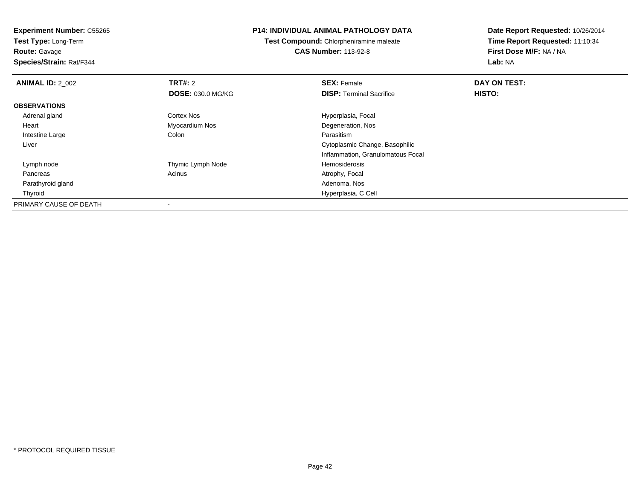**Test Type:** Long-Term**Route:** Gavage

**Species/Strain:** Rat/F344

### **P14: INDIVIDUAL ANIMAL PATHOLOGY DATA**

**Test Compound:** Chlorpheniramine maleate**CAS Number:** 113-92-8

| <b>ANIMAL ID: 2 002</b> | <b>TRT#: 2</b>    | <b>SEX: Female</b>                | DAY ON TEST: |  |
|-------------------------|-------------------|-----------------------------------|--------------|--|
|                         | DOSE: 030.0 MG/KG | <b>DISP: Terminal Sacrifice</b>   | HISTO:       |  |
| <b>OBSERVATIONS</b>     |                   |                                   |              |  |
| Adrenal gland           | <b>Cortex Nos</b> | Hyperplasia, Focal                |              |  |
| Heart                   | Myocardium Nos    | Degeneration, Nos                 |              |  |
| Intestine Large         | Colon             | Parasitism                        |              |  |
| Liver                   |                   | Cytoplasmic Change, Basophilic    |              |  |
|                         |                   | Inflammation, Granulomatous Focal |              |  |
| Lymph node              | Thymic Lymph Node | Hemosiderosis                     |              |  |
| Pancreas                | Acinus            | Atrophy, Focal                    |              |  |
| Parathyroid gland       |                   | Adenoma, Nos                      |              |  |
| Thyroid                 |                   | Hyperplasia, C Cell               |              |  |
| PRIMARY CAUSE OF DEATH  |                   |                                   |              |  |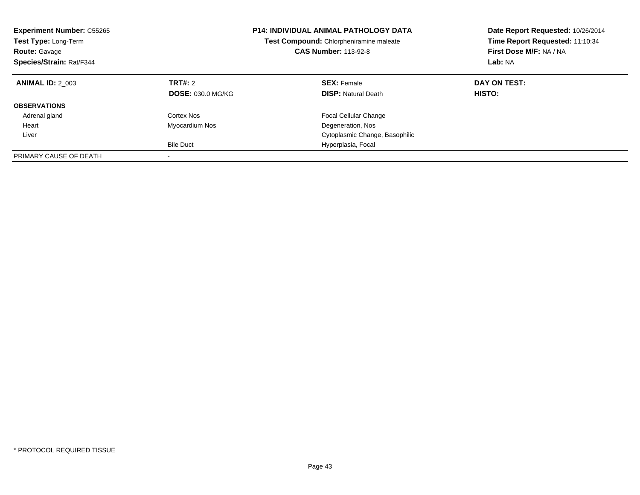| <b>Experiment Number: C55265</b><br>Test Type: Long-Term<br><b>Route: Gavage</b><br>Species/Strain: Rat/F344 |                          | <b>P14: INDIVIDUAL ANIMAL PATHOLOGY DATA</b><br>Test Compound: Chlorpheniramine maleate<br><b>CAS Number: 113-92-8</b> | Date Report Requested: 10/26/2014<br>Time Report Requested: 11:10:34<br>First Dose M/F: NA / NA<br>Lab: NA |
|--------------------------------------------------------------------------------------------------------------|--------------------------|------------------------------------------------------------------------------------------------------------------------|------------------------------------------------------------------------------------------------------------|
| <b>ANIMAL ID: 2 003</b>                                                                                      | TRT#: 2                  | <b>SEX: Female</b>                                                                                                     | DAY ON TEST:                                                                                               |
|                                                                                                              | <b>DOSE: 030.0 MG/KG</b> | <b>DISP:</b> Natural Death                                                                                             | HISTO:                                                                                                     |
| <b>OBSERVATIONS</b>                                                                                          |                          |                                                                                                                        |                                                                                                            |
| Adrenal gland                                                                                                | Cortex Nos               | <b>Focal Cellular Change</b>                                                                                           |                                                                                                            |
| Heart                                                                                                        | Myocardium Nos           | Degeneration, Nos                                                                                                      |                                                                                                            |
| Liver                                                                                                        |                          | Cytoplasmic Change, Basophilic                                                                                         |                                                                                                            |
|                                                                                                              | <b>Bile Duct</b>         | Hyperplasia, Focal                                                                                                     |                                                                                                            |
| PRIMARY CAUSE OF DEATH                                                                                       |                          |                                                                                                                        |                                                                                                            |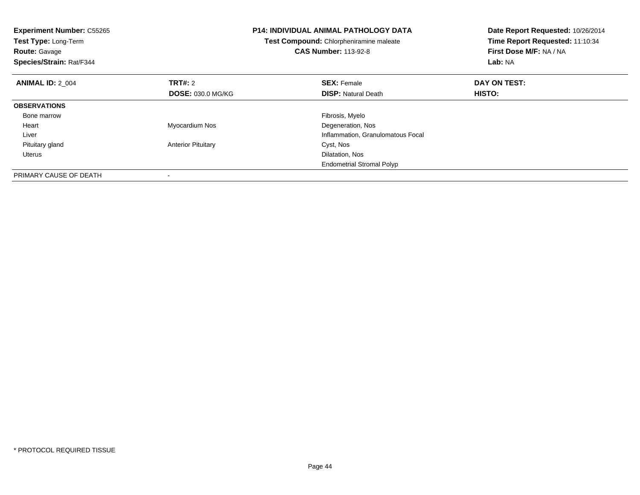| <b>Experiment Number: C55265</b><br>Test Type: Long-Term<br><b>Route: Gavage</b><br>Species/Strain: Rat/F344 |                           | <b>P14: INDIVIDUAL ANIMAL PATHOLOGY DATA</b><br>Test Compound: Chlorpheniramine maleate<br><b>CAS Number: 113-92-8</b> | Date Report Requested: 10/26/2014<br>Time Report Requested: 11:10:34<br>First Dose M/F: NA / NA<br>Lab: NA |
|--------------------------------------------------------------------------------------------------------------|---------------------------|------------------------------------------------------------------------------------------------------------------------|------------------------------------------------------------------------------------------------------------|
| <b>ANIMAL ID: 2 004</b>                                                                                      | TRT#: 2                   | <b>SEX: Female</b>                                                                                                     | DAY ON TEST:                                                                                               |
|                                                                                                              | <b>DOSE: 030.0 MG/KG</b>  | <b>DISP:</b> Natural Death                                                                                             | HISTO:                                                                                                     |
| <b>OBSERVATIONS</b>                                                                                          |                           |                                                                                                                        |                                                                                                            |
| Bone marrow                                                                                                  |                           | Fibrosis, Myelo                                                                                                        |                                                                                                            |
| Heart                                                                                                        | Myocardium Nos            | Degeneration, Nos                                                                                                      |                                                                                                            |
| Liver                                                                                                        |                           | Inflammation, Granulomatous Focal                                                                                      |                                                                                                            |
| Pituitary gland                                                                                              | <b>Anterior Pituitary</b> | Cyst, Nos                                                                                                              |                                                                                                            |
| Uterus                                                                                                       |                           | Dilatation, Nos                                                                                                        |                                                                                                            |
|                                                                                                              |                           | <b>Endometrial Stromal Polyp</b>                                                                                       |                                                                                                            |
| PRIMARY CAUSE OF DEATH                                                                                       |                           |                                                                                                                        |                                                                                                            |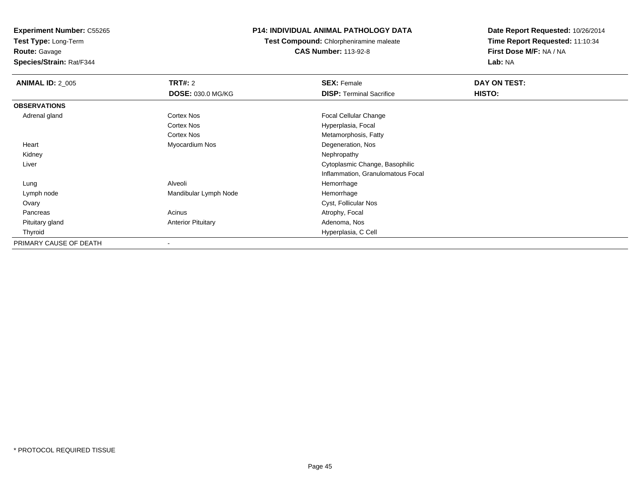**Test Type:** Long-Term

**Route:** Gavage

**Species/Strain:** Rat/F344

# **P14: INDIVIDUAL ANIMAL PATHOLOGY DATA**

**Test Compound:** Chlorpheniramine maleate**CAS Number:** 113-92-8

| <b>ANIMAL ID: 2_005</b> | <b>TRT#: 2</b>            | <b>SEX: Female</b>                | DAY ON TEST:  |  |
|-------------------------|---------------------------|-----------------------------------|---------------|--|
|                         | DOSE: 030.0 MG/KG         | <b>DISP: Terminal Sacrifice</b>   | <b>HISTO:</b> |  |
| <b>OBSERVATIONS</b>     |                           |                                   |               |  |
| Adrenal gland           | <b>Cortex Nos</b>         | Focal Cellular Change             |               |  |
|                         | <b>Cortex Nos</b>         | Hyperplasia, Focal                |               |  |
|                         | <b>Cortex Nos</b>         | Metamorphosis, Fatty              |               |  |
| Heart                   | Myocardium Nos            | Degeneration, Nos                 |               |  |
| Kidney                  |                           | Nephropathy                       |               |  |
| Liver                   |                           | Cytoplasmic Change, Basophilic    |               |  |
|                         |                           | Inflammation, Granulomatous Focal |               |  |
| Lung                    | Alveoli                   | Hemorrhage                        |               |  |
| Lymph node              | Mandibular Lymph Node     | Hemorrhage                        |               |  |
| Ovary                   |                           | Cyst, Follicular Nos              |               |  |
| Pancreas                | Acinus                    | Atrophy, Focal                    |               |  |
| Pituitary gland         | <b>Anterior Pituitary</b> | Adenoma, Nos                      |               |  |
| Thyroid                 |                           | Hyperplasia, C Cell               |               |  |
| PRIMARY CAUSE OF DEATH  |                           |                                   |               |  |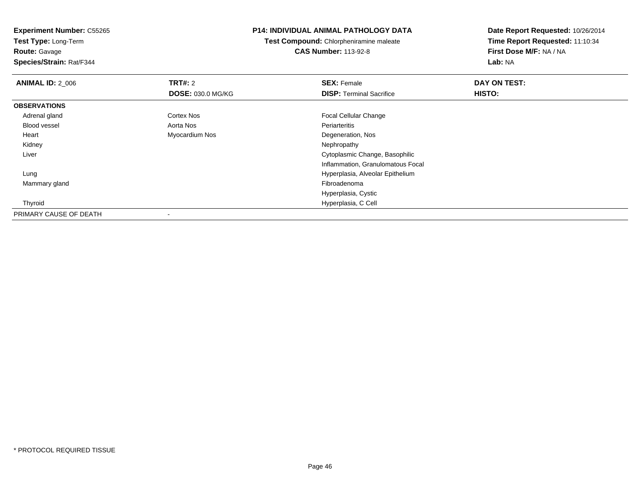**Experiment Number:** C55265**Test Type:** Long-Term**Route:** Gavage **Species/Strain:** Rat/F344**P14: INDIVIDUAL ANIMAL PATHOLOGY DATATest Compound:** Chlorpheniramine maleate**CAS Number:** 113-92-8**Date Report Requested:** 10/26/2014**Time Report Requested:** 11:10:34**First Dose M/F:** NA / NA**Lab:** NA**ANIMAL ID: 2 006 6 DAY ON TEST: TRT#:** 2 **SEX:** Female **SEX:** Female **DOSE:** 030.0 MG/KG**DISP:** Terminal Sacrifice **HISTO: OBSERVATIONS** Adrenal glandCortex Nos **Focal Cellular Change**  Blood vessel Aorta Nos Periarteritis Heart Myocardium Nos Degeneration, Nos Kidneyy the control of the control of the control of the control of the control of the control of the control of the control of the control of the control of the control of the control of the control of the control of the contro Liver Cytoplasmic Change, Basophilic Inflammation, Granulomatous Focal Lung Hyperplasia, Alveolar Epithelium Mammary glandd and the control of the control of the control of the control of the control of the control of the control of the control of the control of the control of the control of the control of the control of the control of the co

Hyperplasia, C Cell

Hyperplasia, Cystic

Thyroid

PRIMARY CAUSE OF DEATH

-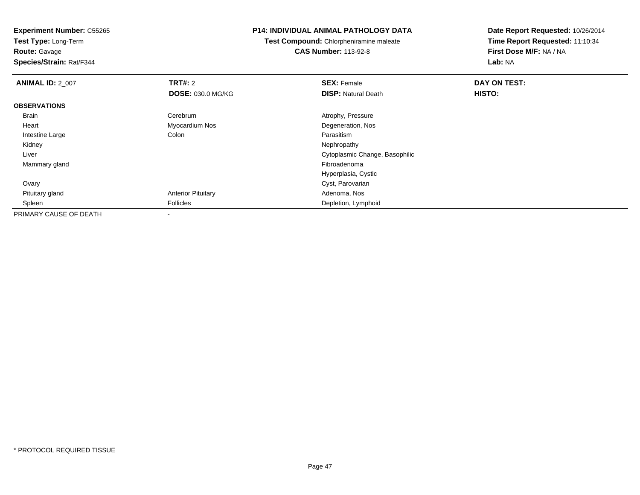**Test Type:** Long-Term**Route:** Gavage

**Species/Strain:** Rat/F344

### **P14: INDIVIDUAL ANIMAL PATHOLOGY DATA**

**Test Compound:** Chlorpheniramine maleate**CAS Number:** 113-92-8

| <b>ANIMAL ID: 2_007</b> | <b>TRT#: 2</b>            | <b>SEX: Female</b>             | DAY ON TEST: |  |
|-------------------------|---------------------------|--------------------------------|--------------|--|
|                         | <b>DOSE: 030.0 MG/KG</b>  | <b>DISP: Natural Death</b>     | HISTO:       |  |
| <b>OBSERVATIONS</b>     |                           |                                |              |  |
| Brain                   | Cerebrum                  | Atrophy, Pressure              |              |  |
| Heart                   | Myocardium Nos            | Degeneration, Nos              |              |  |
| Intestine Large         | Colon                     | Parasitism                     |              |  |
| Kidney                  |                           | Nephropathy                    |              |  |
| Liver                   |                           | Cytoplasmic Change, Basophilic |              |  |
| Mammary gland           |                           | Fibroadenoma                   |              |  |
|                         |                           | Hyperplasia, Cystic            |              |  |
| Ovary                   |                           | Cyst, Parovarian               |              |  |
| Pituitary gland         | <b>Anterior Pituitary</b> | Adenoma, Nos                   |              |  |
| Spleen                  | Follicles                 | Depletion, Lymphoid            |              |  |
| PRIMARY CAUSE OF DEATH  |                           |                                |              |  |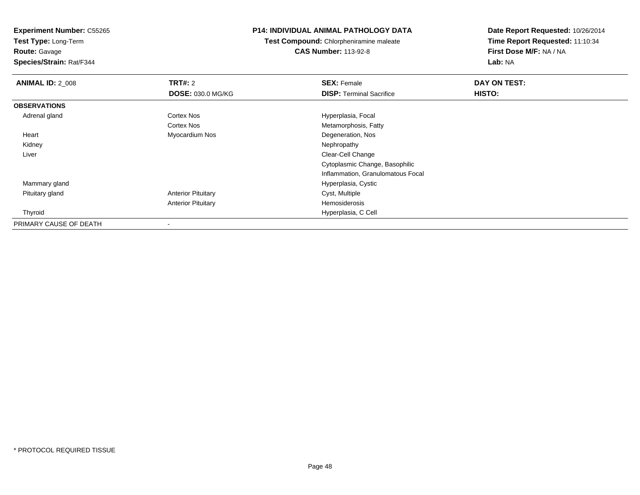**Test Type:** Long-Term

# **Route:** Gavage

**Species/Strain:** Rat/F344

### **P14: INDIVIDUAL ANIMAL PATHOLOGY DATA**

# **Test Compound:** Chlorpheniramine maleate**CAS Number:** 113-92-8

| <b>ANIMAL ID: 2_008</b> | <b>TRT#: 2</b>            | <b>SEX: Female</b>                | DAY ON TEST: |  |
|-------------------------|---------------------------|-----------------------------------|--------------|--|
|                         | DOSE: 030.0 MG/KG         | <b>DISP:</b> Terminal Sacrifice   | HISTO:       |  |
| <b>OBSERVATIONS</b>     |                           |                                   |              |  |
| Adrenal gland           | Cortex Nos                | Hyperplasia, Focal                |              |  |
|                         | Cortex Nos                | Metamorphosis, Fatty              |              |  |
| Heart                   | Myocardium Nos            | Degeneration, Nos                 |              |  |
| Kidney                  |                           | Nephropathy                       |              |  |
| Liver                   |                           | Clear-Cell Change                 |              |  |
|                         |                           | Cytoplasmic Change, Basophilic    |              |  |
|                         |                           | Inflammation, Granulomatous Focal |              |  |
| Mammary gland           |                           | Hyperplasia, Cystic               |              |  |
| Pituitary gland         | <b>Anterior Pituitary</b> | Cyst, Multiple                    |              |  |
|                         | <b>Anterior Pituitary</b> | Hemosiderosis                     |              |  |
| Thyroid                 |                           | Hyperplasia, C Cell               |              |  |
| PRIMARY CAUSE OF DEATH  |                           |                                   |              |  |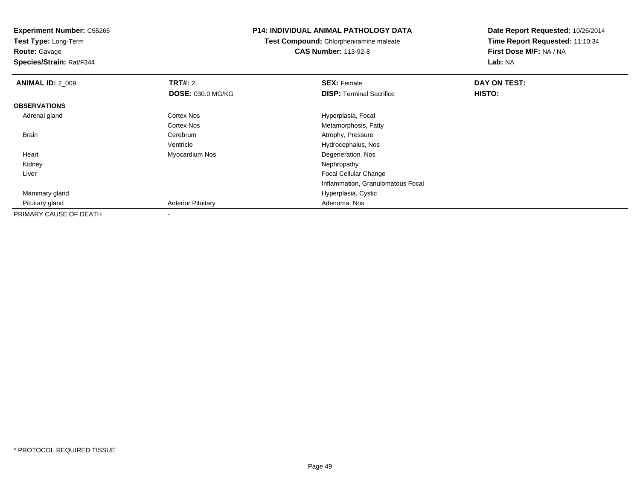**Experiment Number:** C55265**Test Type:** Long-Term**Route:** Gavage **Species/Strain:** Rat/F344**P14: INDIVIDUAL ANIMAL PATHOLOGY DATATest Compound:** Chlorpheniramine maleate**CAS Number:** 113-92-8**Date Report Requested:** 10/26/2014**Time Report Requested:** 11:10:34**First Dose M/F:** NA / NA**Lab:** NA**ANIMAL ID: 2 009 TRT#:** 2 **SEX:** Female **DAY ON TEST: DOSE:** 030.0 MG/KG**DISP:** Terminal Sacrifice **HISTO: OBSERVATIONS** Adrenal glandCortex Nos **Hyperplasia**, Focal Cortex Nos Metamorphosis, Fatty Brain Cerebrum Atrophy, Pressure Ventricle Hydrocephalus, Nos Heart Myocardium Nos Degeneration, Nos Kidneyy the control of the control of the control of the control of the control of the control of the control of the control of the control of the control of the control of the control of the control of the control of the contro Liver Focal Cellular Change Inflammation, Granulomatous Focal Mammary gland Hyperplasia, Cystic Pituitary glandAnterior Pituitary **Adenoma, Nos** Adenoma, Nos PRIMARY CAUSE OF DEATH

-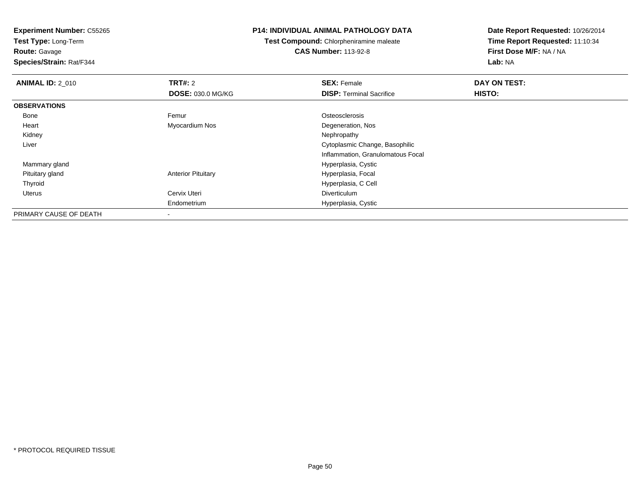**Test Type:** Long-Term**Route:** Gavage

**Species/Strain:** Rat/F344

#### **P14: INDIVIDUAL ANIMAL PATHOLOGY DATA**

# **Test Compound:** Chlorpheniramine maleate**CAS Number:** 113-92-8

| <b>ANIMAL ID: 2_010</b> | <b>TRT#: 2</b>            | <b>SEX: Female</b>                | DAY ON TEST: |  |
|-------------------------|---------------------------|-----------------------------------|--------------|--|
|                         | <b>DOSE: 030.0 MG/KG</b>  | <b>DISP: Terminal Sacrifice</b>   | HISTO:       |  |
| <b>OBSERVATIONS</b>     |                           |                                   |              |  |
| Bone                    | Femur                     | Osteosclerosis                    |              |  |
| Heart                   | Myocardium Nos            | Degeneration, Nos                 |              |  |
| Kidney                  |                           | Nephropathy                       |              |  |
| Liver                   |                           | Cytoplasmic Change, Basophilic    |              |  |
|                         |                           | Inflammation, Granulomatous Focal |              |  |
| Mammary gland           |                           | Hyperplasia, Cystic               |              |  |
| Pituitary gland         | <b>Anterior Pituitary</b> | Hyperplasia, Focal                |              |  |
| Thyroid                 |                           | Hyperplasia, C Cell               |              |  |
| Uterus                  | Cervix Uteri              | Diverticulum                      |              |  |
|                         | Endometrium               | Hyperplasia, Cystic               |              |  |
| PRIMARY CAUSE OF DEATH  |                           |                                   |              |  |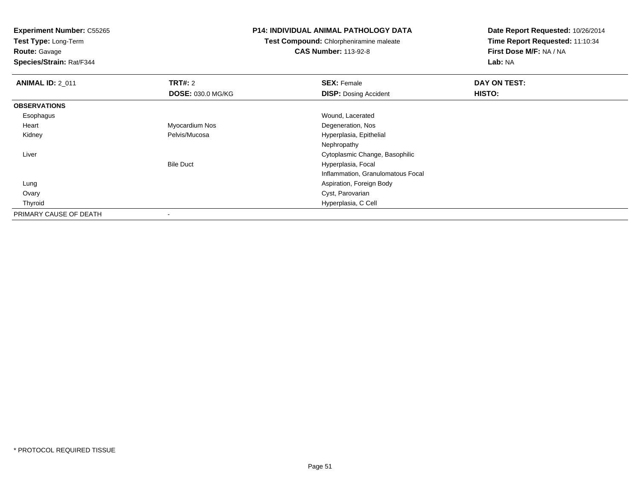**Test Type:** Long-Term

**Route:** Gavage

**Species/Strain:** Rat/F344

#### **P14: INDIVIDUAL ANIMAL PATHOLOGY DATA**

**Test Compound:** Chlorpheniramine maleate**CAS Number:** 113-92-8

| <b>ANIMAL ID: 2_011</b> | <b>TRT#: 2</b>           | <b>SEX: Female</b>                | DAY ON TEST: |  |
|-------------------------|--------------------------|-----------------------------------|--------------|--|
|                         | <b>DOSE: 030.0 MG/KG</b> | <b>DISP: Dosing Accident</b>      | HISTO:       |  |
| <b>OBSERVATIONS</b>     |                          |                                   |              |  |
| Esophagus               |                          | Wound, Lacerated                  |              |  |
| Heart                   | Myocardium Nos           | Degeneration, Nos                 |              |  |
| Kidney                  | Pelvis/Mucosa            | Hyperplasia, Epithelial           |              |  |
|                         |                          | Nephropathy                       |              |  |
| Liver                   |                          | Cytoplasmic Change, Basophilic    |              |  |
|                         | <b>Bile Duct</b>         | Hyperplasia, Focal                |              |  |
|                         |                          | Inflammation, Granulomatous Focal |              |  |
| Lung                    |                          | Aspiration, Foreign Body          |              |  |
| Ovary                   |                          | Cyst, Parovarian                  |              |  |
| Thyroid                 |                          | Hyperplasia, C Cell               |              |  |
| PRIMARY CAUSE OF DEATH  |                          |                                   |              |  |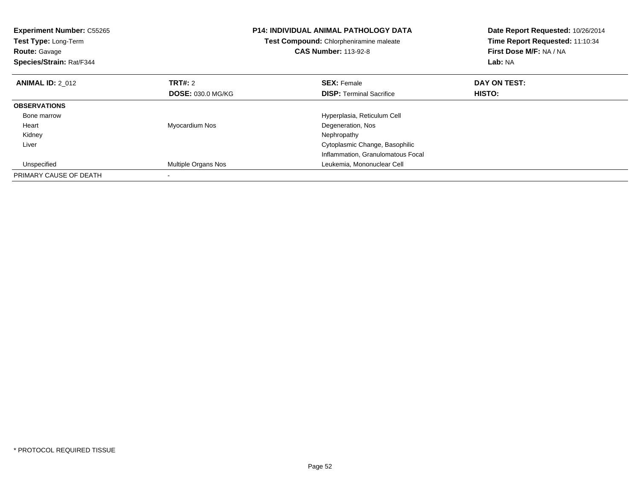| <b>Experiment Number: C55265</b><br>Test Type: Long-Term<br><b>Route: Gavage</b><br>Species/Strain: Rat/F344 |                          | <b>P14: INDIVIDUAL ANIMAL PATHOLOGY DATA</b><br>Test Compound: Chlorpheniramine maleate<br><b>CAS Number: 113-92-8</b> | Date Report Requested: 10/26/2014<br>Time Report Requested: 11:10:34<br>First Dose M/F: NA / NA<br>Lab: NA |
|--------------------------------------------------------------------------------------------------------------|--------------------------|------------------------------------------------------------------------------------------------------------------------|------------------------------------------------------------------------------------------------------------|
| <b>ANIMAL ID: 2 012</b>                                                                                      | TRT#: 2                  | <b>SEX: Female</b>                                                                                                     | DAY ON TEST:                                                                                               |
|                                                                                                              | <b>DOSE: 030.0 MG/KG</b> | <b>DISP:</b> Terminal Sacrifice                                                                                        | <b>HISTO:</b>                                                                                              |
| <b>OBSERVATIONS</b>                                                                                          |                          |                                                                                                                        |                                                                                                            |
| Bone marrow                                                                                                  |                          | Hyperplasia, Reticulum Cell                                                                                            |                                                                                                            |
| Heart                                                                                                        | Myocardium Nos           | Degeneration, Nos                                                                                                      |                                                                                                            |
| Kidney                                                                                                       |                          | Nephropathy                                                                                                            |                                                                                                            |
| Liver                                                                                                        |                          | Cytoplasmic Change, Basophilic                                                                                         |                                                                                                            |
|                                                                                                              |                          | Inflammation, Granulomatous Focal                                                                                      |                                                                                                            |
| Unspecified                                                                                                  | Multiple Organs Nos      | Leukemia, Mononuclear Cell                                                                                             |                                                                                                            |
| PRIMARY CAUSE OF DEATH                                                                                       |                          |                                                                                                                        |                                                                                                            |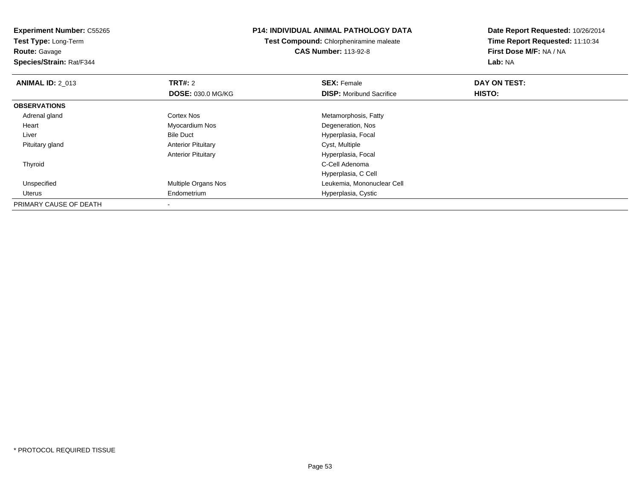**Experiment Number:** C55265**Test Type:** Long-Term**Route:** Gavage **Species/Strain:** Rat/F344**P14: INDIVIDUAL ANIMAL PATHOLOGY DATATest Compound:** Chlorpheniramine maleate**CAS Number:** 113-92-8**Date Report Requested:** 10/26/2014**Time Report Requested:** 11:10:34**First Dose M/F:** NA / NA**Lab:** NA**ANIMAL ID: 2 013 TRT#:** 2 **SEX:** Female **DAY ON TEST: DOSE:** 030.0 MG/KG**DISP:** Moribund Sacrifice **HISTO: OBSERVATIONS** Adrenal glandCortex Nos **Metamorphosis, Fatty**  Heart Myocardium Nos Degeneration, Nos LiverBile Duct **Hyperplasia**, Focal Pituitary glandAnterior Pituitary **Cyst, Multiple** Anterior Pituitary Hyperplasia, Focal Thyroidd C-Cell Adenoma and the control of the control of the control of the control of the control of the control of the control of the control of the control of the control of the control of the control of the control of the co Hyperplasia, C Cell Unspecified Multiple Organs Nos Leukemia, Mononuclear Cell Uterus Endometrium Hyperplasia, Cystic PRIMARY CAUSE OF DEATH

-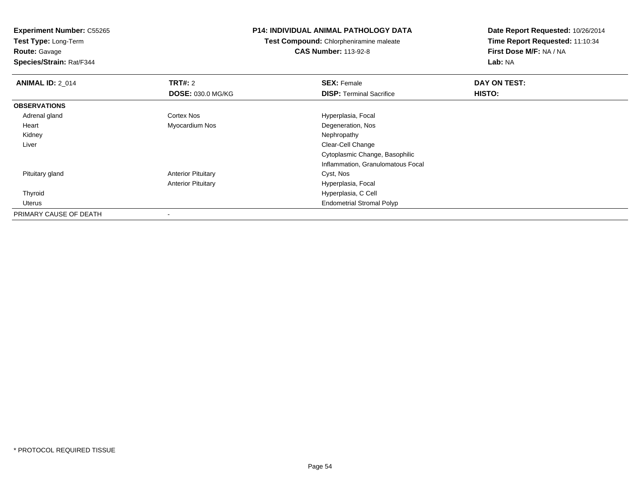**Test Type:** Long-Term**Route:** Gavage

**Species/Strain:** Rat/F344

### **P14: INDIVIDUAL ANIMAL PATHOLOGY DATA**

**Test Compound:** Chlorpheniramine maleate**CAS Number:** 113-92-8

| <b>ANIMAL ID: 2_014</b> | <b>TRT#: 2</b>            | <b>SEX: Female</b>                | DAY ON TEST: |  |
|-------------------------|---------------------------|-----------------------------------|--------------|--|
|                         | <b>DOSE: 030.0 MG/KG</b>  | <b>DISP: Terminal Sacrifice</b>   | HISTO:       |  |
| <b>OBSERVATIONS</b>     |                           |                                   |              |  |
| Adrenal gland           | Cortex Nos                | Hyperplasia, Focal                |              |  |
| Heart                   | Myocardium Nos            | Degeneration, Nos                 |              |  |
| Kidney                  |                           | Nephropathy                       |              |  |
| Liver                   |                           | Clear-Cell Change                 |              |  |
|                         |                           | Cytoplasmic Change, Basophilic    |              |  |
|                         |                           | Inflammation, Granulomatous Focal |              |  |
| Pituitary gland         | <b>Anterior Pituitary</b> | Cyst, Nos                         |              |  |
|                         | <b>Anterior Pituitary</b> | Hyperplasia, Focal                |              |  |
| Thyroid                 |                           | Hyperplasia, C Cell               |              |  |
| Uterus                  |                           | <b>Endometrial Stromal Polyp</b>  |              |  |
| PRIMARY CAUSE OF DEATH  |                           |                                   |              |  |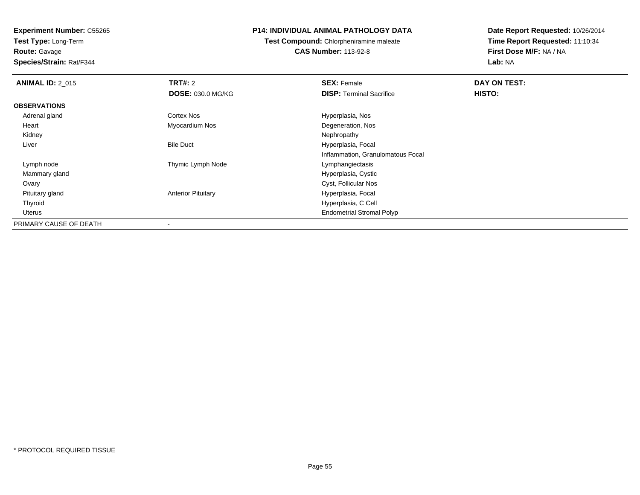**Test Type:** Long-Term**Route:** Gavage

**Species/Strain:** Rat/F344

# **P14: INDIVIDUAL ANIMAL PATHOLOGY DATA**

**Test Compound:** Chlorpheniramine maleate**CAS Number:** 113-92-8

| <b>ANIMAL ID: 2_015</b> | <b>TRT#: 2</b>            | <b>SEX: Female</b>                | DAY ON TEST: |  |
|-------------------------|---------------------------|-----------------------------------|--------------|--|
|                         | <b>DOSE: 030.0 MG/KG</b>  | <b>DISP:</b> Terminal Sacrifice   | HISTO:       |  |
| <b>OBSERVATIONS</b>     |                           |                                   |              |  |
| Adrenal gland           | Cortex Nos                | Hyperplasia, Nos                  |              |  |
| Heart                   | Myocardium Nos            | Degeneration, Nos                 |              |  |
| Kidney                  |                           | Nephropathy                       |              |  |
| Liver                   | <b>Bile Duct</b>          | Hyperplasia, Focal                |              |  |
|                         |                           | Inflammation, Granulomatous Focal |              |  |
| Lymph node              | Thymic Lymph Node         | Lymphangiectasis                  |              |  |
| Mammary gland           |                           | Hyperplasia, Cystic               |              |  |
| Ovary                   |                           | Cyst, Follicular Nos              |              |  |
| Pituitary gland         | <b>Anterior Pituitary</b> | Hyperplasia, Focal                |              |  |
| Thyroid                 |                           | Hyperplasia, C Cell               |              |  |
| Uterus                  |                           | <b>Endometrial Stromal Polyp</b>  |              |  |
| PRIMARY CAUSE OF DEATH  |                           |                                   |              |  |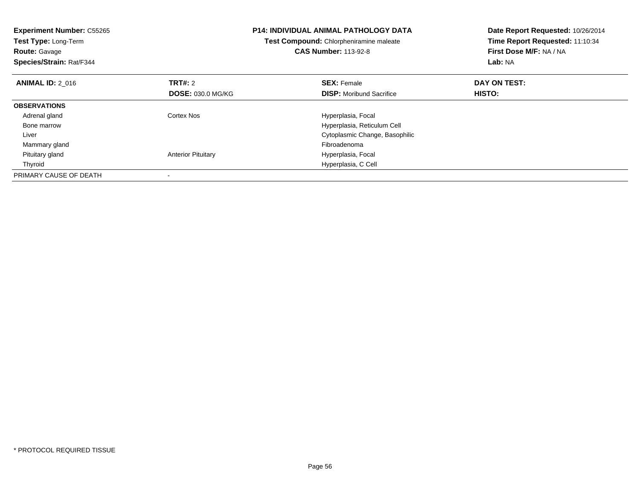| <b>Experiment Number: C55265</b><br>Test Type: Long-Term<br><b>Route: Gavage</b><br>Species/Strain: Rat/F344 |                           | <b>P14: INDIVIDUAL ANIMAL PATHOLOGY DATA</b><br>Test Compound: Chlorpheniramine maleate<br><b>CAS Number: 113-92-8</b> | Date Report Requested: 10/26/2014<br>Time Report Requested: 11:10:34<br>First Dose M/F: NA / NA<br>Lab: NA |
|--------------------------------------------------------------------------------------------------------------|---------------------------|------------------------------------------------------------------------------------------------------------------------|------------------------------------------------------------------------------------------------------------|
| <b>ANIMAL ID: 2 016</b>                                                                                      | TRT#: 2                   | <b>SEX: Female</b>                                                                                                     | DAY ON TEST:                                                                                               |
|                                                                                                              | <b>DOSE: 030.0 MG/KG</b>  | <b>DISP:</b> Moribund Sacrifice                                                                                        | HISTO:                                                                                                     |
| <b>OBSERVATIONS</b>                                                                                          |                           |                                                                                                                        |                                                                                                            |
| Adrenal gland                                                                                                | Cortex Nos                | Hyperplasia, Focal                                                                                                     |                                                                                                            |
| Bone marrow                                                                                                  |                           | Hyperplasia, Reticulum Cell                                                                                            |                                                                                                            |
| Liver                                                                                                        |                           | Cytoplasmic Change, Basophilic                                                                                         |                                                                                                            |
| Mammary gland                                                                                                |                           | Fibroadenoma                                                                                                           |                                                                                                            |
| Pituitary gland                                                                                              | <b>Anterior Pituitary</b> | Hyperplasia, Focal                                                                                                     |                                                                                                            |
| Thyroid                                                                                                      |                           | Hyperplasia, C Cell                                                                                                    |                                                                                                            |
| PRIMARY CAUSE OF DEATH                                                                                       |                           |                                                                                                                        |                                                                                                            |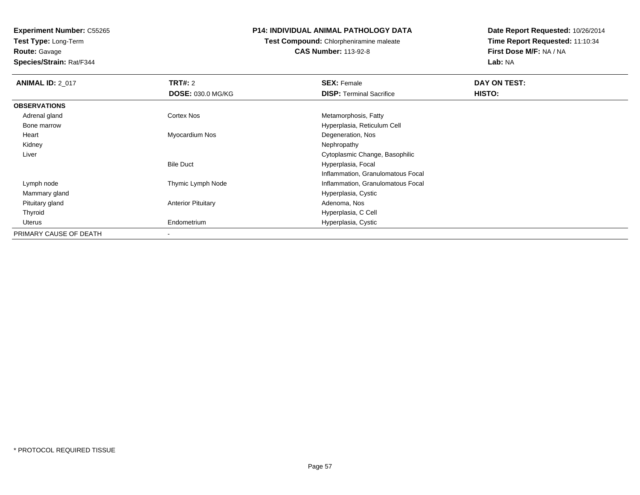**Test Type:** Long-Term**Route:** Gavage

**Species/Strain:** Rat/F344

### **P14: INDIVIDUAL ANIMAL PATHOLOGY DATA**

**Test Compound:** Chlorpheniramine maleate**CAS Number:** 113-92-8

| <b>ANIMAL ID: 2_017</b> | <b>TRT#: 2</b>            | <b>SEX: Female</b>                | DAY ON TEST: |  |
|-------------------------|---------------------------|-----------------------------------|--------------|--|
|                         | <b>DOSE: 030.0 MG/KG</b>  | <b>DISP:</b> Terminal Sacrifice   | HISTO:       |  |
| <b>OBSERVATIONS</b>     |                           |                                   |              |  |
| Adrenal gland           | Cortex Nos                | Metamorphosis, Fatty              |              |  |
| Bone marrow             |                           | Hyperplasia, Reticulum Cell       |              |  |
| Heart                   | Myocardium Nos            | Degeneration, Nos                 |              |  |
| Kidney                  |                           | Nephropathy                       |              |  |
| Liver                   |                           | Cytoplasmic Change, Basophilic    |              |  |
|                         | <b>Bile Duct</b>          | Hyperplasia, Focal                |              |  |
|                         |                           | Inflammation, Granulomatous Focal |              |  |
| Lymph node              | Thymic Lymph Node         | Inflammation, Granulomatous Focal |              |  |
| Mammary gland           |                           | Hyperplasia, Cystic               |              |  |
| Pituitary gland         | <b>Anterior Pituitary</b> | Adenoma, Nos                      |              |  |
| Thyroid                 |                           | Hyperplasia, C Cell               |              |  |
| Uterus                  | Endometrium               | Hyperplasia, Cystic               |              |  |
| PRIMARY CAUSE OF DEATH  |                           |                                   |              |  |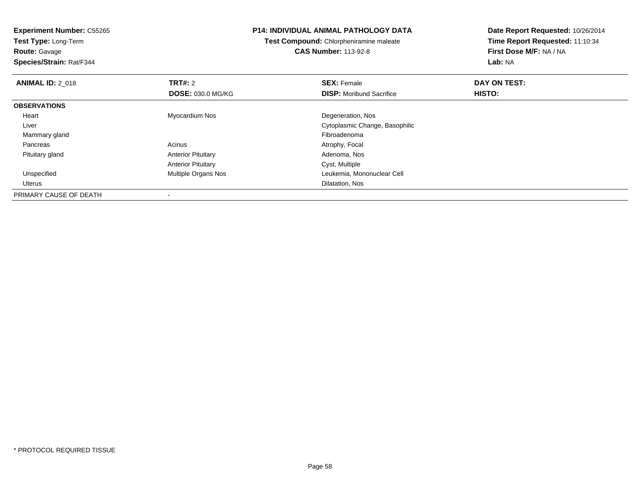**Experiment Number:** C55265**Test Type:** Long-Term**Route:** Gavage **Species/Strain:** Rat/F344**P14: INDIVIDUAL ANIMAL PATHOLOGY DATATest Compound:** Chlorpheniramine maleate**CAS Number:** 113-92-8**Date Report Requested:** 10/26/2014**Time Report Requested:** 11:10:34**First Dose M/F:** NA / NA**Lab:** NA**ANIMAL ID: 2 018 REX:** Female **DAY ON TEST: CONSIST: SEX:** Female **DAY ON TEST: DOSE:** 030.0 MG/KG**DISP:** Moribund Sacrifice **HISTO: OBSERVATIONS** Heart Myocardium Nos Degeneration, Nos Liver Cytoplasmic Change, Basophilic Mammary glandd and the control of the control of the control of the control of the control of the control of the control of the control of the control of the control of the control of the control of the control of the control of the co PancreasAcinus **Acinus** Atrophy, Focal Pituitary glandAnterior Pituitary **Adenoma, Nos** Adenoma, Nos Anterior PituitaryAnterior Pituitary Cyst, Multiple<br>
Multiple Organs Nos<br>
Leukemia, Mc d **Multiple Organs Nos Communist Cell** Leukemia, Mononuclear Cell Unspecified Uteruss and the contract of the contract of the contract of the contract of the contract of the contract of the contract of the contract of the contract of the contract of the contract of the contract of the contract of the cont PRIMARY CAUSE OF DEATH-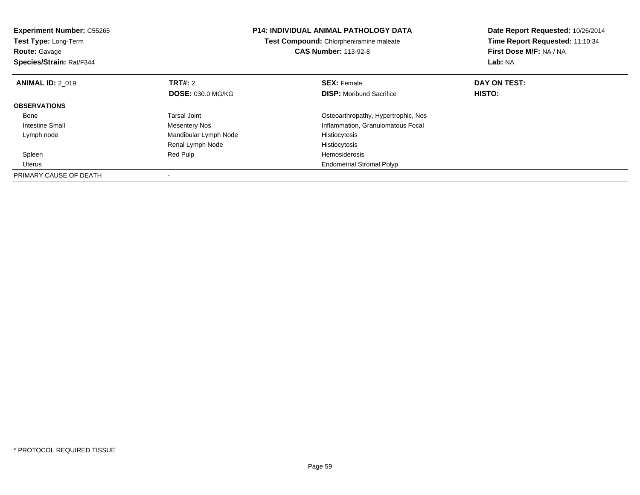| <b>Experiment Number: C55265</b><br>Test Type: Long-Term<br><b>Route: Gavage</b><br>Species/Strain: Rat/F344 |                          | <b>P14: INDIVIDUAL ANIMAL PATHOLOGY DATA</b><br>Test Compound: Chlorpheniramine maleate<br><b>CAS Number: 113-92-8</b> | Date Report Requested: 10/26/2014<br>Time Report Requested: 11:10:34<br>First Dose M/F: NA / NA<br>Lab: NA |
|--------------------------------------------------------------------------------------------------------------|--------------------------|------------------------------------------------------------------------------------------------------------------------|------------------------------------------------------------------------------------------------------------|
| <b>ANIMAL ID: 2 019</b>                                                                                      | <b>TRT#: 2</b>           | <b>SEX: Female</b>                                                                                                     | DAY ON TEST:                                                                                               |
|                                                                                                              | <b>DOSE: 030.0 MG/KG</b> | <b>DISP:</b> Moribund Sacrifice                                                                                        | HISTO:                                                                                                     |
| <b>OBSERVATIONS</b>                                                                                          |                          |                                                                                                                        |                                                                                                            |
| Bone                                                                                                         | Tarsal Joint             | Osteoarthropathy, Hypertrophic, Nos                                                                                    |                                                                                                            |
| <b>Intestine Small</b>                                                                                       | <b>Mesentery Nos</b>     | Inflammation, Granulomatous Focal                                                                                      |                                                                                                            |
| Lymph node                                                                                                   | Mandibular Lymph Node    | Histiocytosis                                                                                                          |                                                                                                            |
|                                                                                                              | Renal Lymph Node         | Histiocytosis                                                                                                          |                                                                                                            |
| Spleen                                                                                                       | Red Pulp                 | <b>Hemosiderosis</b>                                                                                                   |                                                                                                            |
| Uterus                                                                                                       |                          | <b>Endometrial Stromal Polyp</b>                                                                                       |                                                                                                            |
| PRIMARY CAUSE OF DEATH                                                                                       |                          |                                                                                                                        |                                                                                                            |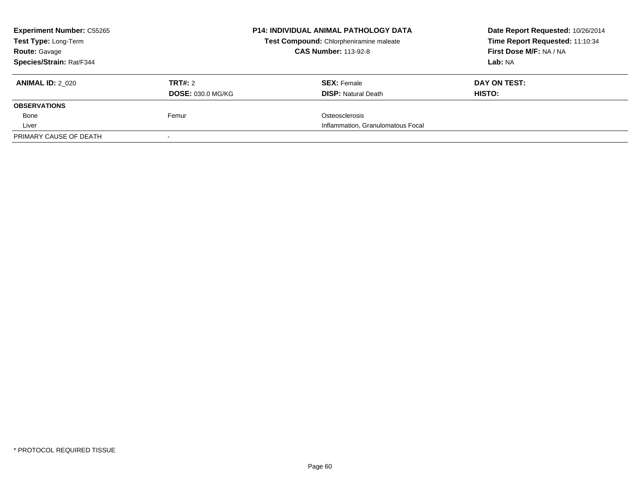| <b>Experiment Number: C55265</b> |                          | <b>P14: INDIVIDUAL ANIMAL PATHOLOGY DATA</b> | Date Report Requested: 10/26/2014 |
|----------------------------------|--------------------------|----------------------------------------------|-----------------------------------|
| Test Type: Long-Term             |                          | Test Compound: Chlorpheniramine maleate      | Time Report Requested: 11:10:34   |
| <b>Route: Gavage</b>             |                          | <b>CAS Number: 113-92-8</b>                  | First Dose M/F: NA / NA           |
| Species/Strain: Rat/F344         |                          |                                              | Lab: NA                           |
| <b>ANIMAL ID: 2 020</b>          | TRT#: 2                  | <b>SEX: Female</b>                           | DAY ON TEST:                      |
|                                  | <b>DOSE: 030.0 MG/KG</b> | <b>DISP:</b> Natural Death                   | HISTO:                            |
| <b>OBSERVATIONS</b>              |                          |                                              |                                   |
| Bone                             | Femur                    | Osteosclerosis                               |                                   |
| Liver                            |                          | Inflammation, Granulomatous Focal            |                                   |
| PRIMARY CAUSE OF DEATH           |                          |                                              |                                   |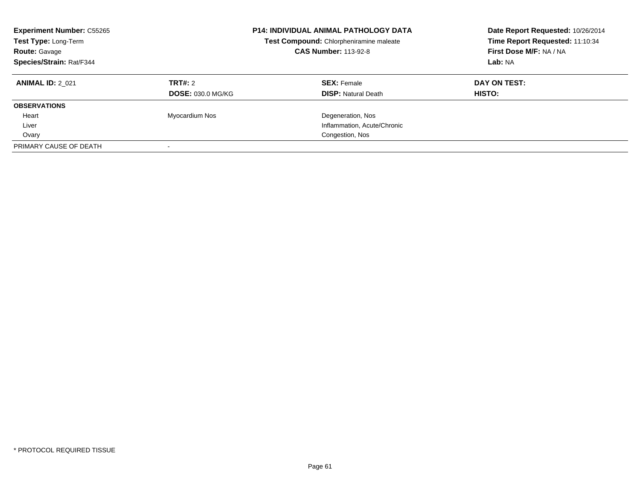| <b>Experiment Number: C55265</b><br>Test Type: Long-Term<br><b>Route: Gavage</b><br>Species/Strain: Rat/F344 |                          | <b>P14: INDIVIDUAL ANIMAL PATHOLOGY DATA</b><br>Test Compound: Chlorpheniramine maleate<br><b>CAS Number: 113-92-8</b> | Date Report Requested: 10/26/2014<br>Time Report Requested: 11:10:34<br>First Dose M/F: NA / NA<br>Lab: NA |
|--------------------------------------------------------------------------------------------------------------|--------------------------|------------------------------------------------------------------------------------------------------------------------|------------------------------------------------------------------------------------------------------------|
| <b>ANIMAL ID: 2 021</b>                                                                                      | TRT#: 2                  | <b>SEX: Female</b>                                                                                                     | DAY ON TEST:                                                                                               |
|                                                                                                              | <b>DOSE: 030.0 MG/KG</b> | <b>DISP: Natural Death</b>                                                                                             | HISTO:                                                                                                     |
| <b>OBSERVATIONS</b>                                                                                          |                          |                                                                                                                        |                                                                                                            |
| Heart                                                                                                        | Myocardium Nos           | Degeneration, Nos                                                                                                      |                                                                                                            |
| Liver                                                                                                        |                          | Inflammation, Acute/Chronic                                                                                            |                                                                                                            |
| Ovary                                                                                                        |                          | Congestion, Nos                                                                                                        |                                                                                                            |
| PRIMARY CAUSE OF DEATH                                                                                       |                          |                                                                                                                        |                                                                                                            |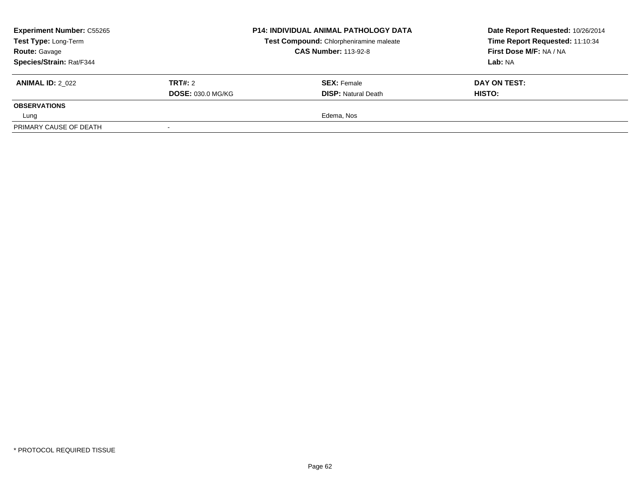| <b>Experiment Number: C55265</b><br>Test Type: Long-Term<br><b>Route: Gavage</b> |                          | <b>P14: INDIVIDUAL ANIMAL PATHOLOGY DATA</b><br>Test Compound: Chlorpheniramine maleate<br><b>CAS Number: 113-92-8</b> | Date Report Requested: 10/26/2014<br>Time Report Requested: 11:10:34<br>First Dose M/F: NA / NA |
|----------------------------------------------------------------------------------|--------------------------|------------------------------------------------------------------------------------------------------------------------|-------------------------------------------------------------------------------------------------|
| Species/Strain: Rat/F344                                                         |                          |                                                                                                                        | Lab: NA                                                                                         |
| <b>ANIMAL ID: 2 022</b>                                                          | TRT#: 2                  | <b>SEX: Female</b>                                                                                                     | DAY ON TEST:                                                                                    |
|                                                                                  | <b>DOSE: 030.0 MG/KG</b> | <b>DISP:</b> Natural Death                                                                                             | HISTO:                                                                                          |
| <b>OBSERVATIONS</b>                                                              |                          |                                                                                                                        |                                                                                                 |
| Lung                                                                             |                          | Edema, Nos                                                                                                             |                                                                                                 |
| PRIMARY CAUSE OF DEATH                                                           |                          |                                                                                                                        |                                                                                                 |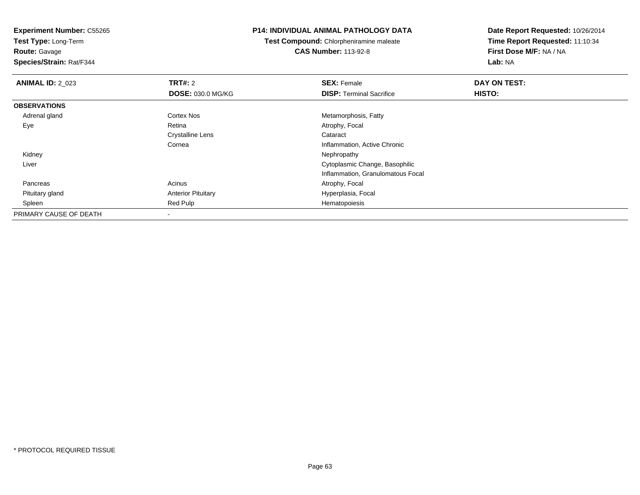**Test Type:** Long-Term

**Route:** Gavage

**Species/Strain:** Rat/F344

#### **P14: INDIVIDUAL ANIMAL PATHOLOGY DATA**

**Test Compound:** Chlorpheniramine maleate**CAS Number:** 113-92-8

| <b>ANIMAL ID: 2_023</b> | TRT#: 2                   | <b>SEX: Female</b>                | DAY ON TEST: |  |
|-------------------------|---------------------------|-----------------------------------|--------------|--|
|                         | DOSE: 030.0 MG/KG         | <b>DISP: Terminal Sacrifice</b>   | HISTO:       |  |
| <b>OBSERVATIONS</b>     |                           |                                   |              |  |
| Adrenal gland           | <b>Cortex Nos</b>         | Metamorphosis, Fatty              |              |  |
| Eye                     | Retina                    | Atrophy, Focal                    |              |  |
|                         | <b>Crystalline Lens</b>   | Cataract                          |              |  |
|                         | Cornea                    | Inflammation, Active Chronic      |              |  |
| Kidney                  |                           | Nephropathy                       |              |  |
| Liver                   |                           | Cytoplasmic Change, Basophilic    |              |  |
|                         |                           | Inflammation, Granulomatous Focal |              |  |
| Pancreas                | Acinus                    | Atrophy, Focal                    |              |  |
| Pituitary gland         | <b>Anterior Pituitary</b> | Hyperplasia, Focal                |              |  |
| Spleen                  | Red Pulp                  | Hematopoiesis                     |              |  |
| PRIMARY CAUSE OF DEATH  |                           |                                   |              |  |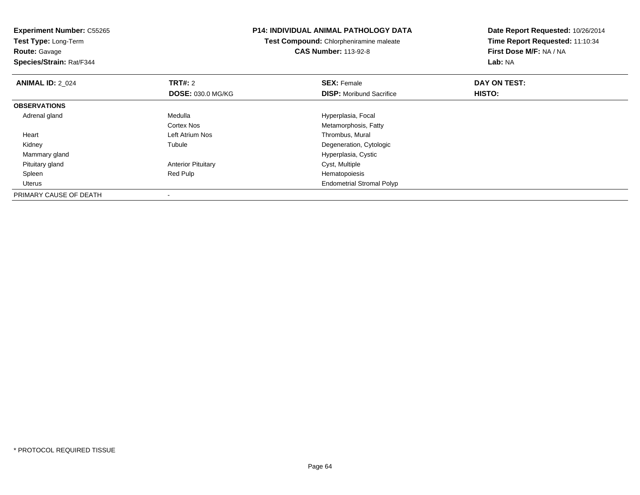| <b>Experiment Number: C55265</b><br>Test Type: Long-Term<br><b>Route: Gavage</b><br>Species/Strain: Rat/F344 |                           | <b>P14: INDIVIDUAL ANIMAL PATHOLOGY DATA</b><br>Test Compound: Chlorpheniramine maleate<br><b>CAS Number: 113-92-8</b> | Date Report Requested: 10/26/2014<br>Time Report Requested: 11:10:34<br>First Dose M/F: NA / NA<br>Lab: NA |
|--------------------------------------------------------------------------------------------------------------|---------------------------|------------------------------------------------------------------------------------------------------------------------|------------------------------------------------------------------------------------------------------------|
| <b>ANIMAL ID: 2_024</b>                                                                                      | <b>TRT#: 2</b>            | <b>SEX: Female</b>                                                                                                     | DAY ON TEST:                                                                                               |
|                                                                                                              | <b>DOSE: 030.0 MG/KG</b>  | <b>DISP:</b> Moribund Sacrifice                                                                                        | HISTO:                                                                                                     |
| <b>OBSERVATIONS</b>                                                                                          |                           |                                                                                                                        |                                                                                                            |
| Adrenal gland                                                                                                | Medulla                   | Hyperplasia, Focal                                                                                                     |                                                                                                            |
|                                                                                                              | Cortex Nos                | Metamorphosis, Fatty                                                                                                   |                                                                                                            |
| Heart                                                                                                        | Left Atrium Nos           | Thrombus, Mural                                                                                                        |                                                                                                            |
| Kidney                                                                                                       | Tubule                    | Degeneration, Cytologic                                                                                                |                                                                                                            |
| Mammary gland                                                                                                |                           | Hyperplasia, Cystic                                                                                                    |                                                                                                            |
| Pituitary gland                                                                                              | <b>Anterior Pituitary</b> | Cyst, Multiple                                                                                                         |                                                                                                            |
| Spleen                                                                                                       | Red Pulp                  | Hematopoiesis                                                                                                          |                                                                                                            |
| <b>Uterus</b>                                                                                                |                           | <b>Endometrial Stromal Polyp</b>                                                                                       |                                                                                                            |
| PRIMARY CAUSE OF DEATH                                                                                       |                           |                                                                                                                        |                                                                                                            |

-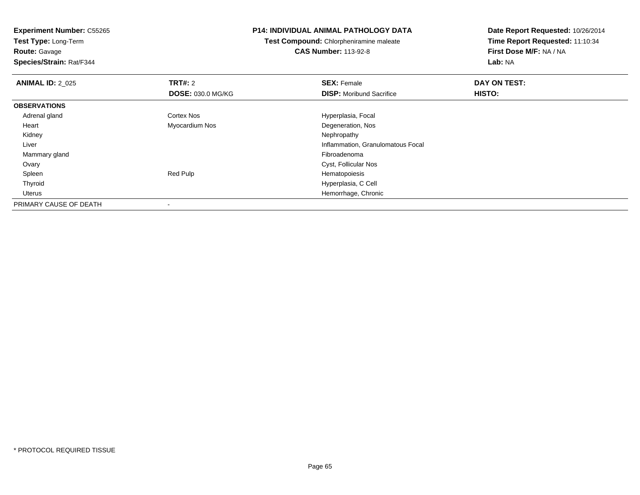**Experiment Number:** C55265**Test Type:** Long-Term**Route:** Gavage **Species/Strain:** Rat/F344**P14: INDIVIDUAL ANIMAL PATHOLOGY DATATest Compound:** Chlorpheniramine maleate**CAS Number:** 113-92-8**Date Report Requested:** 10/26/2014**Time Report Requested:** 11:10:34**First Dose M/F:** NA / NA**Lab:** NA**ANIMAL ID: 2 025 TRT#:** 2 **SEX:** Female **DAY ON TEST: DOSE:** 030.0 MG/KG**DISP:** Moribund Sacrifice **HISTO: OBSERVATIONS** Adrenal glandCortex Nos **Hyperplasia**, Focal Heart Myocardium Nos Degeneration, Nos Kidneyy the control of the control of the control of the control of the control of the control of the control of the control of the control of the control of the control of the control of the control of the control of the contro Liver Inflammation, Granulomatous Focal Mammary glandd and the control of the control of the control of the control of the control of the control of the control of the control of the control of the control of the control of the control of the control of the control of the co Ovary Cyst, Follicular Nos Spleen Red Pulp Hematopoiesis Thyroid Hyperplasia, C Cell Uterus Hemorrhage, Chronic PRIMARY CAUSE OF DEATH-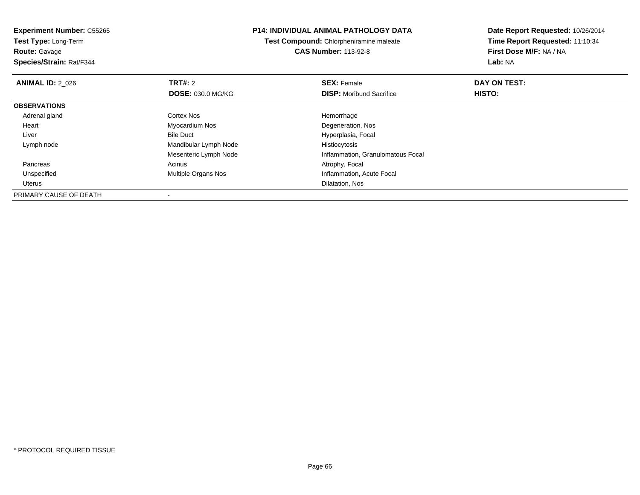**Test Type:** Long-Term

**Route:** Gavage

**Species/Strain:** Rat/F344

### **P14: INDIVIDUAL ANIMAL PATHOLOGY DATA**

**Test Compound:** Chlorpheniramine maleate**CAS Number:** 113-92-8

| <b>ANIMAL ID: 2 026</b> | TRT#: 2                    | <b>SEX: Female</b>                | DAY ON TEST:  |  |
|-------------------------|----------------------------|-----------------------------------|---------------|--|
|                         | <b>DOSE: 030.0 MG/KG</b>   | <b>DISP:</b> Moribund Sacrifice   | <b>HISTO:</b> |  |
| <b>OBSERVATIONS</b>     |                            |                                   |               |  |
| Adrenal gland           | <b>Cortex Nos</b>          | Hemorrhage                        |               |  |
| Heart                   | Myocardium Nos             | Degeneration, Nos                 |               |  |
| Liver                   | <b>Bile Duct</b>           | Hyperplasia, Focal                |               |  |
| Lymph node              | Mandibular Lymph Node      | Histiocytosis                     |               |  |
|                         | Mesenteric Lymph Node      | Inflammation, Granulomatous Focal |               |  |
| Pancreas                | Acinus                     | Atrophy, Focal                    |               |  |
| Unspecified             | <b>Multiple Organs Nos</b> | Inflammation, Acute Focal         |               |  |
| Uterus                  |                            | Dilatation, Nos                   |               |  |
| PRIMARY CAUSE OF DEATH  | $\overline{\phantom{a}}$   |                                   |               |  |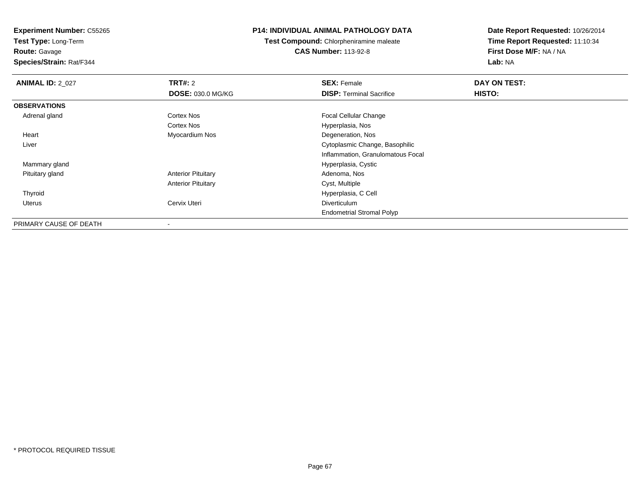**Test Type:** Long-Term

# **Route:** Gavage

**Species/Strain:** Rat/F344

### **P14: INDIVIDUAL ANIMAL PATHOLOGY DATA**

**Test Compound:** Chlorpheniramine maleate**CAS Number:** 113-92-8

| <b>ANIMAL ID: 2 027</b> | TRT#: 2                   | <b>SEX: Female</b>                | DAY ON TEST: |  |
|-------------------------|---------------------------|-----------------------------------|--------------|--|
|                         | <b>DOSE: 030.0 MG/KG</b>  | <b>DISP:</b> Terminal Sacrifice   | HISTO:       |  |
| <b>OBSERVATIONS</b>     |                           |                                   |              |  |
| Adrenal gland           | Cortex Nos                | <b>Focal Cellular Change</b>      |              |  |
|                         | <b>Cortex Nos</b>         | Hyperplasia, Nos                  |              |  |
| Heart                   | Myocardium Nos            | Degeneration, Nos                 |              |  |
| Liver                   |                           | Cytoplasmic Change, Basophilic    |              |  |
|                         |                           | Inflammation, Granulomatous Focal |              |  |
| Mammary gland           |                           | Hyperplasia, Cystic               |              |  |
| Pituitary gland         | <b>Anterior Pituitary</b> | Adenoma, Nos                      |              |  |
|                         | <b>Anterior Pituitary</b> | Cyst, Multiple                    |              |  |
| Thyroid                 |                           | Hyperplasia, C Cell               |              |  |
| Uterus                  | Cervix Uteri              | <b>Diverticulum</b>               |              |  |
|                         |                           | <b>Endometrial Stromal Polyp</b>  |              |  |
| PRIMARY CAUSE OF DEATH  | $\,$ $\,$                 |                                   |              |  |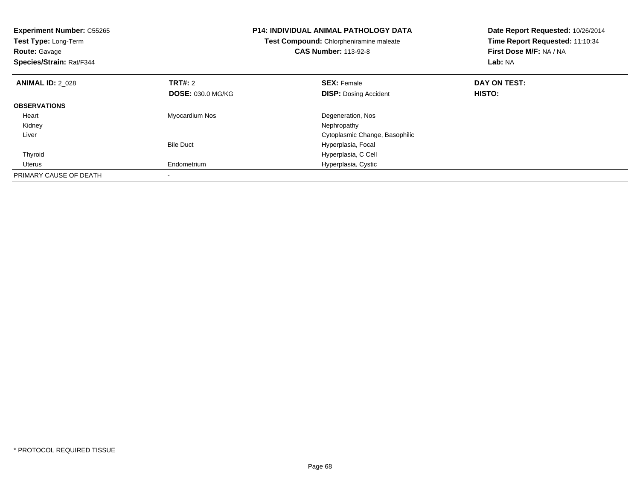| <b>Experiment Number: C55265</b><br>Test Type: Long-Term<br><b>Route: Gavage</b><br>Species/Strain: Rat/F344 |                          | <b>P14: INDIVIDUAL ANIMAL PATHOLOGY DATA</b><br>Test Compound: Chlorpheniramine maleate<br><b>CAS Number: 113-92-8</b> | Date Report Requested: 10/26/2014<br>Time Report Requested: 11:10:34<br>First Dose M/F: NA / NA<br>Lab: NA |  |
|--------------------------------------------------------------------------------------------------------------|--------------------------|------------------------------------------------------------------------------------------------------------------------|------------------------------------------------------------------------------------------------------------|--|
| <b>ANIMAL ID: 2 028</b>                                                                                      | TRT#: 2                  | <b>SEX: Female</b>                                                                                                     | DAY ON TEST:                                                                                               |  |
|                                                                                                              | <b>DOSE: 030.0 MG/KG</b> | <b>DISP: Dosing Accident</b>                                                                                           | HISTO:                                                                                                     |  |
| <b>OBSERVATIONS</b>                                                                                          |                          |                                                                                                                        |                                                                                                            |  |
| Heart                                                                                                        | Myocardium Nos           | Degeneration, Nos                                                                                                      |                                                                                                            |  |
| Kidney                                                                                                       |                          | Nephropathy                                                                                                            |                                                                                                            |  |
| Liver                                                                                                        |                          | Cytoplasmic Change, Basophilic                                                                                         |                                                                                                            |  |
|                                                                                                              | <b>Bile Duct</b>         | Hyperplasia, Focal                                                                                                     |                                                                                                            |  |
| Thyroid                                                                                                      |                          | Hyperplasia, C Cell                                                                                                    |                                                                                                            |  |
| Uterus                                                                                                       | Endometrium              | Hyperplasia, Cystic                                                                                                    |                                                                                                            |  |
| PRIMARY CAUSE OF DEATH                                                                                       |                          |                                                                                                                        |                                                                                                            |  |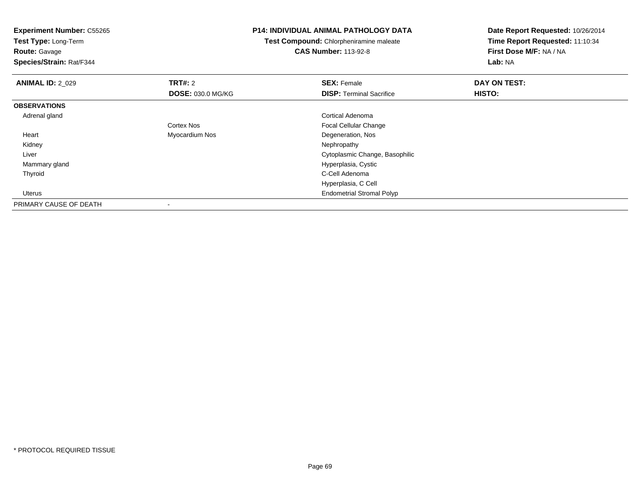**Experiment Number:** C55265**Test Type:** Long-Term**Route:** Gavage **Species/Strain:** Rat/F344**P14: INDIVIDUAL ANIMAL PATHOLOGY DATATest Compound:** Chlorpheniramine maleate**CAS Number:** 113-92-8**Date Report Requested:** 10/26/2014**Time Report Requested:** 11:10:34**First Dose M/F:** NA / NA**Lab:** NA**ANIMAL ID: 2 029 TRT#:** 2 **SEX:** Female **DAY ON TEST: DOSE:** 030.0 MG/KG**DISP:** Terminal Sacrifice **HISTO: OBSERVATIONS** Adrenal gland Cortical Adenoma Cortex Nos Focal Cellular Change Heart Myocardium Nos Degeneration, Nos Kidneyy the control of the control of the control of the control of the control of the control of the control of the control of the control of the control of the control of the control of the control of the control of the contro Liver Cytoplasmic Change, Basophilic Mammary gland Hyperplasia, Cystic Thyroid C-Cell Adenoma Hyperplasia, C Cell Uterus Endometrial Stromal PolypPRIMARY CAUSE OF DEATH-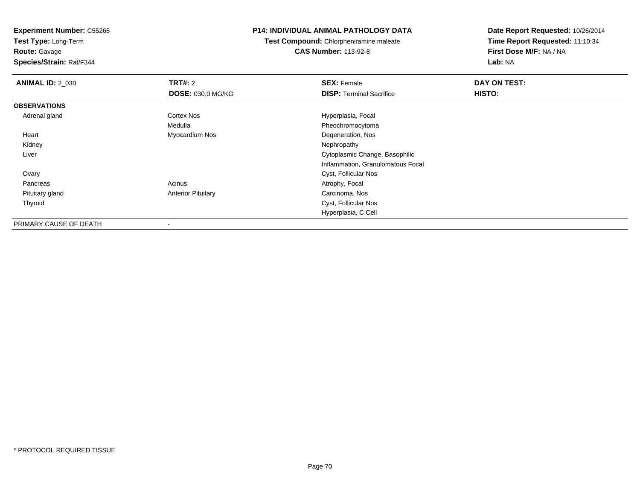**Test Type:** Long-Term

**Route:** Gavage

**Species/Strain:** Rat/F344

### **P14: INDIVIDUAL ANIMAL PATHOLOGY DATA**

**Test Compound:** Chlorpheniramine maleate**CAS Number:** 113-92-8

| <b>ANIMAL ID: 2_030</b> | TRT#: 2                   | <b>SEX: Female</b>                | DAY ON TEST: |  |
|-------------------------|---------------------------|-----------------------------------|--------------|--|
|                         | <b>DOSE: 030.0 MG/KG</b>  | <b>DISP:</b> Terminal Sacrifice   | HISTO:       |  |
| <b>OBSERVATIONS</b>     |                           |                                   |              |  |
| Adrenal gland           | Cortex Nos                | Hyperplasia, Focal                |              |  |
|                         | Medulla                   | Pheochromocytoma                  |              |  |
| Heart                   | Myocardium Nos            | Degeneration, Nos                 |              |  |
| Kidney                  |                           | Nephropathy                       |              |  |
| Liver                   |                           | Cytoplasmic Change, Basophilic    |              |  |
|                         |                           | Inflammation, Granulomatous Focal |              |  |
| Ovary                   |                           | Cyst, Follicular Nos              |              |  |
| Pancreas                | Acinus                    | Atrophy, Focal                    |              |  |
| Pituitary gland         | <b>Anterior Pituitary</b> | Carcinoma, Nos                    |              |  |
| Thyroid                 |                           | Cyst, Follicular Nos              |              |  |
|                         |                           | Hyperplasia, C Cell               |              |  |
| PRIMARY CAUSE OF DEATH  | $\overline{\phantom{a}}$  |                                   |              |  |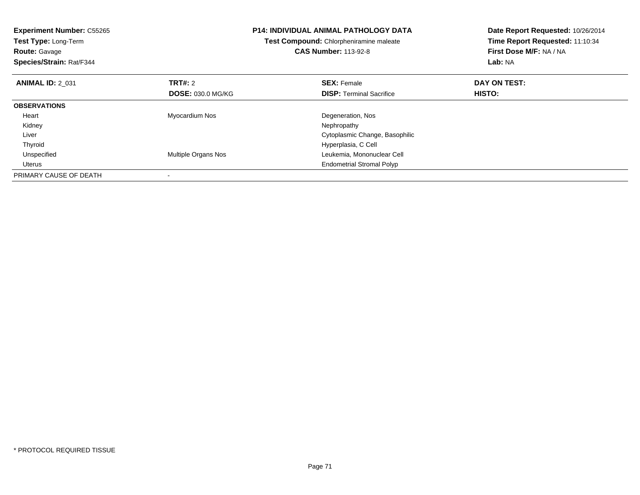| <b>Experiment Number: C55265</b><br><b>Test Type: Long-Term</b><br><b>Route: Gavage</b><br>Species/Strain: Rat/F344 |                          | <b>P14: INDIVIDUAL ANIMAL PATHOLOGY DATA</b><br>Test Compound: Chlorpheniramine maleate<br><b>CAS Number: 113-92-8</b> | Date Report Requested: 10/26/2014<br>Time Report Requested: 11:10:34<br>First Dose M/F: NA / NA<br>Lab: NA |  |
|---------------------------------------------------------------------------------------------------------------------|--------------------------|------------------------------------------------------------------------------------------------------------------------|------------------------------------------------------------------------------------------------------------|--|
| <b>ANIMAL ID: 2 031</b>                                                                                             | <b>TRT#: 2</b>           | <b>SEX: Female</b>                                                                                                     | DAY ON TEST:                                                                                               |  |
|                                                                                                                     | <b>DOSE: 030.0 MG/KG</b> | <b>DISP:</b> Terminal Sacrifice                                                                                        | <b>HISTO:</b>                                                                                              |  |
| <b>OBSERVATIONS</b>                                                                                                 |                          |                                                                                                                        |                                                                                                            |  |
| Heart                                                                                                               | Myocardium Nos           | Degeneration, Nos                                                                                                      |                                                                                                            |  |
| Kidney                                                                                                              |                          | Nephropathy                                                                                                            |                                                                                                            |  |
| Liver                                                                                                               |                          | Cytoplasmic Change, Basophilic                                                                                         |                                                                                                            |  |
| Thyroid                                                                                                             |                          | Hyperplasia, C Cell                                                                                                    |                                                                                                            |  |
| Unspecified                                                                                                         | Multiple Organs Nos      | Leukemia, Mononuclear Cell                                                                                             |                                                                                                            |  |
| Uterus                                                                                                              |                          | <b>Endometrial Stromal Polyp</b>                                                                                       |                                                                                                            |  |
| PRIMARY CAUSE OF DEATH                                                                                              |                          |                                                                                                                        |                                                                                                            |  |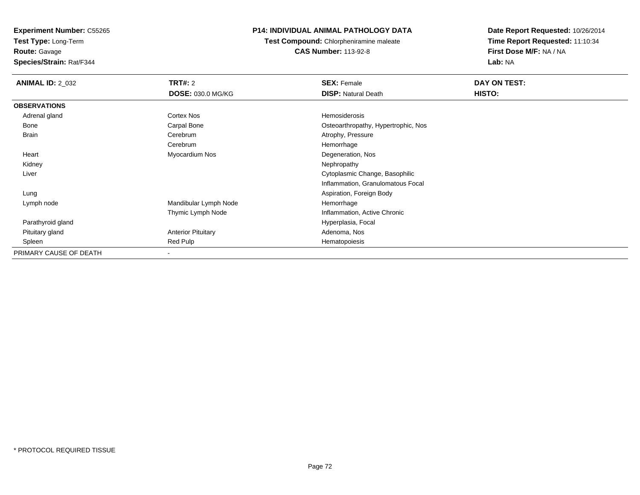**Test Type:** Long-Term

**Route:** Gavage

**Species/Strain:** Rat/F344

# **P14: INDIVIDUAL ANIMAL PATHOLOGY DATA**

**Test Compound:** Chlorpheniramine maleate**CAS Number:** 113-92-8

| <b>ANIMAL ID: 2_032</b> | TRT#: 2                   | <b>SEX: Female</b>                  | DAY ON TEST: |  |
|-------------------------|---------------------------|-------------------------------------|--------------|--|
|                         | <b>DOSE: 030.0 MG/KG</b>  | <b>DISP: Natural Death</b>          | HISTO:       |  |
| <b>OBSERVATIONS</b>     |                           |                                     |              |  |
| Adrenal gland           | Cortex Nos                | Hemosiderosis                       |              |  |
| Bone                    | Carpal Bone               | Osteoarthropathy, Hypertrophic, Nos |              |  |
| <b>Brain</b>            | Cerebrum                  | Atrophy, Pressure                   |              |  |
|                         | Cerebrum                  | Hemorrhage                          |              |  |
| Heart                   | Myocardium Nos            | Degeneration, Nos                   |              |  |
| Kidney                  |                           | Nephropathy                         |              |  |
| Liver                   |                           | Cytoplasmic Change, Basophilic      |              |  |
|                         |                           | Inflammation, Granulomatous Focal   |              |  |
| Lung                    |                           | Aspiration, Foreign Body            |              |  |
| Lymph node              | Mandibular Lymph Node     | Hemorrhage                          |              |  |
|                         | Thymic Lymph Node         | Inflammation, Active Chronic        |              |  |
| Parathyroid gland       |                           | Hyperplasia, Focal                  |              |  |
| Pituitary gland         | <b>Anterior Pituitary</b> | Adenoma, Nos                        |              |  |
| Spleen                  | Red Pulp                  | Hematopoiesis                       |              |  |
| PRIMARY CAUSE OF DEATH  |                           |                                     |              |  |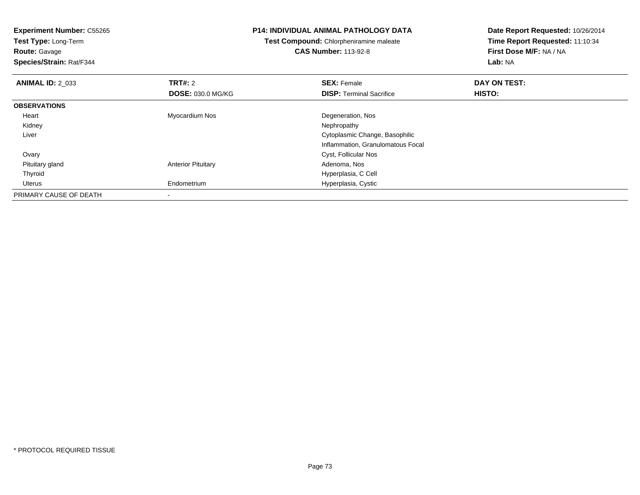**Experiment Number:** C55265**Test Type:** Long-Term**Route:** Gavage **Species/Strain:** Rat/F344**P14: INDIVIDUAL ANIMAL PATHOLOGY DATATest Compound:** Chlorpheniramine maleate**CAS Number:** 113-92-8**Date Report Requested:** 10/26/2014**Time Report Requested:** 11:10:34**First Dose M/F:** NA / NA**Lab:** NA**ANIMAL ID:** 2\_033**TRT#:** 2 **SEX:** Female **DAY ON TEST: DOSE:** 030.0 MG/KG**DISP:** Terminal Sacrifice **HISTO: OBSERVATIONS** Heart Myocardium Nos Degeneration, Nos Kidneyy the control of the control of the control of the control of the control of the control of the control of the control of the control of the control of the control of the control of the control of the control of the contro Liver Cytoplasmic Change, Basophilic Inflammation, Granulomatous Focal**Ovary**  Cyst, Follicular Nos Pituitary glandAnterior Pituitary **Adenoma, Nos** Adenoma, Nos Thyroid Hyperplasia, C Cell Uterus Endometrium Hyperplasia, Cystic PRIMARY CAUSE OF DEATH-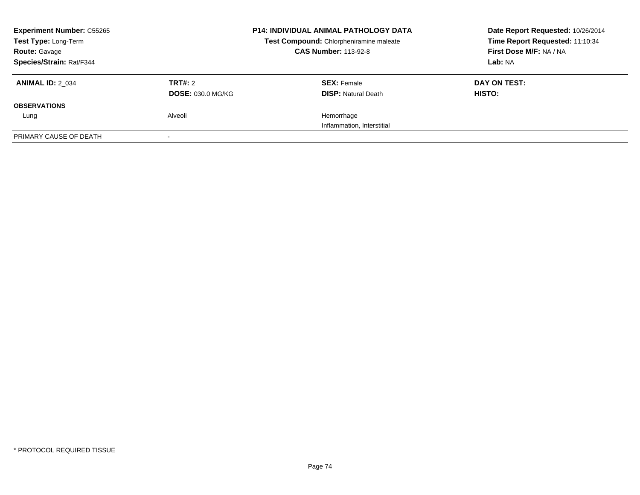| <b>Experiment Number: C55265</b> |                          | <b>P14: INDIVIDUAL ANIMAL PATHOLOGY DATA</b>                           | Date Report Requested: 10/26/2014<br>Time Report Requested: 11:10:34 |
|----------------------------------|--------------------------|------------------------------------------------------------------------|----------------------------------------------------------------------|
| Test Type: Long-Term             |                          | Test Compound: Chlorpheniramine maleate<br><b>CAS Number: 113-92-8</b> | First Dose M/F: NA / NA                                              |
| <b>Route: Gavage</b>             |                          |                                                                        |                                                                      |
| Species/Strain: Rat/F344         |                          |                                                                        | Lab: NA                                                              |
| <b>ANIMAL ID: 2 034</b>          | TRT#: 2                  | <b>SEX: Female</b>                                                     | DAY ON TEST:                                                         |
|                                  | <b>DOSE: 030.0 MG/KG</b> | <b>DISP:</b> Natural Death                                             | <b>HISTO:</b>                                                        |
| <b>OBSERVATIONS</b>              |                          |                                                                        |                                                                      |
| Lung                             | Alveoli                  | Hemorrhage                                                             |                                                                      |
|                                  |                          | Inflammation, Interstitial                                             |                                                                      |
| PRIMARY CAUSE OF DEATH           | $\sim$                   |                                                                        |                                                                      |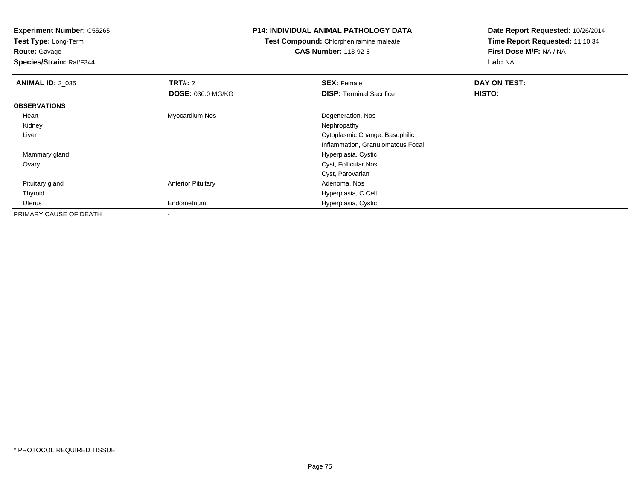**Test Type:** Long-Term**Route:** Gavage

**Species/Strain:** Rat/F344

#### **P14: INDIVIDUAL ANIMAL PATHOLOGY DATA**

**Test Compound:** Chlorpheniramine maleate**CAS Number:** 113-92-8

| <b>ANIMAL ID: 2_035</b> | TRT#: 2                   | <b>SEX: Female</b>                | DAY ON TEST: |  |
|-------------------------|---------------------------|-----------------------------------|--------------|--|
|                         | <b>DOSE: 030.0 MG/KG</b>  | <b>DISP: Terminal Sacrifice</b>   | HISTO:       |  |
| <b>OBSERVATIONS</b>     |                           |                                   |              |  |
| Heart                   | Myocardium Nos            | Degeneration, Nos                 |              |  |
| Kidney                  |                           | Nephropathy                       |              |  |
| Liver                   |                           | Cytoplasmic Change, Basophilic    |              |  |
|                         |                           | Inflammation, Granulomatous Focal |              |  |
| Mammary gland           |                           | Hyperplasia, Cystic               |              |  |
| Ovary                   |                           | Cyst, Follicular Nos              |              |  |
|                         |                           | Cyst, Parovarian                  |              |  |
| Pituitary gland         | <b>Anterior Pituitary</b> | Adenoma, Nos                      |              |  |
| Thyroid                 |                           | Hyperplasia, C Cell               |              |  |
| Uterus                  | Endometrium               | Hyperplasia, Cystic               |              |  |
| PRIMARY CAUSE OF DEATH  | ۰                         |                                   |              |  |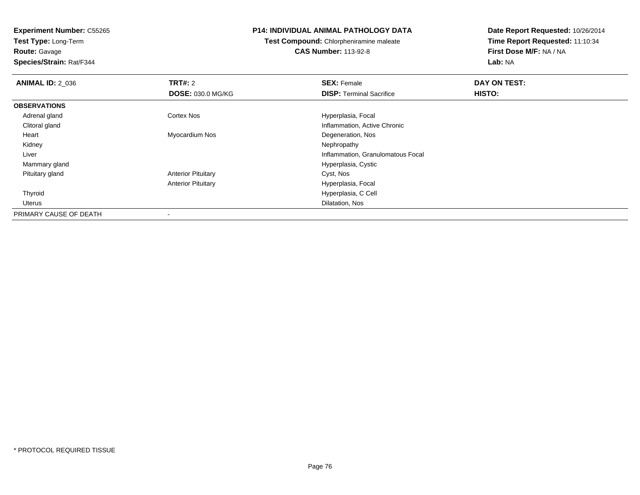**Test Type:** Long-Term**Route:** Gavage

**Species/Strain:** Rat/F344

#### **P14: INDIVIDUAL ANIMAL PATHOLOGY DATA**

**Test Compound:** Chlorpheniramine maleate**CAS Number:** 113-92-8

| <b>ANIMAL ID: 2_036</b> | TRT#: 2                   | <b>SEX: Female</b>                | DAY ON TEST: |  |
|-------------------------|---------------------------|-----------------------------------|--------------|--|
|                         | <b>DOSE: 030.0 MG/KG</b>  | <b>DISP: Terminal Sacrifice</b>   | HISTO:       |  |
| <b>OBSERVATIONS</b>     |                           |                                   |              |  |
| Adrenal gland           | <b>Cortex Nos</b>         | Hyperplasia, Focal                |              |  |
| Clitoral gland          |                           | Inflammation, Active Chronic      |              |  |
| Heart                   | Myocardium Nos            | Degeneration, Nos                 |              |  |
| Kidney                  |                           | Nephropathy                       |              |  |
| Liver                   |                           | Inflammation, Granulomatous Focal |              |  |
| Mammary gland           |                           | Hyperplasia, Cystic               |              |  |
| Pituitary gland         | <b>Anterior Pituitary</b> | Cyst, Nos                         |              |  |
|                         | <b>Anterior Pituitary</b> | Hyperplasia, Focal                |              |  |
| Thyroid                 |                           | Hyperplasia, C Cell               |              |  |
| Uterus                  |                           | Dilatation, Nos                   |              |  |
| PRIMARY CAUSE OF DEATH  |                           |                                   |              |  |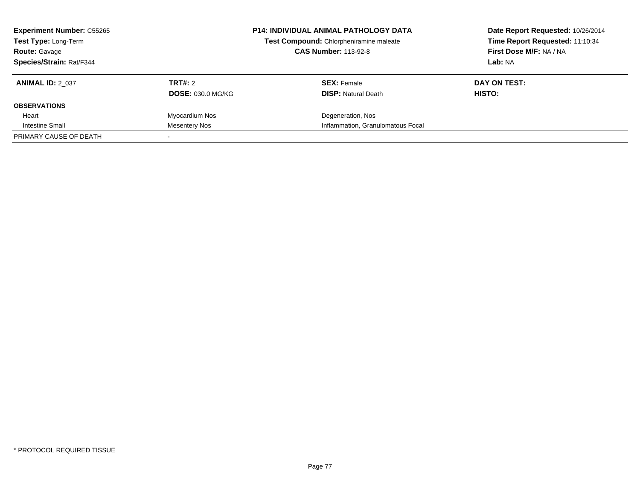| <b>Experiment Number: C55265</b><br><b>Test Type: Long-Term</b><br><b>Route: Gavage</b> |                          | <b>P14: INDIVIDUAL ANIMAL PATHOLOGY DATA</b><br>Test Compound: Chlorpheniramine maleate<br><b>CAS Number: 113-92-8</b> | Date Report Requested: 10/26/2014<br>Time Report Requested: 11:10:34<br>First Dose M/F: NA / NA |
|-----------------------------------------------------------------------------------------|--------------------------|------------------------------------------------------------------------------------------------------------------------|-------------------------------------------------------------------------------------------------|
| <b>Species/Strain: Rat/F344</b>                                                         |                          |                                                                                                                        | Lab: NA                                                                                         |
| <b>ANIMAL ID: 2 037</b>                                                                 | TRT#: 2                  | <b>SEX: Female</b>                                                                                                     | DAY ON TEST:                                                                                    |
|                                                                                         | <b>DOSE: 030.0 MG/KG</b> | <b>DISP: Natural Death</b>                                                                                             | HISTO:                                                                                          |
| <b>OBSERVATIONS</b>                                                                     |                          |                                                                                                                        |                                                                                                 |
| Heart                                                                                   | Myocardium Nos           | Degeneration, Nos                                                                                                      |                                                                                                 |
| Intestine Small                                                                         | Mesentery Nos            | Inflammation, Granulomatous Focal                                                                                      |                                                                                                 |
| PRIMARY CAUSE OF DEATH                                                                  |                          |                                                                                                                        |                                                                                                 |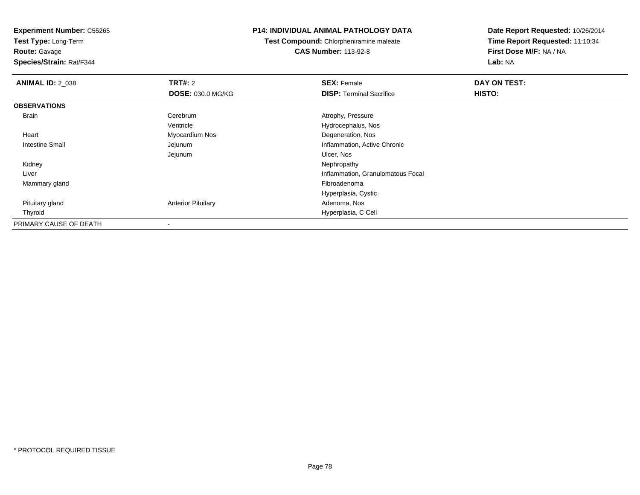**Test Type:** Long-Term

## **Route:** Gavage

**Species/Strain:** Rat/F344

#### **P14: INDIVIDUAL ANIMAL PATHOLOGY DATA**

**Test Compound:** Chlorpheniramine maleate**CAS Number:** 113-92-8

| <b>ANIMAL ID: 2_038</b> | <b>TRT#: 2</b>            | <b>SEX: Female</b>                | DAY ON TEST: |  |
|-------------------------|---------------------------|-----------------------------------|--------------|--|
|                         | <b>DOSE: 030.0 MG/KG</b>  | <b>DISP:</b> Terminal Sacrifice   | HISTO:       |  |
| <b>OBSERVATIONS</b>     |                           |                                   |              |  |
| <b>Brain</b>            | Cerebrum                  | Atrophy, Pressure                 |              |  |
|                         | Ventricle                 | Hydrocephalus, Nos                |              |  |
| Heart                   | Myocardium Nos            | Degeneration, Nos                 |              |  |
| Intestine Small         | Jejunum                   | Inflammation, Active Chronic      |              |  |
|                         | Jejunum                   | Ulcer, Nos                        |              |  |
| Kidney                  |                           | Nephropathy                       |              |  |
| Liver                   |                           | Inflammation, Granulomatous Focal |              |  |
| Mammary gland           |                           | Fibroadenoma                      |              |  |
|                         |                           | Hyperplasia, Cystic               |              |  |
| Pituitary gland         | <b>Anterior Pituitary</b> | Adenoma, Nos                      |              |  |
| Thyroid                 |                           | Hyperplasia, C Cell               |              |  |
| PRIMARY CAUSE OF DEATH  | $\blacksquare$            |                                   |              |  |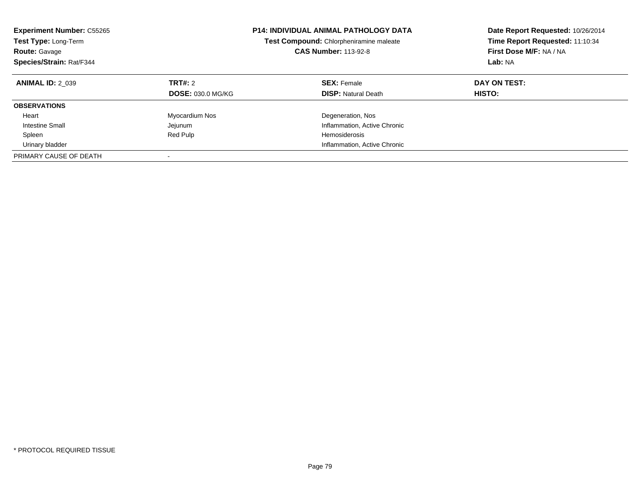| <b>Experiment Number: C55265</b><br>Test Type: Long-Term<br><b>Route: Gavage</b><br>Species/Strain: Rat/F344 |                                     | <b>P14: INDIVIDUAL ANIMAL PATHOLOGY DATA</b><br>Date Report Requested: 10/26/2014<br>Time Report Requested: 11:10:34<br>Test Compound: Chlorpheniramine maleate<br>First Dose M/F: NA / NA<br><b>CAS Number: 113-92-8</b><br>Lab: NA |                        |
|--------------------------------------------------------------------------------------------------------------|-------------------------------------|--------------------------------------------------------------------------------------------------------------------------------------------------------------------------------------------------------------------------------------|------------------------|
| <b>ANIMAL ID: 2 039</b>                                                                                      | TRT#: 2<br><b>DOSE: 030.0 MG/KG</b> | <b>SEX: Female</b><br><b>DISP: Natural Death</b>                                                                                                                                                                                     | DAY ON TEST:<br>HISTO: |
| <b>OBSERVATIONS</b>                                                                                          |                                     |                                                                                                                                                                                                                                      |                        |
| Heart                                                                                                        | Myocardium Nos                      | Degeneration, Nos                                                                                                                                                                                                                    |                        |
| Intestine Small                                                                                              | Jejunum                             | Inflammation, Active Chronic                                                                                                                                                                                                         |                        |
| Spleen                                                                                                       | Red Pulp                            | <b>Hemosiderosis</b>                                                                                                                                                                                                                 |                        |
| Urinary bladder                                                                                              |                                     | Inflammation, Active Chronic                                                                                                                                                                                                         |                        |
| PRIMARY CAUSE OF DEATH                                                                                       |                                     |                                                                                                                                                                                                                                      |                        |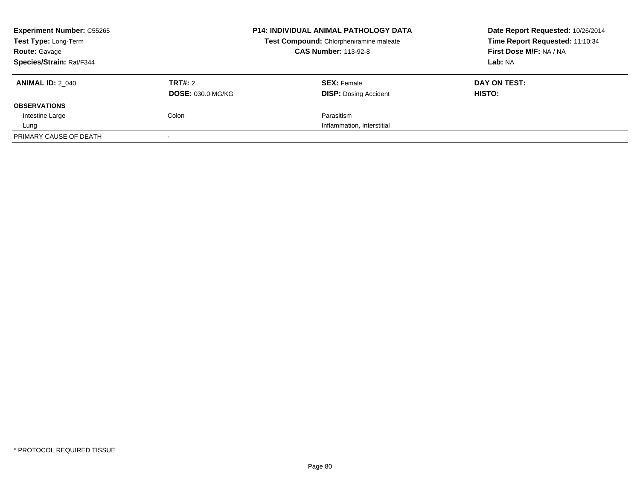| <b>Experiment Number: C55265</b><br>Test Type: Long-Term |                          | <b>P14: INDIVIDUAL ANIMAL PATHOLOGY DATA</b> | Date Report Requested: 10/26/2014 |
|----------------------------------------------------------|--------------------------|----------------------------------------------|-----------------------------------|
|                                                          |                          | Test Compound: Chlorpheniramine maleate      | Time Report Requested: 11:10:34   |
| <b>Route: Gavage</b>                                     |                          | <b>CAS Number: 113-92-8</b>                  | First Dose M/F: NA / NA           |
| Species/Strain: Rat/F344                                 |                          |                                              | Lab: NA                           |
| <b>ANIMAL ID: 2 040</b>                                  | TRT#: 2                  | <b>SEX: Female</b>                           | DAY ON TEST:                      |
|                                                          | <b>DOSE: 030.0 MG/KG</b> | <b>DISP:</b> Dosing Accident                 | HISTO:                            |
| <b>OBSERVATIONS</b>                                      |                          |                                              |                                   |
| Intestine Large                                          | Colon                    | Parasitism                                   |                                   |
| Lung                                                     |                          | Inflammation, Interstitial                   |                                   |
| PRIMARY CAUSE OF DEATH                                   |                          |                                              |                                   |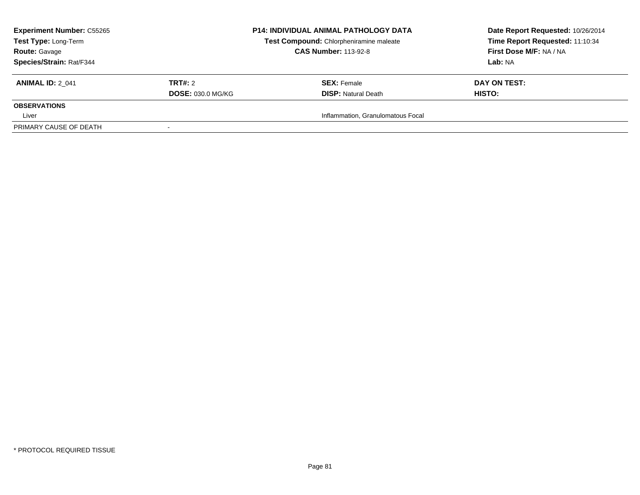| <b>Experiment Number: C55265</b><br>Test Type: Long-Term<br><b>Route: Gavage</b><br><b>Species/Strain: Rat/F344</b> |                                     | <b>P14: INDIVIDUAL ANIMAL PATHOLOGY DATA</b><br>Test Compound: Chlorpheniramine maleate<br><b>CAS Number: 113-92-8</b> | Date Report Requested: 10/26/2014<br>Time Report Requested: 11:10:34<br>First Dose M/F: NA / NA<br>Lab: NA |
|---------------------------------------------------------------------------------------------------------------------|-------------------------------------|------------------------------------------------------------------------------------------------------------------------|------------------------------------------------------------------------------------------------------------|
| <b>ANIMAL ID: 2 041</b>                                                                                             | TRT#: 2<br><b>DOSE: 030.0 MG/KG</b> | <b>SEX:</b> Female<br><b>DISP:</b> Natural Death                                                                       | DAY ON TEST:<br><b>HISTO:</b>                                                                              |
| <b>OBSERVATIONS</b>                                                                                                 |                                     |                                                                                                                        |                                                                                                            |
| Liver<br>PRIMARY CAUSE OF DEATH                                                                                     | $\sim$                              | Inflammation, Granulomatous Focal                                                                                      |                                                                                                            |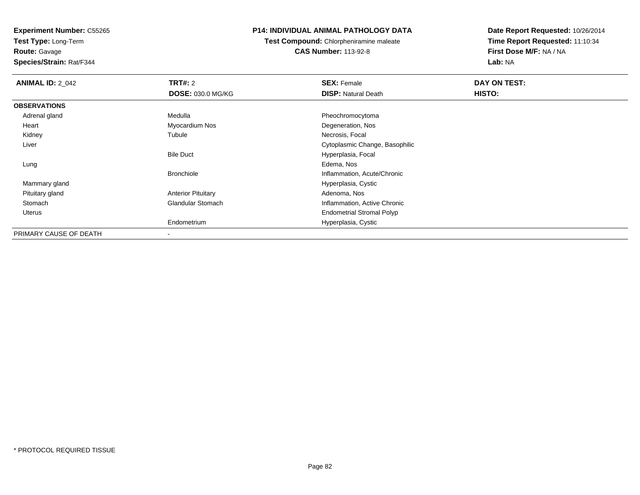**Test Type:** Long-Term**Route:** Gavage

**Species/Strain:** Rat/F344

#### **P14: INDIVIDUAL ANIMAL PATHOLOGY DATA**

**Test Compound:** Chlorpheniramine maleate**CAS Number:** 113-92-8

| <b>ANIMAL ID: 2 042</b> | <b>TRT#: 2</b>            | <b>SEX: Female</b>               | DAY ON TEST: |  |
|-------------------------|---------------------------|----------------------------------|--------------|--|
|                         | <b>DOSE: 030.0 MG/KG</b>  | <b>DISP: Natural Death</b>       | HISTO:       |  |
| <b>OBSERVATIONS</b>     |                           |                                  |              |  |
| Adrenal gland           | Medulla                   | Pheochromocytoma                 |              |  |
| Heart                   | Myocardium Nos            | Degeneration, Nos                |              |  |
| Kidney                  | Tubule                    | Necrosis, Focal                  |              |  |
| Liver                   |                           | Cytoplasmic Change, Basophilic   |              |  |
|                         | <b>Bile Duct</b>          | Hyperplasia, Focal               |              |  |
| Lung                    |                           | Edema, Nos                       |              |  |
|                         | <b>Bronchiole</b>         | Inflammation, Acute/Chronic      |              |  |
| Mammary gland           |                           | Hyperplasia, Cystic              |              |  |
| Pituitary gland         | <b>Anterior Pituitary</b> | Adenoma, Nos                     |              |  |
| Stomach                 | <b>Glandular Stomach</b>  | Inflammation, Active Chronic     |              |  |
| Uterus                  |                           | <b>Endometrial Stromal Polyp</b> |              |  |
|                         | Endometrium               | Hyperplasia, Cystic              |              |  |
| PRIMARY CAUSE OF DEATH  |                           |                                  |              |  |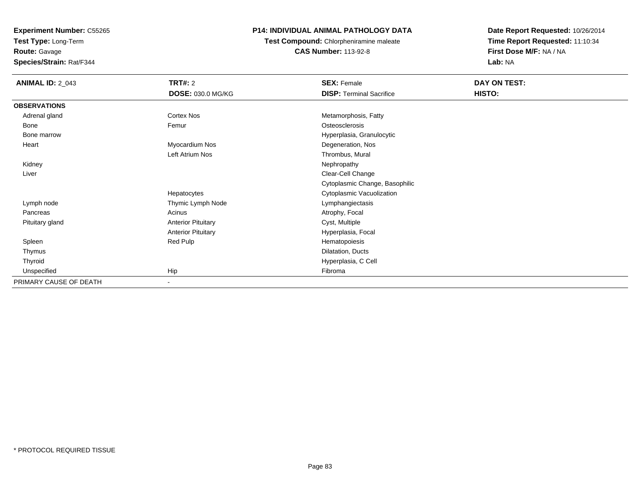**Experiment Number:** C55265**Test Type:** Long-Term

**Route:** Gavage

**Species/Strain:** Rat/F344

#### **P14: INDIVIDUAL ANIMAL PATHOLOGY DATA**

**Test Compound:** Chlorpheniramine maleate**CAS Number:** 113-92-8

| <b>ANIMAL ID: 2_043</b> | <b>TRT#: 2</b>            | <b>SEX: Female</b>              | DAY ON TEST: |
|-------------------------|---------------------------|---------------------------------|--------------|
|                         | <b>DOSE: 030.0 MG/KG</b>  | <b>DISP: Terminal Sacrifice</b> | HISTO:       |
| <b>OBSERVATIONS</b>     |                           |                                 |              |
| Adrenal gland           | Cortex Nos                | Metamorphosis, Fatty            |              |
| Bone                    | Femur                     | Osteosclerosis                  |              |
| Bone marrow             |                           | Hyperplasia, Granulocytic       |              |
| Heart                   | Myocardium Nos            | Degeneration, Nos               |              |
|                         | Left Atrium Nos           | Thrombus, Mural                 |              |
| Kidney                  |                           | Nephropathy                     |              |
| Liver                   |                           | Clear-Cell Change               |              |
|                         |                           | Cytoplasmic Change, Basophilic  |              |
|                         | Hepatocytes               | Cytoplasmic Vacuolization       |              |
| Lymph node              | Thymic Lymph Node         | Lymphangiectasis                |              |
| Pancreas                | Acinus                    | Atrophy, Focal                  |              |
| Pituitary gland         | <b>Anterior Pituitary</b> | Cyst, Multiple                  |              |
|                         | <b>Anterior Pituitary</b> | Hyperplasia, Focal              |              |
| Spleen                  | Red Pulp                  | Hematopoiesis                   |              |
| Thymus                  |                           | Dilatation, Ducts               |              |
| Thyroid                 |                           | Hyperplasia, C Cell             |              |
| Unspecified             | Hip                       | Fibroma                         |              |
| PRIMARY CAUSE OF DEATH  | $\sim$                    |                                 |              |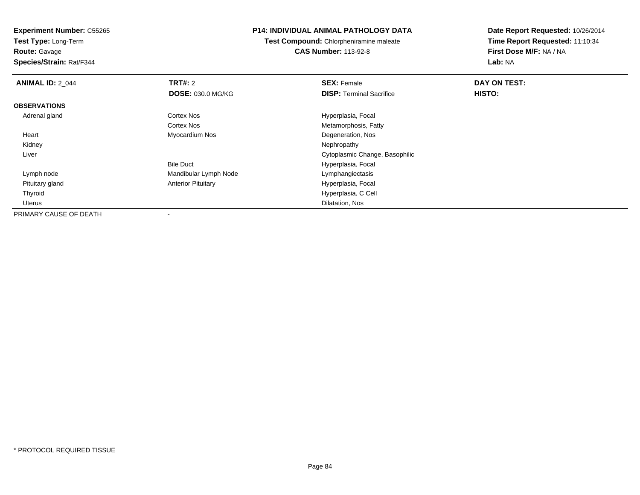**Test Type:** Long-Term**Route:** Gavage

**Species/Strain:** Rat/F344

#### **P14: INDIVIDUAL ANIMAL PATHOLOGY DATA**

**Test Compound:** Chlorpheniramine maleate**CAS Number:** 113-92-8

| <b>ANIMAL ID: 2 044</b> | TRT#: 2                   | <b>SEX: Female</b>              | DAY ON TEST: |  |
|-------------------------|---------------------------|---------------------------------|--------------|--|
|                         | DOSE: 030.0 MG/KG         | <b>DISP: Terminal Sacrifice</b> | HISTO:       |  |
| <b>OBSERVATIONS</b>     |                           |                                 |              |  |
| Adrenal gland           | <b>Cortex Nos</b>         | Hyperplasia, Focal              |              |  |
|                         | <b>Cortex Nos</b>         | Metamorphosis, Fatty            |              |  |
| Heart                   | Myocardium Nos            | Degeneration, Nos               |              |  |
| Kidney                  |                           | Nephropathy                     |              |  |
| Liver                   |                           | Cytoplasmic Change, Basophilic  |              |  |
|                         | <b>Bile Duct</b>          | Hyperplasia, Focal              |              |  |
| Lymph node              | Mandibular Lymph Node     | Lymphangiectasis                |              |  |
| Pituitary gland         | <b>Anterior Pituitary</b> | Hyperplasia, Focal              |              |  |
| Thyroid                 |                           | Hyperplasia, C Cell             |              |  |
| Uterus                  |                           | Dilatation, Nos                 |              |  |
| PRIMARY CAUSE OF DEATH  |                           |                                 |              |  |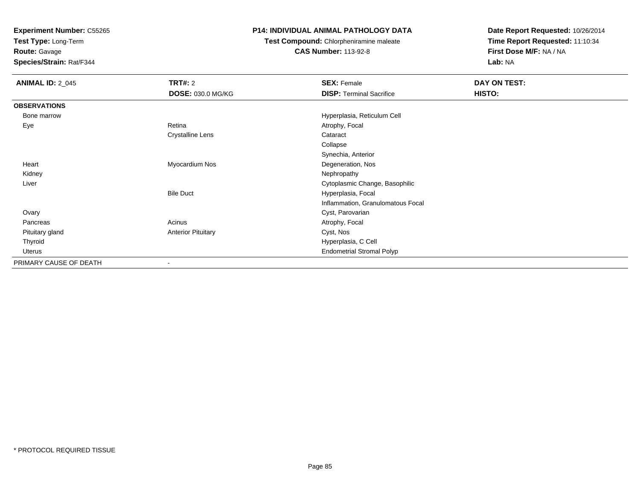**Test Type:** Long-Term

## **Route:** Gavage

**Species/Strain:** Rat/F344

#### **P14: INDIVIDUAL ANIMAL PATHOLOGY DATA**

### **Test Compound:** Chlorpheniramine maleate**CAS Number:** 113-92-8

| <b>ANIMAL ID: 2_045</b> | TRT#: 2                   | <b>SEX: Female</b>                | DAY ON TEST: |  |
|-------------------------|---------------------------|-----------------------------------|--------------|--|
|                         | <b>DOSE: 030.0 MG/KG</b>  | <b>DISP: Terminal Sacrifice</b>   | HISTO:       |  |
| <b>OBSERVATIONS</b>     |                           |                                   |              |  |
| Bone marrow             |                           | Hyperplasia, Reticulum Cell       |              |  |
| Eye                     | Retina                    | Atrophy, Focal                    |              |  |
|                         | <b>Crystalline Lens</b>   | Cataract                          |              |  |
|                         |                           | Collapse                          |              |  |
|                         |                           | Synechia, Anterior                |              |  |
| Heart                   | Myocardium Nos            | Degeneration, Nos                 |              |  |
| Kidney                  |                           | Nephropathy                       |              |  |
| Liver                   |                           | Cytoplasmic Change, Basophilic    |              |  |
|                         | <b>Bile Duct</b>          | Hyperplasia, Focal                |              |  |
|                         |                           | Inflammation, Granulomatous Focal |              |  |
| Ovary                   |                           | Cyst, Parovarian                  |              |  |
| Pancreas                | Acinus                    | Atrophy, Focal                    |              |  |
| Pituitary gland         | <b>Anterior Pituitary</b> | Cyst, Nos                         |              |  |
| Thyroid                 |                           | Hyperplasia, C Cell               |              |  |
| Uterus                  |                           | <b>Endometrial Stromal Polyp</b>  |              |  |
| PRIMARY CAUSE OF DEATH  |                           |                                   |              |  |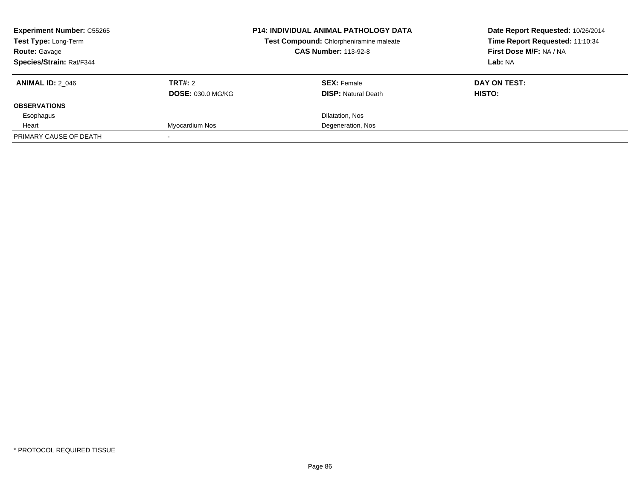| <b>Experiment Number: C55265</b> |                          | <b>P14: INDIVIDUAL ANIMAL PATHOLOGY DATA</b> | Date Report Requested: 10/26/2014 |
|----------------------------------|--------------------------|----------------------------------------------|-----------------------------------|
| Test Type: Long-Term             |                          | Test Compound: Chlorpheniramine maleate      | Time Report Requested: 11:10:34   |
| <b>Route: Gavage</b>             |                          | <b>CAS Number: 113-92-8</b>                  | First Dose M/F: NA / NA           |
| Species/Strain: Rat/F344         |                          |                                              | Lab: NA                           |
| <b>ANIMAL ID: 2 046</b>          | TRT#: 2                  | <b>SEX: Female</b>                           | DAY ON TEST:                      |
|                                  | <b>DOSE: 030.0 MG/KG</b> | <b>DISP:</b> Natural Death                   | <b>HISTO:</b>                     |
| <b>OBSERVATIONS</b>              |                          |                                              |                                   |
| Esophagus                        |                          | Dilatation, Nos                              |                                   |
| Heart                            | Myocardium Nos           | Degeneration, Nos                            |                                   |
| PRIMARY CAUSE OF DEATH           |                          |                                              |                                   |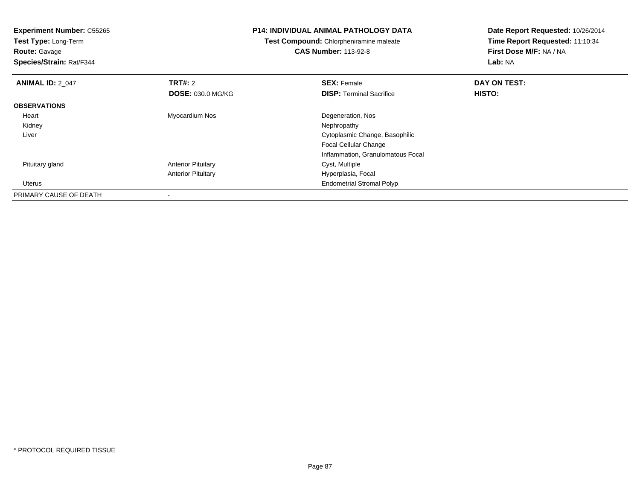**Experiment Number:** C55265**Test Type:** Long-Term**Route:** Gavage **Species/Strain:** Rat/F344**P14: INDIVIDUAL ANIMAL PATHOLOGY DATATest Compound:** Chlorpheniramine maleate**CAS Number:** 113-92-8**Date Report Requested:** 10/26/2014**Time Report Requested:** 11:10:34**First Dose M/F:** NA / NA**Lab:** NA**ANIMAL ID: 2 047 TRT#:** <sup>2</sup> **SEX:** Female **DAY ON TEST: DOSE:** 030.0 MG/KG**DISP:** Terminal Sacrifice **HISTO: OBSERVATIONS** Heart Myocardium Nos Degeneration, Nos Kidneyy the control of the control of the control of the control of the control of the control of the control of the control of the control of the control of the control of the control of the control of the control of the contro Liver Cytoplasmic Change, BasophilicFocal Cellular Change Inflammation, Granulomatous Focal Pituitary glandAnterior Pituitary **Cyst, Multiple** Anterior Pituitary Hyperplasia, Focal Uterus Endometrial Stromal PolypPRIMARY CAUSE OF DEATH-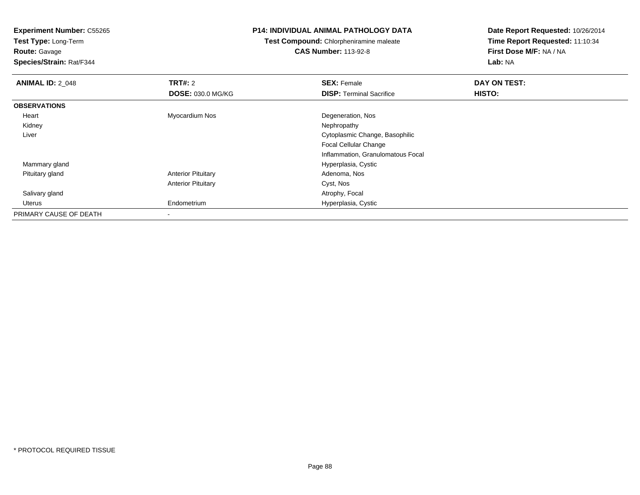**Test Type:** Long-Term**Route:** Gavage

**Species/Strain:** Rat/F344

#### **P14: INDIVIDUAL ANIMAL PATHOLOGY DATA**

**Test Compound:** Chlorpheniramine maleate**CAS Number:** 113-92-8

| <b>ANIMAL ID: 2_048</b> | TRT#: 2                   | <b>SEX: Female</b>                | DAY ON TEST: |  |
|-------------------------|---------------------------|-----------------------------------|--------------|--|
|                         | <b>DOSE: 030.0 MG/KG</b>  | <b>DISP: Terminal Sacrifice</b>   | HISTO:       |  |
| <b>OBSERVATIONS</b>     |                           |                                   |              |  |
| Heart                   | Myocardium Nos            | Degeneration, Nos                 |              |  |
| Kidney                  |                           | Nephropathy                       |              |  |
| Liver                   |                           | Cytoplasmic Change, Basophilic    |              |  |
|                         |                           | <b>Focal Cellular Change</b>      |              |  |
|                         |                           | Inflammation, Granulomatous Focal |              |  |
| Mammary gland           |                           | Hyperplasia, Cystic               |              |  |
| Pituitary gland         | <b>Anterior Pituitary</b> | Adenoma, Nos                      |              |  |
|                         | <b>Anterior Pituitary</b> | Cyst, Nos                         |              |  |
| Salivary gland          |                           | Atrophy, Focal                    |              |  |
| Uterus                  | Endometrium               | Hyperplasia, Cystic               |              |  |
| PRIMARY CAUSE OF DEATH  | ٠                         |                                   |              |  |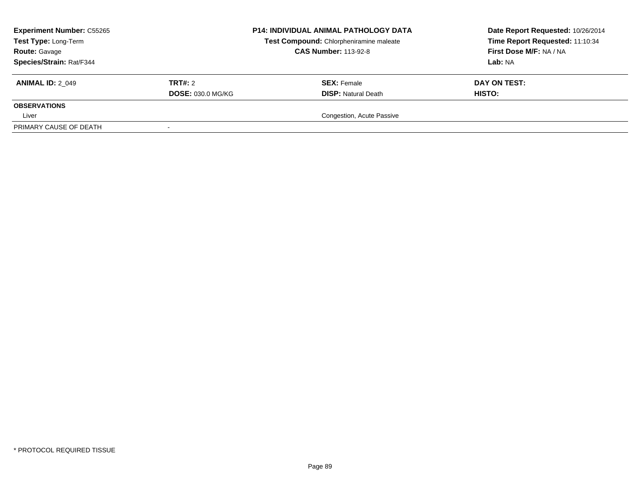| <b>Experiment Number: C55265</b><br>Test Type: Long-Term<br><b>Route: Gavage</b><br>Species/Strain: Rat/F344 |                                     | <b>P14: INDIVIDUAL ANIMAL PATHOLOGY DATA</b><br>Test Compound: Chlorpheniramine maleate<br><b>CAS Number: 113-92-8</b> | Date Report Requested: 10/26/2014<br>Time Report Requested: 11:10:34<br>First Dose M/F: NA / NA<br>Lab: NA |
|--------------------------------------------------------------------------------------------------------------|-------------------------------------|------------------------------------------------------------------------------------------------------------------------|------------------------------------------------------------------------------------------------------------|
| <b>ANIMAL ID: 2 049</b>                                                                                      | TRT#: 2<br><b>DOSE: 030.0 MG/KG</b> | <b>SEX: Female</b><br><b>DISP:</b> Natural Death                                                                       | DAY ON TEST:<br><b>HISTO:</b>                                                                              |
| <b>OBSERVATIONS</b>                                                                                          |                                     |                                                                                                                        |                                                                                                            |
| Liver                                                                                                        |                                     | Congestion, Acute Passive                                                                                              |                                                                                                            |
| PRIMARY CAUSE OF DEATH                                                                                       |                                     |                                                                                                                        |                                                                                                            |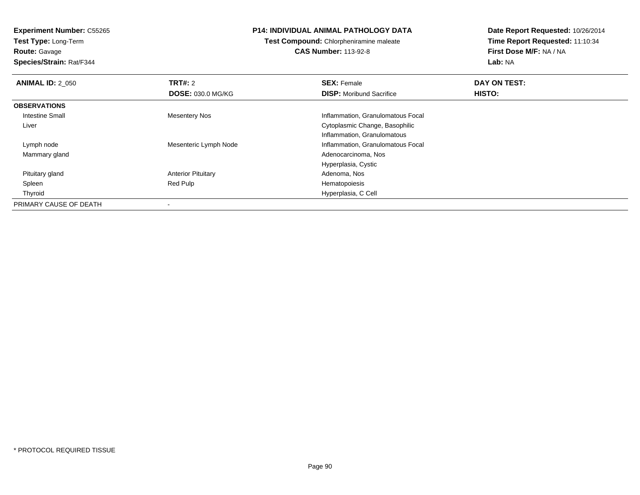**Test Type:** Long-Term**Route:** Gavage

**Species/Strain:** Rat/F344

#### **P14: INDIVIDUAL ANIMAL PATHOLOGY DATA**

**Test Compound:** Chlorpheniramine maleate**CAS Number:** 113-92-8

| <b>ANIMAL ID: 2 050</b> | TRT#: 2                   | <b>SEX: Female</b>                | DAY ON TEST: |
|-------------------------|---------------------------|-----------------------------------|--------------|
|                         | <b>DOSE: 030.0 MG/KG</b>  | <b>DISP:</b> Moribund Sacrifice   | HISTO:       |
| <b>OBSERVATIONS</b>     |                           |                                   |              |
| Intestine Small         | Mesentery Nos             | Inflammation, Granulomatous Focal |              |
| Liver                   |                           | Cytoplasmic Change, Basophilic    |              |
|                         |                           | Inflammation, Granulomatous       |              |
| Lymph node              | Mesenteric Lymph Node     | Inflammation, Granulomatous Focal |              |
| Mammary gland           |                           | Adenocarcinoma, Nos               |              |
|                         |                           | Hyperplasia, Cystic               |              |
| Pituitary gland         | <b>Anterior Pituitary</b> | Adenoma, Nos                      |              |
| Spleen                  | Red Pulp                  | Hematopoiesis                     |              |
| Thyroid                 |                           | Hyperplasia, C Cell               |              |
| PRIMARY CAUSE OF DEATH  |                           |                                   |              |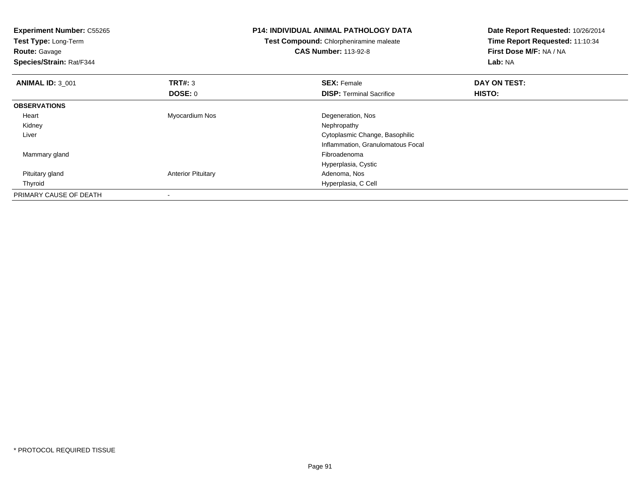| <b>Experiment Number: C55265</b><br>Test Type: Long-Term<br><b>Route: Gavage</b><br>Species/Strain: Rat/F344 |                           | <b>P14: INDIVIDUAL ANIMAL PATHOLOGY DATA</b><br>Test Compound: Chlorpheniramine maleate<br><b>CAS Number: 113-92-8</b> | Date Report Requested: 10/26/2014<br>Time Report Requested: 11:10:34<br>First Dose M/F: NA / NA<br>Lab: NA |  |
|--------------------------------------------------------------------------------------------------------------|---------------------------|------------------------------------------------------------------------------------------------------------------------|------------------------------------------------------------------------------------------------------------|--|
| <b>ANIMAL ID: 3 001</b>                                                                                      | <b>TRT#: 3</b>            | <b>SEX: Female</b>                                                                                                     | DAY ON TEST:                                                                                               |  |
|                                                                                                              | DOSE: 0                   | <b>DISP:</b> Terminal Sacrifice                                                                                        | HISTO:                                                                                                     |  |
| <b>OBSERVATIONS</b>                                                                                          |                           |                                                                                                                        |                                                                                                            |  |
| Heart                                                                                                        | Myocardium Nos            | Degeneration, Nos                                                                                                      |                                                                                                            |  |
| Kidney                                                                                                       |                           | Nephropathy                                                                                                            |                                                                                                            |  |
| Liver                                                                                                        |                           | Cytoplasmic Change, Basophilic                                                                                         |                                                                                                            |  |
|                                                                                                              |                           | Inflammation, Granulomatous Focal                                                                                      |                                                                                                            |  |
| Mammary gland                                                                                                |                           | Fibroadenoma                                                                                                           |                                                                                                            |  |
|                                                                                                              |                           | Hyperplasia, Cystic                                                                                                    |                                                                                                            |  |
| Pituitary gland                                                                                              | <b>Anterior Pituitary</b> | Adenoma, Nos                                                                                                           |                                                                                                            |  |
| Thyroid                                                                                                      |                           | Hyperplasia, C Cell                                                                                                    |                                                                                                            |  |
| PRIMARY CAUSE OF DEATH                                                                                       |                           |                                                                                                                        |                                                                                                            |  |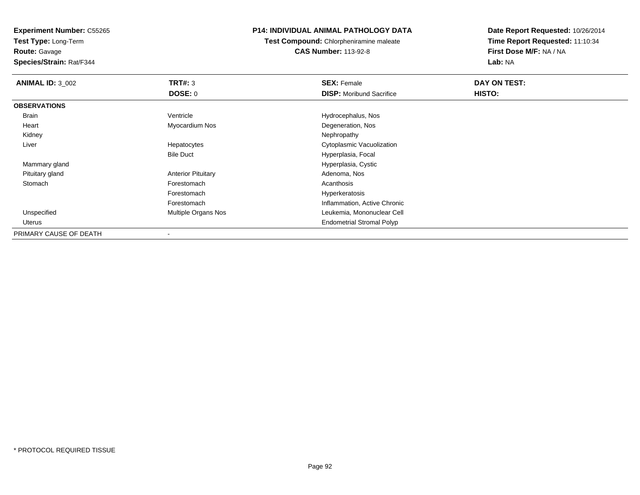**Test Type:** Long-Term

# **Route:** Gavage

**Species/Strain:** Rat/F344

#### **P14: INDIVIDUAL ANIMAL PATHOLOGY DATA**

**Test Compound:** Chlorpheniramine maleate**CAS Number:** 113-92-8

| <b>ANIMAL ID: 3 002</b> | TRT#: 3                   | <b>SEX: Female</b>               | DAY ON TEST: |  |
|-------------------------|---------------------------|----------------------------------|--------------|--|
|                         | <b>DOSE: 0</b>            | <b>DISP: Moribund Sacrifice</b>  | HISTO:       |  |
| <b>OBSERVATIONS</b>     |                           |                                  |              |  |
| Brain                   | Ventricle                 | Hydrocephalus, Nos               |              |  |
| Heart                   | Myocardium Nos            | Degeneration, Nos                |              |  |
| Kidney                  |                           | Nephropathy                      |              |  |
| Liver                   | Hepatocytes               | Cytoplasmic Vacuolization        |              |  |
|                         | <b>Bile Duct</b>          | Hyperplasia, Focal               |              |  |
| Mammary gland           |                           | Hyperplasia, Cystic              |              |  |
| Pituitary gland         | <b>Anterior Pituitary</b> | Adenoma, Nos                     |              |  |
| Stomach                 | Forestomach               | Acanthosis                       |              |  |
|                         | Forestomach               | Hyperkeratosis                   |              |  |
|                         | Forestomach               | Inflammation, Active Chronic     |              |  |
| Unspecified             | Multiple Organs Nos       | Leukemia, Mononuclear Cell       |              |  |
| Uterus                  |                           | <b>Endometrial Stromal Polyp</b> |              |  |
| PRIMARY CAUSE OF DEATH  |                           |                                  |              |  |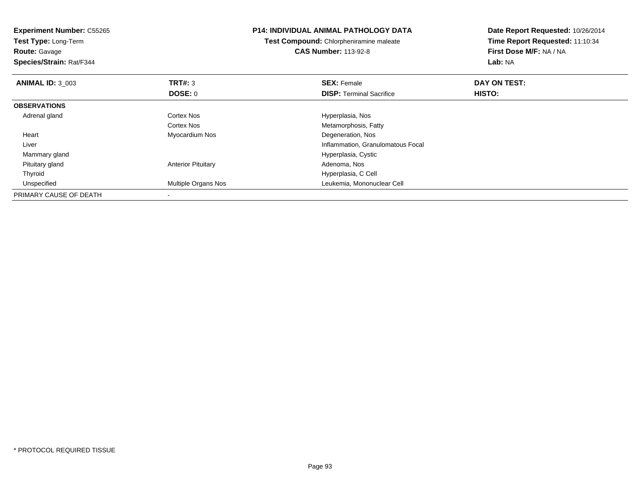| <b>Experiment Number: C55265</b><br>Test Type: Long-Term<br><b>Route: Gavage</b><br>Species/Strain: Rat/F344 |                            | <b>P14: INDIVIDUAL ANIMAL PATHOLOGY DATA</b><br><b>Test Compound:</b> Chlorpheniramine maleate<br><b>CAS Number: 113-92-8</b> | Date Report Requested: 10/26/2014<br>Time Report Requested: 11:10:34<br>First Dose M/F: NA / NA<br>Lab: NA |
|--------------------------------------------------------------------------------------------------------------|----------------------------|-------------------------------------------------------------------------------------------------------------------------------|------------------------------------------------------------------------------------------------------------|
| <b>ANIMAL ID: 3_003</b>                                                                                      | TRT#: 3                    | <b>SEX: Female</b>                                                                                                            | DAY ON TEST:                                                                                               |
|                                                                                                              | DOSE: 0                    | <b>DISP:</b> Terminal Sacrifice                                                                                               | HISTO:                                                                                                     |
| <b>OBSERVATIONS</b>                                                                                          |                            |                                                                                                                               |                                                                                                            |
| Adrenal gland                                                                                                | Cortex Nos                 | Hyperplasia, Nos                                                                                                              |                                                                                                            |
|                                                                                                              | Cortex Nos                 | Metamorphosis, Fatty                                                                                                          |                                                                                                            |
| Heart                                                                                                        | Myocardium Nos             | Degeneration, Nos                                                                                                             |                                                                                                            |
| Liver                                                                                                        |                            | Inflammation, Granulomatous Focal                                                                                             |                                                                                                            |
| Mammary gland                                                                                                |                            | Hyperplasia, Cystic                                                                                                           |                                                                                                            |
| Pituitary gland                                                                                              | <b>Anterior Pituitary</b>  | Adenoma, Nos                                                                                                                  |                                                                                                            |
| Thyroid                                                                                                      |                            | Hyperplasia, C Cell                                                                                                           |                                                                                                            |
| Unspecified                                                                                                  | <b>Multiple Organs Nos</b> | Leukemia, Mononuclear Cell                                                                                                    |                                                                                                            |
| PRIMARY CAUSE OF DEATH                                                                                       |                            |                                                                                                                               |                                                                                                            |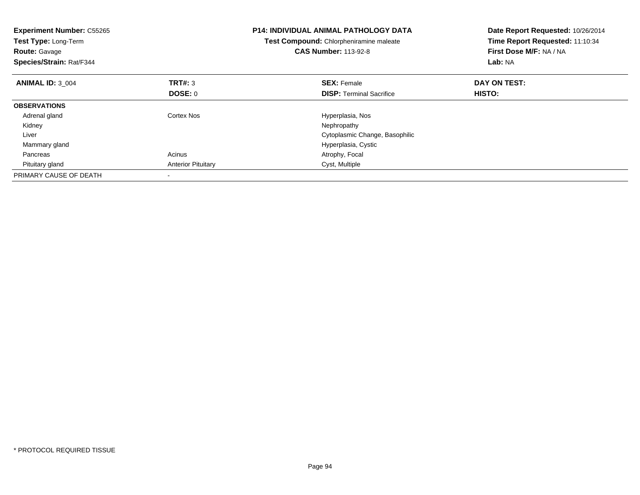| <b>Experiment Number: C55265</b><br>Test Type: Long-Term<br><b>Route: Gavage</b><br>Species/Strain: Rat/F344 |                           | <b>P14: INDIVIDUAL ANIMAL PATHOLOGY DATA</b><br>Test Compound: Chlorpheniramine maleate<br><b>CAS Number: 113-92-8</b> | Date Report Requested: 10/26/2014<br>Time Report Requested: 11:10:34<br>First Dose M/F: NA / NA<br>Lab: NA |
|--------------------------------------------------------------------------------------------------------------|---------------------------|------------------------------------------------------------------------------------------------------------------------|------------------------------------------------------------------------------------------------------------|
| <b>ANIMAL ID: 3 004</b>                                                                                      | TRT#: 3                   | <b>SEX: Female</b>                                                                                                     | DAY ON TEST:                                                                                               |
|                                                                                                              | DOSE: 0                   | <b>DISP:</b> Terminal Sacrifice                                                                                        | <b>HISTO:</b>                                                                                              |
| <b>OBSERVATIONS</b>                                                                                          |                           |                                                                                                                        |                                                                                                            |
| Adrenal gland                                                                                                | Cortex Nos                | Hyperplasia, Nos                                                                                                       |                                                                                                            |
| Kidney                                                                                                       |                           | Nephropathy                                                                                                            |                                                                                                            |
| Liver                                                                                                        |                           | Cytoplasmic Change, Basophilic                                                                                         |                                                                                                            |
| Mammary gland                                                                                                |                           | Hyperplasia, Cystic                                                                                                    |                                                                                                            |
| Pancreas                                                                                                     | Acinus                    | Atrophy, Focal                                                                                                         |                                                                                                            |
| Pituitary gland                                                                                              | <b>Anterior Pituitary</b> | Cyst, Multiple                                                                                                         |                                                                                                            |
| PRIMARY CAUSE OF DEATH                                                                                       |                           |                                                                                                                        |                                                                                                            |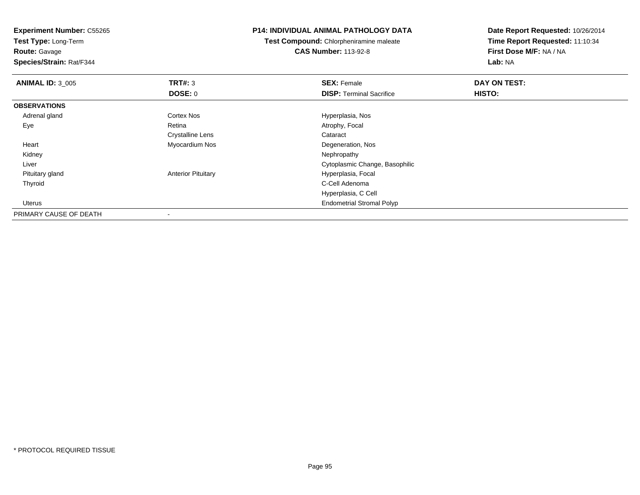**Test Type:** Long-Term

**Route:** Gavage

**Species/Strain:** Rat/F344

#### **P14: INDIVIDUAL ANIMAL PATHOLOGY DATA**

**Test Compound:** Chlorpheniramine maleate**CAS Number:** 113-92-8

| <b>ANIMAL ID: 3 005</b> | TRT#: 3                   | <b>SEX: Female</b>               | DAY ON TEST: |  |
|-------------------------|---------------------------|----------------------------------|--------------|--|
|                         | DOSE: 0                   | <b>DISP: Terminal Sacrifice</b>  | HISTO:       |  |
| <b>OBSERVATIONS</b>     |                           |                                  |              |  |
| Adrenal gland           | <b>Cortex Nos</b>         | Hyperplasia, Nos                 |              |  |
| Eye                     | Retina                    | Atrophy, Focal                   |              |  |
|                         | <b>Crystalline Lens</b>   | Cataract                         |              |  |
| Heart                   | Myocardium Nos            | Degeneration, Nos                |              |  |
| Kidney                  |                           | Nephropathy                      |              |  |
| Liver                   |                           | Cytoplasmic Change, Basophilic   |              |  |
| Pituitary gland         | <b>Anterior Pituitary</b> | Hyperplasia, Focal               |              |  |
| Thyroid                 |                           | C-Cell Adenoma                   |              |  |
|                         |                           | Hyperplasia, C Cell              |              |  |
| Uterus                  |                           | <b>Endometrial Stromal Polyp</b> |              |  |
| PRIMARY CAUSE OF DEATH  | $\overline{\phantom{a}}$  |                                  |              |  |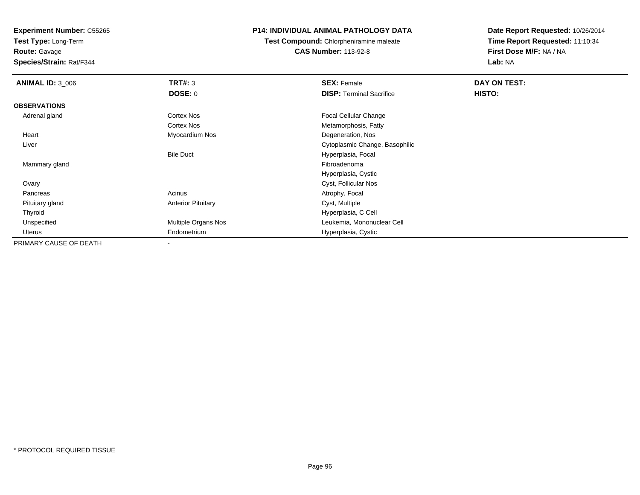**Test Type:** Long-Term

**Route:** Gavage

**Species/Strain:** Rat/F344

#### **P14: INDIVIDUAL ANIMAL PATHOLOGY DATA**

**Test Compound:** Chlorpheniramine maleate**CAS Number:** 113-92-8

| <b>ANIMAL ID: 3_006</b> | TRT#: 3                   | <b>SEX: Female</b>              | DAY ON TEST: |  |
|-------------------------|---------------------------|---------------------------------|--------------|--|
|                         | <b>DOSE: 0</b>            | <b>DISP: Terminal Sacrifice</b> | HISTO:       |  |
| <b>OBSERVATIONS</b>     |                           |                                 |              |  |
| Adrenal gland           | <b>Cortex Nos</b>         | <b>Focal Cellular Change</b>    |              |  |
|                         | <b>Cortex Nos</b>         | Metamorphosis, Fatty            |              |  |
| Heart                   | Myocardium Nos            | Degeneration, Nos               |              |  |
| Liver                   |                           | Cytoplasmic Change, Basophilic  |              |  |
|                         | <b>Bile Duct</b>          | Hyperplasia, Focal              |              |  |
| Mammary gland           |                           | Fibroadenoma                    |              |  |
|                         |                           | Hyperplasia, Cystic             |              |  |
| Ovary                   |                           | Cyst, Follicular Nos            |              |  |
| Pancreas                | Acinus                    | Atrophy, Focal                  |              |  |
| Pituitary gland         | <b>Anterior Pituitary</b> | Cyst, Multiple                  |              |  |
| Thyroid                 |                           | Hyperplasia, C Cell             |              |  |
| Unspecified             | Multiple Organs Nos       | Leukemia, Mononuclear Cell      |              |  |
| Uterus                  | Endometrium               | Hyperplasia, Cystic             |              |  |
| PRIMARY CAUSE OF DEATH  |                           |                                 |              |  |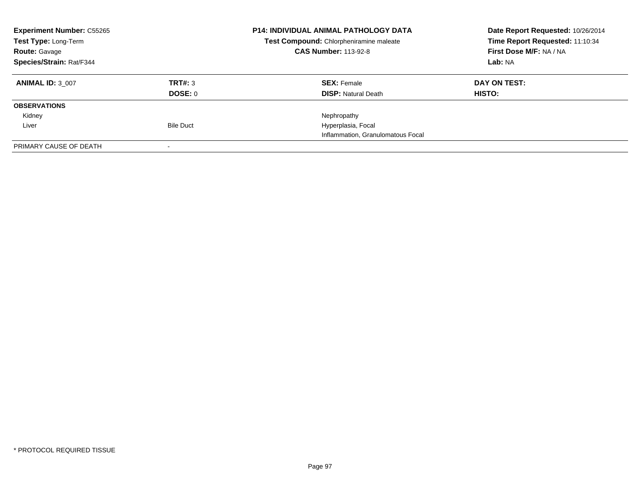| <b>Experiment Number: C55265</b><br>Test Type: Long-Term<br><b>Route: Gavage</b><br>Species/Strain: Rat/F344 |                  | <b>P14: INDIVIDUAL ANIMAL PATHOLOGY DATA</b><br>Test Compound: Chlorpheniramine maleate<br><b>CAS Number: 113-92-8</b> | Date Report Requested: 10/26/2014<br>Time Report Requested: 11:10:34<br>First Dose M/F: NA / NA |
|--------------------------------------------------------------------------------------------------------------|------------------|------------------------------------------------------------------------------------------------------------------------|-------------------------------------------------------------------------------------------------|
|                                                                                                              |                  |                                                                                                                        | Lab: NA                                                                                         |
| <b>ANIMAL ID: 3 007</b>                                                                                      | TRT#: 3          | <b>SEX: Female</b>                                                                                                     | DAY ON TEST:                                                                                    |
|                                                                                                              | DOSE: 0          | <b>DISP: Natural Death</b>                                                                                             | HISTO:                                                                                          |
| <b>OBSERVATIONS</b>                                                                                          |                  |                                                                                                                        |                                                                                                 |
| Kidney                                                                                                       |                  | Nephropathy                                                                                                            |                                                                                                 |
| Liver                                                                                                        | <b>Bile Duct</b> | Hyperplasia, Focal                                                                                                     |                                                                                                 |
|                                                                                                              |                  | Inflammation, Granulomatous Focal                                                                                      |                                                                                                 |
| PRIMARY CAUSE OF DEATH                                                                                       |                  |                                                                                                                        |                                                                                                 |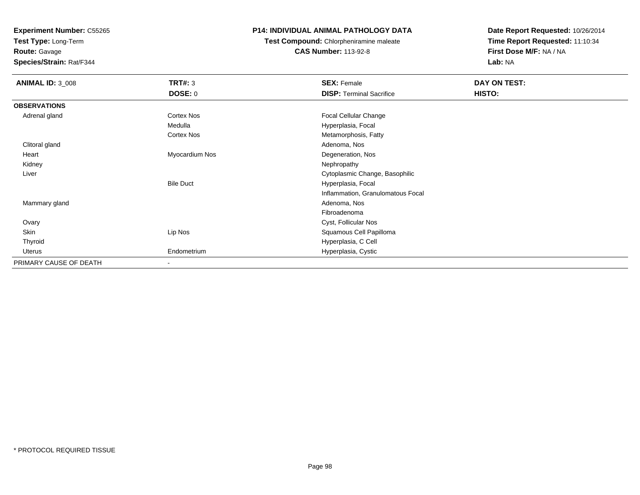**Test Type:** Long-Term

**Route:** Gavage

**Species/Strain:** Rat/F344

#### **P14: INDIVIDUAL ANIMAL PATHOLOGY DATA**

**Test Compound:** Chlorpheniramine maleate**CAS Number:** 113-92-8

| <b>ANIMAL ID: 3_008</b> | <b>TRT#: 3</b>           | <b>SEX: Female</b>                | DAY ON TEST: |  |
|-------------------------|--------------------------|-----------------------------------|--------------|--|
|                         | <b>DOSE: 0</b>           | <b>DISP: Terminal Sacrifice</b>   | HISTO:       |  |
| <b>OBSERVATIONS</b>     |                          |                                   |              |  |
| Adrenal gland           | Cortex Nos               | Focal Cellular Change             |              |  |
|                         | Medulla                  | Hyperplasia, Focal                |              |  |
|                         | Cortex Nos               | Metamorphosis, Fatty              |              |  |
| Clitoral gland          |                          | Adenoma, Nos                      |              |  |
| Heart                   | Myocardium Nos           | Degeneration, Nos                 |              |  |
| Kidney                  |                          | Nephropathy                       |              |  |
| Liver                   |                          | Cytoplasmic Change, Basophilic    |              |  |
|                         | <b>Bile Duct</b>         | Hyperplasia, Focal                |              |  |
|                         |                          | Inflammation, Granulomatous Focal |              |  |
| Mammary gland           |                          | Adenoma, Nos                      |              |  |
|                         |                          | Fibroadenoma                      |              |  |
| Ovary                   |                          | Cyst, Follicular Nos              |              |  |
| Skin                    | Lip Nos                  | Squamous Cell Papilloma           |              |  |
| Thyroid                 |                          | Hyperplasia, C Cell               |              |  |
| Uterus                  | Endometrium              | Hyperplasia, Cystic               |              |  |
| PRIMARY CAUSE OF DEATH  | $\overline{\phantom{a}}$ |                                   |              |  |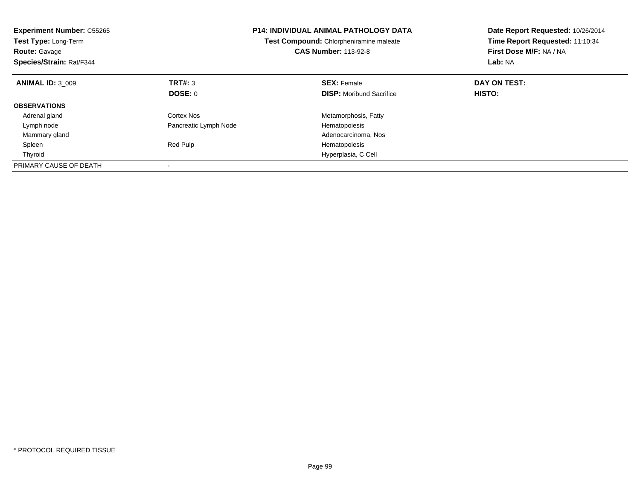| <b>Experiment Number: C55265</b><br>Test Type: Long-Term<br><b>Route: Gavage</b><br>Species/Strain: Rat/F344 |                       | <b>P14: INDIVIDUAL ANIMAL PATHOLOGY DATA</b><br>Test Compound: Chlorpheniramine maleate<br><b>CAS Number: 113-92-8</b> | Date Report Requested: 10/26/2014<br>Time Report Requested: 11:10:34<br>First Dose M/F: NA / NA<br>Lab: NA |  |
|--------------------------------------------------------------------------------------------------------------|-----------------------|------------------------------------------------------------------------------------------------------------------------|------------------------------------------------------------------------------------------------------------|--|
| <b>ANIMAL ID: 3 009</b>                                                                                      | TRT#: 3               | <b>SEX: Female</b>                                                                                                     | DAY ON TEST:                                                                                               |  |
|                                                                                                              | DOSE: 0               | <b>DISP:</b> Moribund Sacrifice                                                                                        | HISTO:                                                                                                     |  |
| <b>OBSERVATIONS</b>                                                                                          |                       |                                                                                                                        |                                                                                                            |  |
| Adrenal gland                                                                                                | Cortex Nos            | Metamorphosis, Fatty                                                                                                   |                                                                                                            |  |
| Lymph node                                                                                                   | Pancreatic Lymph Node | Hematopoiesis                                                                                                          |                                                                                                            |  |
| Mammary gland                                                                                                |                       | Adenocarcinoma, Nos                                                                                                    |                                                                                                            |  |
| Spleen                                                                                                       | Red Pulp              | Hematopoiesis                                                                                                          |                                                                                                            |  |
| Thyroid                                                                                                      |                       | Hyperplasia, C Cell                                                                                                    |                                                                                                            |  |
| PRIMARY CAUSE OF DEATH                                                                                       |                       |                                                                                                                        |                                                                                                            |  |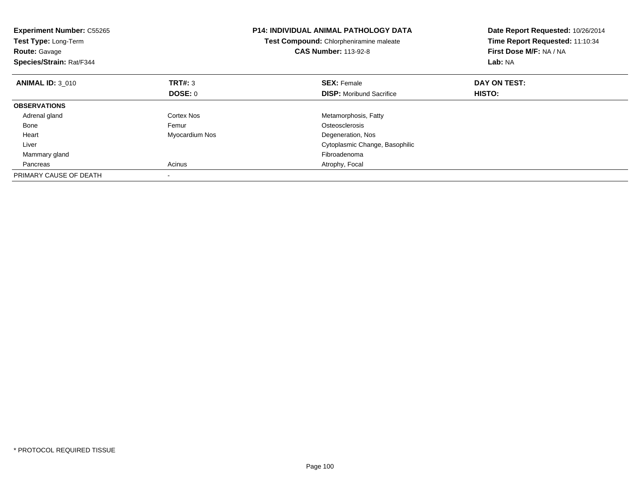| <b>Experiment Number: C55265</b><br><b>Test Type: Long-Term</b><br><b>Route: Gavage</b><br>Species/Strain: Rat/F344 |                | <b>P14: INDIVIDUAL ANIMAL PATHOLOGY DATA</b><br>Test Compound: Chlorpheniramine maleate<br><b>CAS Number: 113-92-8</b> | Date Report Requested: 10/26/2014<br>Time Report Requested: 11:10:34<br>First Dose M/F: NA / NA<br>Lab: NA |
|---------------------------------------------------------------------------------------------------------------------|----------------|------------------------------------------------------------------------------------------------------------------------|------------------------------------------------------------------------------------------------------------|
| <b>ANIMAL ID: 3 010</b>                                                                                             | TRT#: 3        | <b>SEX: Female</b>                                                                                                     | DAY ON TEST:                                                                                               |
|                                                                                                                     | DOSE: 0        | <b>DISP:</b> Moribund Sacrifice                                                                                        | HISTO:                                                                                                     |
| <b>OBSERVATIONS</b>                                                                                                 |                |                                                                                                                        |                                                                                                            |
| Adrenal gland                                                                                                       | Cortex Nos     | Metamorphosis, Fatty                                                                                                   |                                                                                                            |
| Bone                                                                                                                | Femur          | Osteosclerosis                                                                                                         |                                                                                                            |
| Heart                                                                                                               | Myocardium Nos | Degeneration, Nos                                                                                                      |                                                                                                            |
| Liver                                                                                                               |                | Cytoplasmic Change, Basophilic                                                                                         |                                                                                                            |
| Mammary gland                                                                                                       |                | Fibroadenoma                                                                                                           |                                                                                                            |
| Pancreas                                                                                                            | Acinus         | Atrophy, Focal                                                                                                         |                                                                                                            |
| PRIMARY CAUSE OF DEATH                                                                                              |                |                                                                                                                        |                                                                                                            |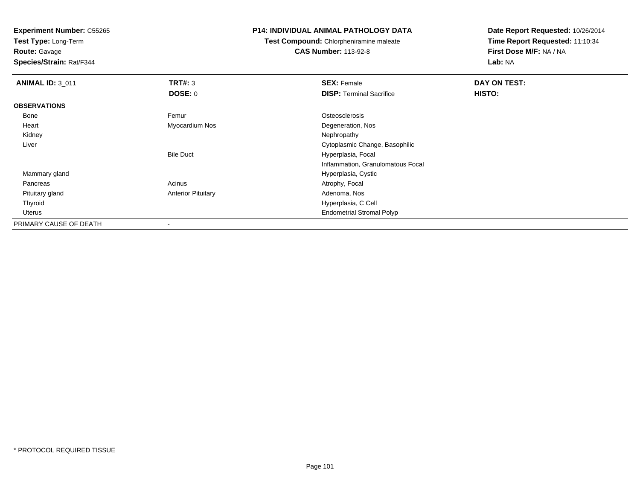**Test Type:** Long-Term

**Route:** Gavage

**Species/Strain:** Rat/F344

#### **P14: INDIVIDUAL ANIMAL PATHOLOGY DATA**

**Test Compound:** Chlorpheniramine maleate**CAS Number:** 113-92-8

| <b>ANIMAL ID: 3_011</b> | TRT#: 3                   | <b>SEX: Female</b>                | DAY ON TEST: |  |
|-------------------------|---------------------------|-----------------------------------|--------------|--|
|                         | DOSE: 0                   | <b>DISP: Terminal Sacrifice</b>   | HISTO:       |  |
| <b>OBSERVATIONS</b>     |                           |                                   |              |  |
| Bone                    | Femur                     | Osteosclerosis                    |              |  |
| Heart                   | Myocardium Nos            | Degeneration, Nos                 |              |  |
| Kidney                  |                           | Nephropathy                       |              |  |
| Liver                   |                           | Cytoplasmic Change, Basophilic    |              |  |
|                         | <b>Bile Duct</b>          | Hyperplasia, Focal                |              |  |
|                         |                           | Inflammation, Granulomatous Focal |              |  |
| Mammary gland           |                           | Hyperplasia, Cystic               |              |  |
| Pancreas                | Acinus                    | Atrophy, Focal                    |              |  |
| Pituitary gland         | <b>Anterior Pituitary</b> | Adenoma, Nos                      |              |  |
| Thyroid                 |                           | Hyperplasia, C Cell               |              |  |
| Uterus                  |                           | <b>Endometrial Stromal Polyp</b>  |              |  |
| PRIMARY CAUSE OF DEATH  |                           |                                   |              |  |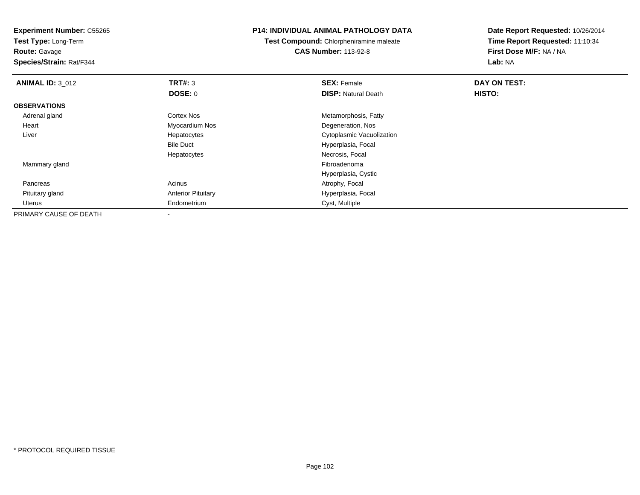**Test Type:** Long-Term

**Route:** Gavage

**Species/Strain:** Rat/F344

#### **P14: INDIVIDUAL ANIMAL PATHOLOGY DATA**

**Test Compound:** Chlorpheniramine maleate**CAS Number:** 113-92-8

| <b>ANIMAL ID: 3_012</b> | TRT#: 3                   | <b>SEX: Female</b>         | DAY ON TEST: |  |
|-------------------------|---------------------------|----------------------------|--------------|--|
|                         | <b>DOSE: 0</b>            | <b>DISP: Natural Death</b> | HISTO:       |  |
| <b>OBSERVATIONS</b>     |                           |                            |              |  |
| Adrenal gland           | <b>Cortex Nos</b>         | Metamorphosis, Fatty       |              |  |
| Heart                   | Myocardium Nos            | Degeneration, Nos          |              |  |
| Liver                   | Hepatocytes               | Cytoplasmic Vacuolization  |              |  |
|                         | <b>Bile Duct</b>          | Hyperplasia, Focal         |              |  |
|                         | Hepatocytes               | Necrosis, Focal            |              |  |
| Mammary gland           |                           | Fibroadenoma               |              |  |
|                         |                           | Hyperplasia, Cystic        |              |  |
| Pancreas                | Acinus                    | Atrophy, Focal             |              |  |
| Pituitary gland         | <b>Anterior Pituitary</b> | Hyperplasia, Focal         |              |  |
| Uterus                  | Endometrium               | Cyst, Multiple             |              |  |
| PRIMARY CAUSE OF DEATH  |                           |                            |              |  |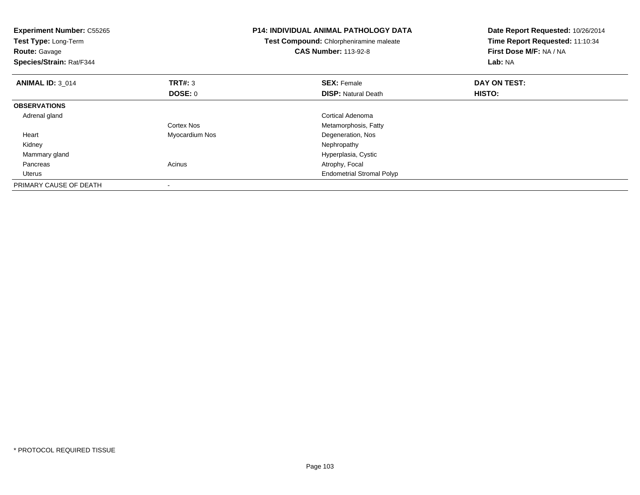| <b>Experiment Number: C55265</b><br>Test Type: Long-Term<br><b>Route: Gavage</b><br>Species/Strain: Rat/F344 |                | <b>P14: INDIVIDUAL ANIMAL PATHOLOGY DATA</b><br>Test Compound: Chlorpheniramine maleate<br><b>CAS Number: 113-92-8</b> | Date Report Requested: 10/26/2014<br>Time Report Requested: 11:10:34<br>First Dose M/F: NA / NA<br>Lab: NA |
|--------------------------------------------------------------------------------------------------------------|----------------|------------------------------------------------------------------------------------------------------------------------|------------------------------------------------------------------------------------------------------------|
| <b>ANIMAL ID: 3 014</b>                                                                                      | <b>TRT#: 3</b> | <b>SEX: Female</b>                                                                                                     | DAY ON TEST:                                                                                               |
|                                                                                                              | DOSE: 0        | <b>DISP:</b> Natural Death                                                                                             | HISTO:                                                                                                     |
| <b>OBSERVATIONS</b>                                                                                          |                |                                                                                                                        |                                                                                                            |
| Adrenal gland                                                                                                |                | Cortical Adenoma                                                                                                       |                                                                                                            |
|                                                                                                              | Cortex Nos     | Metamorphosis, Fatty                                                                                                   |                                                                                                            |
| Heart                                                                                                        | Myocardium Nos | Degeneration, Nos                                                                                                      |                                                                                                            |
| Kidney                                                                                                       |                | Nephropathy                                                                                                            |                                                                                                            |
| Mammary gland                                                                                                |                | Hyperplasia, Cystic                                                                                                    |                                                                                                            |
| Pancreas                                                                                                     | Acinus         | Atrophy, Focal                                                                                                         |                                                                                                            |
| Uterus                                                                                                       |                | <b>Endometrial Stromal Polyp</b>                                                                                       |                                                                                                            |
| PRIMARY CAUSE OF DEATH                                                                                       |                |                                                                                                                        |                                                                                                            |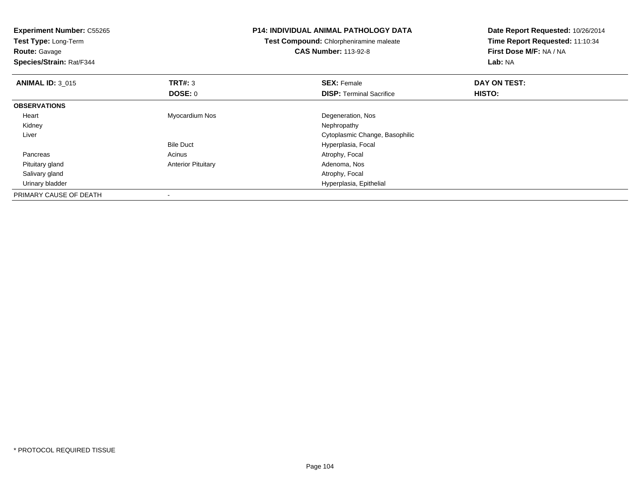| <b>Experiment Number: C55265</b><br>Test Type: Long-Term<br><b>Route: Gavage</b><br>Species/Strain: Rat/F344 |                           | <b>P14: INDIVIDUAL ANIMAL PATHOLOGY DATA</b><br>Test Compound: Chlorpheniramine maleate<br><b>CAS Number: 113-92-8</b> | Date Report Requested: 10/26/2014<br>Time Report Requested: 11:10:34<br>First Dose M/F: NA / NA<br>Lab: NA |  |
|--------------------------------------------------------------------------------------------------------------|---------------------------|------------------------------------------------------------------------------------------------------------------------|------------------------------------------------------------------------------------------------------------|--|
| <b>ANIMAL ID: 3 015</b>                                                                                      | TRT#: 3                   | <b>SEX: Female</b>                                                                                                     | DAY ON TEST:                                                                                               |  |
|                                                                                                              | <b>DOSE: 0</b>            | <b>DISP:</b> Terminal Sacrifice                                                                                        | <b>HISTO:</b>                                                                                              |  |
| <b>OBSERVATIONS</b>                                                                                          |                           |                                                                                                                        |                                                                                                            |  |
| Heart                                                                                                        | Myocardium Nos            | Degeneration, Nos                                                                                                      |                                                                                                            |  |
| Kidney                                                                                                       |                           | Nephropathy                                                                                                            |                                                                                                            |  |
| Liver                                                                                                        |                           | Cytoplasmic Change, Basophilic                                                                                         |                                                                                                            |  |
|                                                                                                              | <b>Bile Duct</b>          | Hyperplasia, Focal                                                                                                     |                                                                                                            |  |
| Pancreas                                                                                                     | Acinus                    | Atrophy, Focal                                                                                                         |                                                                                                            |  |
| Pituitary gland                                                                                              | <b>Anterior Pituitary</b> | Adenoma, Nos                                                                                                           |                                                                                                            |  |
| Salivary gland                                                                                               |                           | Atrophy, Focal                                                                                                         |                                                                                                            |  |
| Urinary bladder                                                                                              |                           | Hyperplasia, Epithelial                                                                                                |                                                                                                            |  |
| PRIMARY CAUSE OF DEATH                                                                                       |                           |                                                                                                                        |                                                                                                            |  |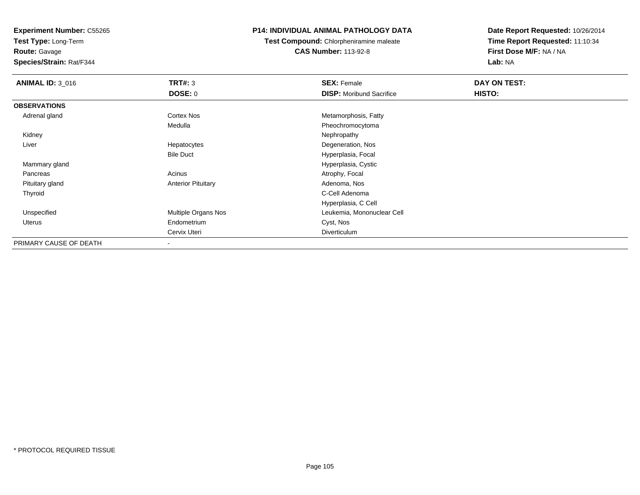**Test Type:** Long-Term

**Route:** Gavage

**Species/Strain:** Rat/F344

#### **P14: INDIVIDUAL ANIMAL PATHOLOGY DATA**

**Test Compound:** Chlorpheniramine maleate**CAS Number:** 113-92-8

| <b>ANIMAL ID: 3_016</b> | <b>TRT#: 3</b>            | <b>SEX: Female</b>              | DAY ON TEST:  |  |
|-------------------------|---------------------------|---------------------------------|---------------|--|
|                         | <b>DOSE: 0</b>            | <b>DISP:</b> Moribund Sacrifice | <b>HISTO:</b> |  |
| <b>OBSERVATIONS</b>     |                           |                                 |               |  |
| Adrenal gland           | Cortex Nos                | Metamorphosis, Fatty            |               |  |
|                         | Medulla                   | Pheochromocytoma                |               |  |
| Kidney                  |                           | Nephropathy                     |               |  |
| Liver                   | Hepatocytes               | Degeneration, Nos               |               |  |
|                         | <b>Bile Duct</b>          | Hyperplasia, Focal              |               |  |
| Mammary gland           |                           | Hyperplasia, Cystic             |               |  |
| Pancreas                | Acinus                    | Atrophy, Focal                  |               |  |
| Pituitary gland         | <b>Anterior Pituitary</b> | Adenoma, Nos                    |               |  |
| Thyroid                 |                           | C-Cell Adenoma                  |               |  |
|                         |                           | Hyperplasia, C Cell             |               |  |
| Unspecified             | Multiple Organs Nos       | Leukemia, Mononuclear Cell      |               |  |
| Uterus                  | Endometrium               | Cyst, Nos                       |               |  |
|                         | Cervix Uteri              | Diverticulum                    |               |  |
| PRIMARY CAUSE OF DEATH  |                           |                                 |               |  |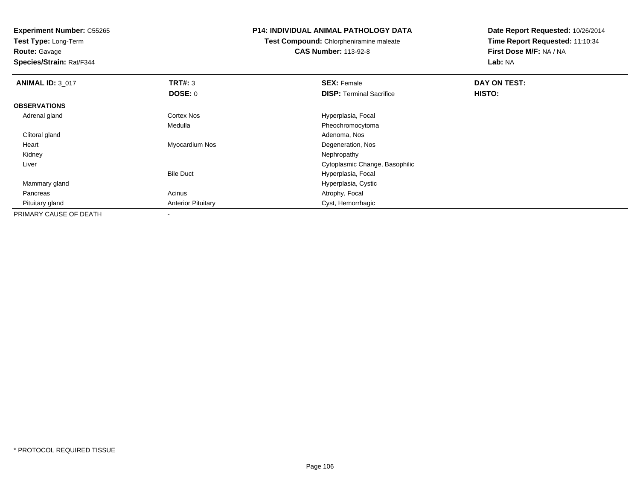**Test Type:** Long-Term

**Route:** Gavage

**Species/Strain:** Rat/F344

#### **P14: INDIVIDUAL ANIMAL PATHOLOGY DATA**

**Test Compound:** Chlorpheniramine maleate**CAS Number:** 113-92-8

| <b>ANIMAL ID: 3_017</b> | TRT#: 3                   | <b>SEX: Female</b>              | DAY ON TEST: |  |
|-------------------------|---------------------------|---------------------------------|--------------|--|
|                         | <b>DOSE: 0</b>            | <b>DISP: Terminal Sacrifice</b> | HISTO:       |  |
| <b>OBSERVATIONS</b>     |                           |                                 |              |  |
| Adrenal gland           | <b>Cortex Nos</b>         | Hyperplasia, Focal              |              |  |
|                         | Medulla                   | Pheochromocytoma                |              |  |
| Clitoral gland          |                           | Adenoma, Nos                    |              |  |
| Heart                   | Myocardium Nos            | Degeneration, Nos               |              |  |
| Kidney                  |                           | Nephropathy                     |              |  |
| Liver                   |                           | Cytoplasmic Change, Basophilic  |              |  |
|                         | <b>Bile Duct</b>          | Hyperplasia, Focal              |              |  |
| Mammary gland           |                           | Hyperplasia, Cystic             |              |  |
| Pancreas                | Acinus                    | Atrophy, Focal                  |              |  |
| Pituitary gland         | <b>Anterior Pituitary</b> | Cyst, Hemorrhagic               |              |  |
| PRIMARY CAUSE OF DEATH  |                           |                                 |              |  |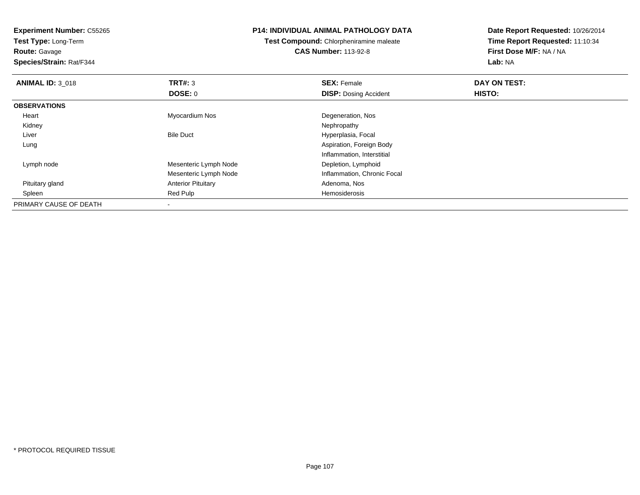**Experiment Number:** C55265**Test Type:** Long-Term**Route:** Gavage **Species/Strain:** Rat/F344**P14: INDIVIDUAL ANIMAL PATHOLOGY DATATest Compound:** Chlorpheniramine maleate**CAS Number:** 113-92-8**Date Report Requested:** 10/26/2014**Time Report Requested:** 11:10:34**First Dose M/F:** NA / NA**Lab:** NA**ANIMAL ID: 3 018 REX:** Female **DAY ON TEST: SEX:** Female **SEX:** Female **DOSE:** 0**DISP:** Dosing Accident **HISTO: OBSERVATIONS** Heart Myocardium Nos Degeneration, Nos Kidneyy the control of the control of the control of the control of the control of the control of the control of the control of the control of the control of the control of the control of the control of the control of the contro LiverBile Duct **Hyperplasia**, Focal Lung Aspiration, Foreign Body Inflammation, Interstitial Lymph nodeMesenteric Lymph Node Depletion, Lymphoid Mesenteric Lymph NodeInflammation, Chronic Focal<br>Adenoma, Nos Pituitary glandAnterior Pituitary **Adenoma, Nosting Community Community** Adenoma, Nosting Ped Pulp<br>
Red Pulp Spleenn and the second term of the Red Pulp Hemosiderosis and the Hemosiderosis and the Hemosiderosis and the Hemosiderosis  $\mathbb{R}^n$ PRIMARY CAUSE OF DEATH-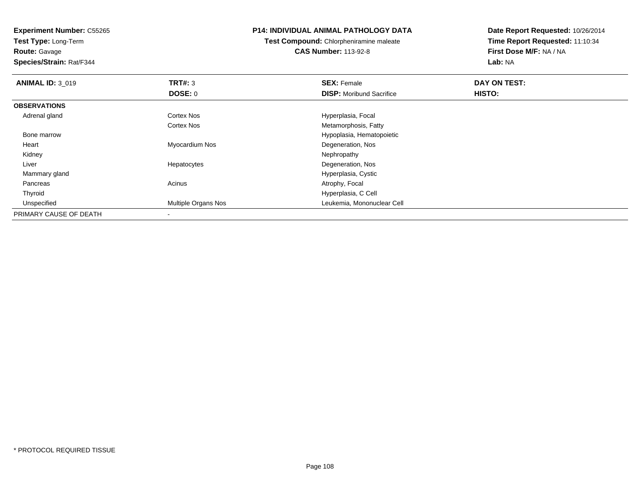**Test Type:** Long-Term**Route:** Gavage

**Species/Strain:** Rat/F344

#### **P14: INDIVIDUAL ANIMAL PATHOLOGY DATA**

**Test Compound:** Chlorpheniramine maleate**CAS Number:** 113-92-8

| <b>ANIMAL ID: 3 019</b> | <b>TRT#: 3</b>      | <b>SEX: Female</b>              | DAY ON TEST: |  |
|-------------------------|---------------------|---------------------------------|--------------|--|
|                         | <b>DOSE: 0</b>      | <b>DISP:</b> Moribund Sacrifice | HISTO:       |  |
| <b>OBSERVATIONS</b>     |                     |                                 |              |  |
| Adrenal gland           | Cortex Nos          | Hyperplasia, Focal              |              |  |
|                         | <b>Cortex Nos</b>   | Metamorphosis, Fatty            |              |  |
| Bone marrow             |                     | Hypoplasia, Hematopoietic       |              |  |
| Heart                   | Myocardium Nos      | Degeneration, Nos               |              |  |
| Kidney                  |                     | Nephropathy                     |              |  |
| Liver                   | Hepatocytes         | Degeneration, Nos               |              |  |
| Mammary gland           |                     | Hyperplasia, Cystic             |              |  |
| Pancreas                | Acinus              | Atrophy, Focal                  |              |  |
| Thyroid                 |                     | Hyperplasia, C Cell             |              |  |
| Unspecified             | Multiple Organs Nos | Leukemia, Mononuclear Cell      |              |  |
| PRIMARY CAUSE OF DEATH  | $\,$                |                                 |              |  |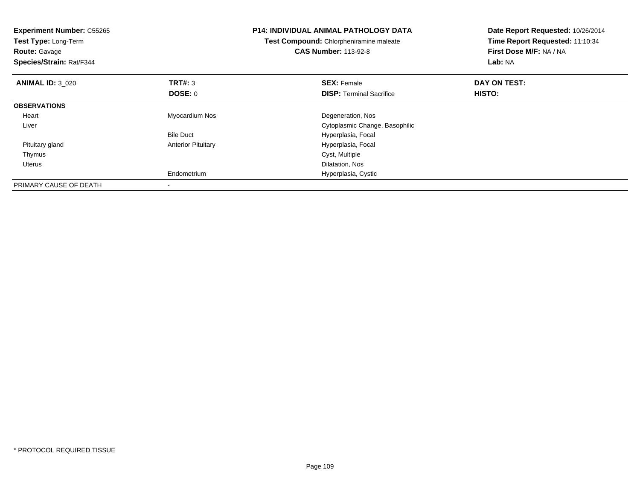| <b>Experiment Number: C55265</b><br>Test Type: Long-Term<br><b>Route: Gavage</b><br>Species/Strain: Rat/F344 |                           | <b>P14: INDIVIDUAL ANIMAL PATHOLOGY DATA</b><br>Test Compound: Chlorpheniramine maleate<br><b>CAS Number: 113-92-8</b> | Date Report Requested: 10/26/2014<br>Time Report Requested: 11:10:34<br>First Dose M/F: NA / NA<br>Lab: NA |
|--------------------------------------------------------------------------------------------------------------|---------------------------|------------------------------------------------------------------------------------------------------------------------|------------------------------------------------------------------------------------------------------------|
| <b>ANIMAL ID: 3 020</b>                                                                                      | <b>TRT#: 3</b>            | <b>SEX: Female</b>                                                                                                     | DAY ON TEST:                                                                                               |
|                                                                                                              | DOSE: 0                   | <b>DISP:</b> Terminal Sacrifice                                                                                        | HISTO:                                                                                                     |
| <b>OBSERVATIONS</b>                                                                                          |                           |                                                                                                                        |                                                                                                            |
| Heart                                                                                                        | Myocardium Nos            | Degeneration, Nos                                                                                                      |                                                                                                            |
| Liver                                                                                                        |                           | Cytoplasmic Change, Basophilic                                                                                         |                                                                                                            |
|                                                                                                              | <b>Bile Duct</b>          | Hyperplasia, Focal                                                                                                     |                                                                                                            |
| Pituitary gland                                                                                              | <b>Anterior Pituitary</b> | Hyperplasia, Focal                                                                                                     |                                                                                                            |
| Thymus                                                                                                       |                           | Cyst, Multiple                                                                                                         |                                                                                                            |
| Uterus                                                                                                       |                           | Dilatation, Nos                                                                                                        |                                                                                                            |
|                                                                                                              | Endometrium               | Hyperplasia, Cystic                                                                                                    |                                                                                                            |
| PRIMARY CAUSE OF DEATH                                                                                       |                           |                                                                                                                        |                                                                                                            |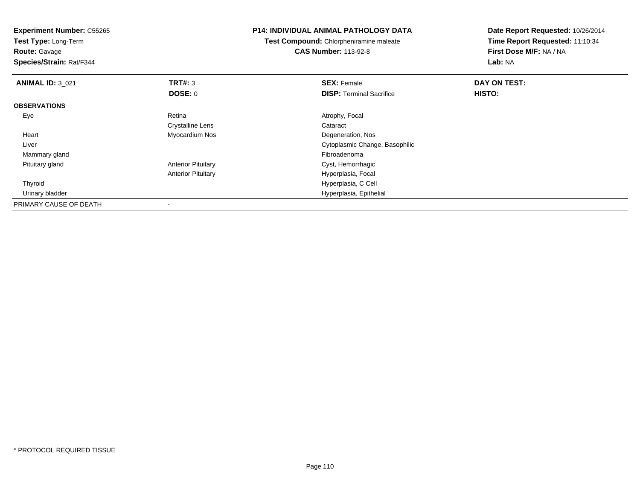**Experiment Number:** C55265**Test Type:** Long-Term**Route:** Gavage **Species/Strain:** Rat/F344**P14: INDIVIDUAL ANIMAL PATHOLOGY DATATest Compound:** Chlorpheniramine maleate**CAS Number:** 113-92-8**Date Report Requested:** 10/26/2014**Time Report Requested:** 11:10:34**First Dose M/F:** NA / NA**Lab:** NA**ANIMAL ID:** 3\_021**TRT#:** 3 **SEX:** Female **DAY ON TEST: DOSE:** 0**DISP:** Terminal Sacrifice **HISTO: OBSERVATIONS** Eye Retina Atrophy, Focal Crystalline Lens Cataract Heart Myocardium Nos Degeneration, Nos Liver Cytoplasmic Change, Basophilic Mammary glandd and the control of the control of the control of the control of the control of the control of the control of the control of the control of the control of the control of the control of the control of the control of the co Pituitary glandAnterior Pituitary **Cyst**, Hemorrhagic Anterior Pituitary Hyperplasia, Focal Thyroid Hyperplasia, C Cell Urinary bladder Hyperplasia, Epithelial PRIMARY CAUSE OF DEATH-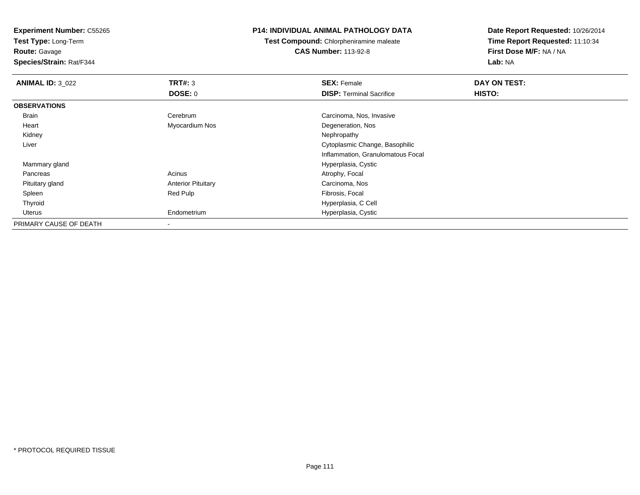**Test Type:** Long-Term

**Route:** Gavage

**Species/Strain:** Rat/F344

## **P14: INDIVIDUAL ANIMAL PATHOLOGY DATA**

**Test Compound:** Chlorpheniramine maleate**CAS Number:** 113-92-8

| <b>ANIMAL ID: 3_022</b> | TRT#: 3                   | <b>SEX: Female</b>                | DAY ON TEST: |
|-------------------------|---------------------------|-----------------------------------|--------------|
|                         | DOSE: 0                   | <b>DISP: Terminal Sacrifice</b>   | HISTO:       |
| <b>OBSERVATIONS</b>     |                           |                                   |              |
| Brain                   | Cerebrum                  | Carcinoma, Nos, Invasive          |              |
| Heart                   | Myocardium Nos            | Degeneration, Nos                 |              |
| Kidney                  |                           | Nephropathy                       |              |
| Liver                   |                           | Cytoplasmic Change, Basophilic    |              |
|                         |                           | Inflammation, Granulomatous Focal |              |
| Mammary gland           |                           | Hyperplasia, Cystic               |              |
| Pancreas                | Acinus                    | Atrophy, Focal                    |              |
| Pituitary gland         | <b>Anterior Pituitary</b> | Carcinoma, Nos                    |              |
| Spleen                  | Red Pulp                  | Fibrosis, Focal                   |              |
| Thyroid                 |                           | Hyperplasia, C Cell               |              |
| Uterus                  | Endometrium               | Hyperplasia, Cystic               |              |
| PRIMARY CAUSE OF DEATH  |                           |                                   |              |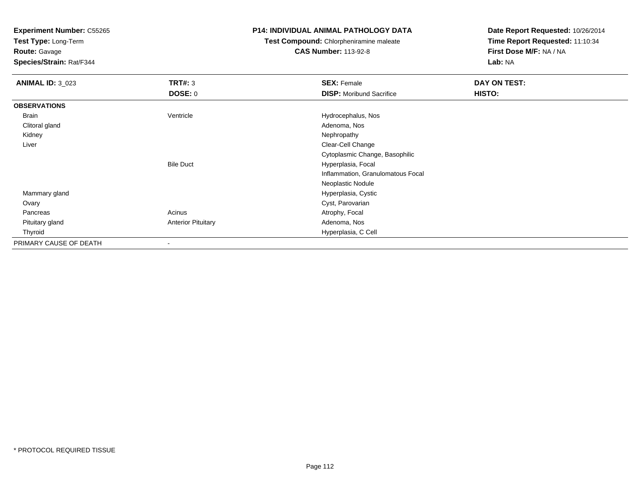**Test Type:** Long-Term

**Route:** Gavage

**Species/Strain:** Rat/F344

### **P14: INDIVIDUAL ANIMAL PATHOLOGY DATA**

**Test Compound:** Chlorpheniramine maleate**CAS Number:** 113-92-8

| <b>ANIMAL ID: 3_023</b> | <b>TRT#: 3</b>            | <b>SEX: Female</b>                | DAY ON TEST: |  |
|-------------------------|---------------------------|-----------------------------------|--------------|--|
|                         | <b>DOSE: 0</b>            | <b>DISP:</b> Moribund Sacrifice   | HISTO:       |  |
| <b>OBSERVATIONS</b>     |                           |                                   |              |  |
| Brain                   | Ventricle                 | Hydrocephalus, Nos                |              |  |
| Clitoral gland          |                           | Adenoma, Nos                      |              |  |
| Kidney                  |                           | Nephropathy                       |              |  |
| Liver                   |                           | Clear-Cell Change                 |              |  |
|                         |                           | Cytoplasmic Change, Basophilic    |              |  |
|                         | <b>Bile Duct</b>          | Hyperplasia, Focal                |              |  |
|                         |                           | Inflammation, Granulomatous Focal |              |  |
|                         |                           | Neoplastic Nodule                 |              |  |
| Mammary gland           |                           | Hyperplasia, Cystic               |              |  |
| Ovary                   |                           | Cyst, Parovarian                  |              |  |
| Pancreas                | Acinus                    | Atrophy, Focal                    |              |  |
| Pituitary gland         | <b>Anterior Pituitary</b> | Adenoma, Nos                      |              |  |
| Thyroid                 |                           | Hyperplasia, C Cell               |              |  |
| PRIMARY CAUSE OF DEATH  |                           |                                   |              |  |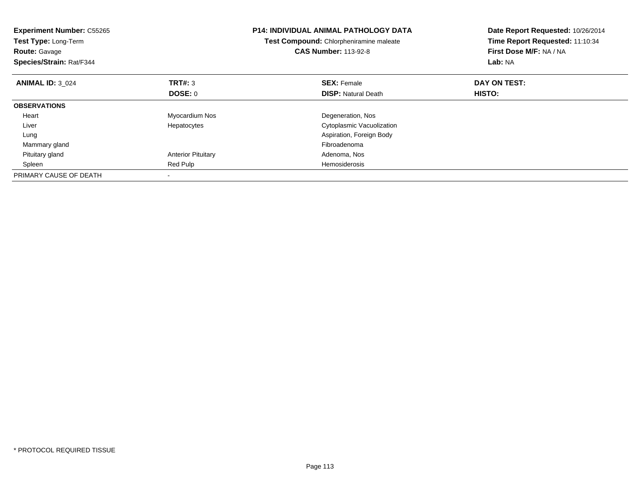| <b>Experiment Number: C55265</b><br>Test Type: Long-Term<br><b>Route: Gavage</b><br>Species/Strain: Rat/F344 |                           | <b>P14: INDIVIDUAL ANIMAL PATHOLOGY DATA</b><br>Test Compound: Chlorpheniramine maleate<br><b>CAS Number: 113-92-8</b> | Date Report Requested: 10/26/2014<br>Time Report Requested: 11:10:34<br>First Dose M/F: NA / NA<br>Lab: NA |
|--------------------------------------------------------------------------------------------------------------|---------------------------|------------------------------------------------------------------------------------------------------------------------|------------------------------------------------------------------------------------------------------------|
| <b>ANIMAL ID: 3 024</b>                                                                                      | TRT#: 3                   | <b>SEX: Female</b>                                                                                                     | DAY ON TEST:                                                                                               |
|                                                                                                              | <b>DOSE: 0</b>            | <b>DISP:</b> Natural Death                                                                                             | HISTO:                                                                                                     |
| <b>OBSERVATIONS</b>                                                                                          |                           |                                                                                                                        |                                                                                                            |
| Heart                                                                                                        | Myocardium Nos            | Degeneration, Nos                                                                                                      |                                                                                                            |
| Liver                                                                                                        | Hepatocytes               | Cytoplasmic Vacuolization                                                                                              |                                                                                                            |
| Lung                                                                                                         |                           | Aspiration, Foreign Body                                                                                               |                                                                                                            |
| Mammary gland                                                                                                |                           | Fibroadenoma                                                                                                           |                                                                                                            |
| Pituitary gland                                                                                              | <b>Anterior Pituitary</b> | Adenoma, Nos                                                                                                           |                                                                                                            |
| Spleen                                                                                                       | Red Pulp                  | Hemosiderosis                                                                                                          |                                                                                                            |
| PRIMARY CAUSE OF DEATH                                                                                       |                           |                                                                                                                        |                                                                                                            |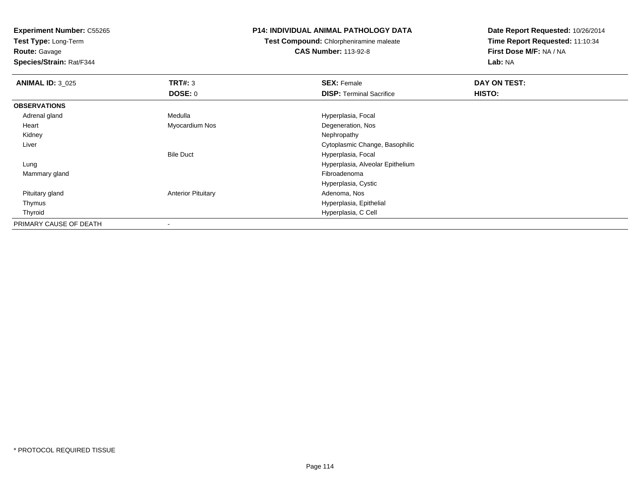**Test Type:** Long-Term

**Route:** Gavage

**Species/Strain:** Rat/F344

## **P14: INDIVIDUAL ANIMAL PATHOLOGY DATA**

**Test Compound:** Chlorpheniramine maleate**CAS Number:** 113-92-8

| <b>ANIMAL ID: 3 025</b> | TRT#: 3                   | <b>SEX: Female</b>               | <b>DAY ON TEST:</b> |
|-------------------------|---------------------------|----------------------------------|---------------------|
|                         | DOSE: 0                   | <b>DISP: Terminal Sacrifice</b>  | HISTO:              |
| <b>OBSERVATIONS</b>     |                           |                                  |                     |
| Adrenal gland           | Medulla                   | Hyperplasia, Focal               |                     |
| Heart                   | Myocardium Nos            | Degeneration, Nos                |                     |
| Kidney                  |                           | Nephropathy                      |                     |
| Liver                   |                           | Cytoplasmic Change, Basophilic   |                     |
|                         | <b>Bile Duct</b>          | Hyperplasia, Focal               |                     |
| Lung                    |                           | Hyperplasia, Alveolar Epithelium |                     |
| Mammary gland           |                           | Fibroadenoma                     |                     |
|                         |                           | Hyperplasia, Cystic              |                     |
| Pituitary gland         | <b>Anterior Pituitary</b> | Adenoma, Nos                     |                     |
| Thymus                  |                           | Hyperplasia, Epithelial          |                     |
| Thyroid                 |                           | Hyperplasia, C Cell              |                     |
| PRIMARY CAUSE OF DEATH  |                           |                                  |                     |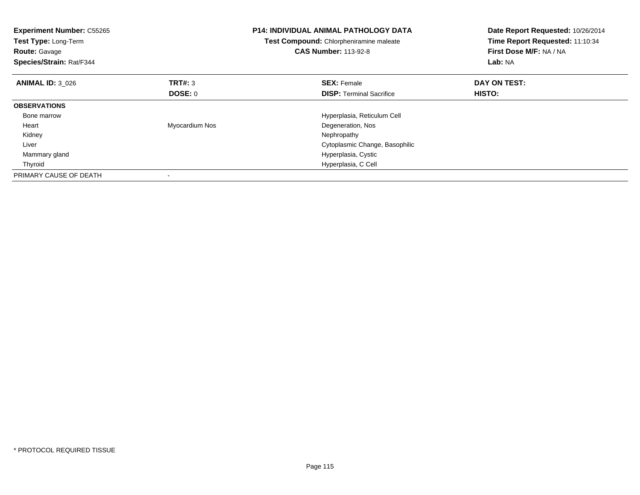| <b>Experiment Number: C55265</b><br>Test Type: Long-Term<br><b>Route: Gavage</b><br>Species/Strain: Rat/F344 |                | <b>P14: INDIVIDUAL ANIMAL PATHOLOGY DATA</b><br>Test Compound: Chlorpheniramine maleate<br><b>CAS Number: 113-92-8</b> | Date Report Requested: 10/26/2014<br>Time Report Requested: 11:10:34<br>First Dose M/F: NA / NA<br>Lab: NA |
|--------------------------------------------------------------------------------------------------------------|----------------|------------------------------------------------------------------------------------------------------------------------|------------------------------------------------------------------------------------------------------------|
| <b>ANIMAL ID: 3 026</b>                                                                                      | TRT#: 3        | <b>SEX: Female</b>                                                                                                     | DAY ON TEST:                                                                                               |
|                                                                                                              | <b>DOSE: 0</b> | <b>DISP:</b> Terminal Sacrifice                                                                                        | HISTO:                                                                                                     |
| <b>OBSERVATIONS</b>                                                                                          |                |                                                                                                                        |                                                                                                            |
| Bone marrow                                                                                                  |                | Hyperplasia, Reticulum Cell                                                                                            |                                                                                                            |
| Heart                                                                                                        | Myocardium Nos | Degeneration, Nos                                                                                                      |                                                                                                            |
| Kidney                                                                                                       |                | Nephropathy                                                                                                            |                                                                                                            |
| Liver                                                                                                        |                | Cytoplasmic Change, Basophilic                                                                                         |                                                                                                            |
| Mammary gland                                                                                                |                | Hyperplasia, Cystic                                                                                                    |                                                                                                            |
| Thyroid                                                                                                      |                | Hyperplasia, C Cell                                                                                                    |                                                                                                            |
| PRIMARY CAUSE OF DEATH                                                                                       |                |                                                                                                                        |                                                                                                            |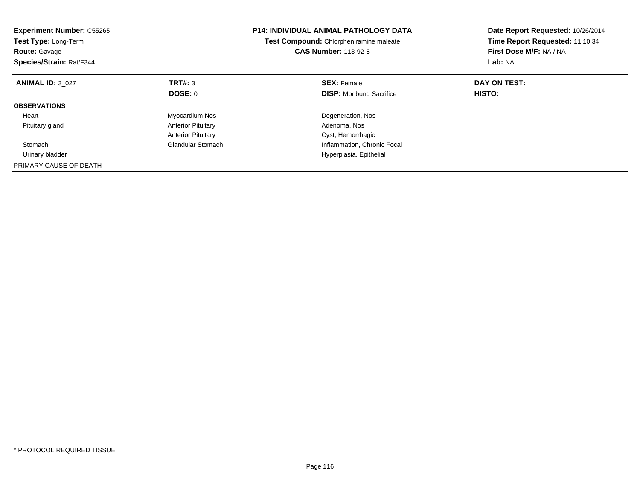| <b>Experiment Number: C55265</b><br>Test Type: Long-Term<br><b>Route: Gavage</b><br>Species/Strain: Rat/F344 |                           | <b>P14: INDIVIDUAL ANIMAL PATHOLOGY DATA</b><br>Test Compound: Chlorpheniramine maleate<br><b>CAS Number: 113-92-8</b> | Date Report Requested: 10/26/2014<br>Time Report Requested: 11:10:34<br>First Dose M/F: NA / NA<br>Lab: NA |
|--------------------------------------------------------------------------------------------------------------|---------------------------|------------------------------------------------------------------------------------------------------------------------|------------------------------------------------------------------------------------------------------------|
| <b>ANIMAL ID: 3 027</b>                                                                                      | TRT#: 3                   | <b>SEX: Female</b>                                                                                                     | DAY ON TEST:                                                                                               |
|                                                                                                              | DOSE: 0                   | <b>DISP:</b> Moribund Sacrifice                                                                                        | HISTO:                                                                                                     |
| <b>OBSERVATIONS</b>                                                                                          |                           |                                                                                                                        |                                                                                                            |
| Heart                                                                                                        | Myocardium Nos            | Degeneration, Nos                                                                                                      |                                                                                                            |
| Pituitary gland                                                                                              | <b>Anterior Pituitary</b> | Adenoma, Nos                                                                                                           |                                                                                                            |
|                                                                                                              | <b>Anterior Pituitary</b> | Cyst, Hemorrhagic                                                                                                      |                                                                                                            |
| Stomach                                                                                                      | <b>Glandular Stomach</b>  | Inflammation, Chronic Focal                                                                                            |                                                                                                            |
| Urinary bladder                                                                                              |                           | Hyperplasia, Epithelial                                                                                                |                                                                                                            |
| PRIMARY CAUSE OF DEATH                                                                                       |                           |                                                                                                                        |                                                                                                            |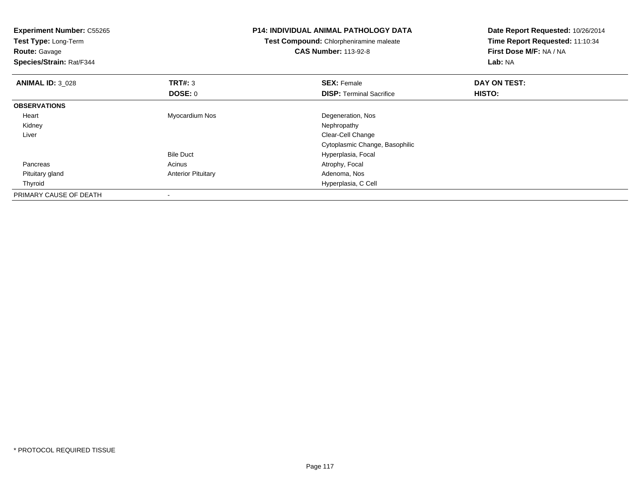| <b>Experiment Number: C55265</b><br>Test Type: Long-Term<br><b>Route: Gavage</b><br>Species/Strain: Rat/F344 |                           | <b>P14: INDIVIDUAL ANIMAL PATHOLOGY DATA</b><br><b>Test Compound: Chlorpheniramine maleate</b><br><b>CAS Number: 113-92-8</b> | Date Report Requested: 10/26/2014<br>Time Report Requested: 11:10:34<br>First Dose M/F: NA / NA<br><b>Lab: NA</b> |
|--------------------------------------------------------------------------------------------------------------|---------------------------|-------------------------------------------------------------------------------------------------------------------------------|-------------------------------------------------------------------------------------------------------------------|
| <b>ANIMAL ID: 3 028</b>                                                                                      | <b>TRT#: 3</b>            | <b>SEX: Female</b>                                                                                                            | DAY ON TEST:                                                                                                      |
|                                                                                                              | DOSE: 0                   | <b>DISP:</b> Terminal Sacrifice                                                                                               | <b>HISTO:</b>                                                                                                     |
| <b>OBSERVATIONS</b>                                                                                          |                           |                                                                                                                               |                                                                                                                   |
| Heart                                                                                                        | Myocardium Nos            | Degeneration, Nos                                                                                                             |                                                                                                                   |
| Kidney                                                                                                       |                           | Nephropathy                                                                                                                   |                                                                                                                   |
| Liver                                                                                                        |                           | Clear-Cell Change                                                                                                             |                                                                                                                   |
|                                                                                                              |                           | Cytoplasmic Change, Basophilic                                                                                                |                                                                                                                   |
|                                                                                                              | <b>Bile Duct</b>          | Hyperplasia, Focal                                                                                                            |                                                                                                                   |
| Pancreas                                                                                                     | Acinus                    | Atrophy, Focal                                                                                                                |                                                                                                                   |
| Pituitary gland                                                                                              | <b>Anterior Pituitary</b> | Adenoma, Nos                                                                                                                  |                                                                                                                   |
| Thyroid                                                                                                      |                           | Hyperplasia, C Cell                                                                                                           |                                                                                                                   |
| PRIMARY CAUSE OF DEATH                                                                                       |                           |                                                                                                                               |                                                                                                                   |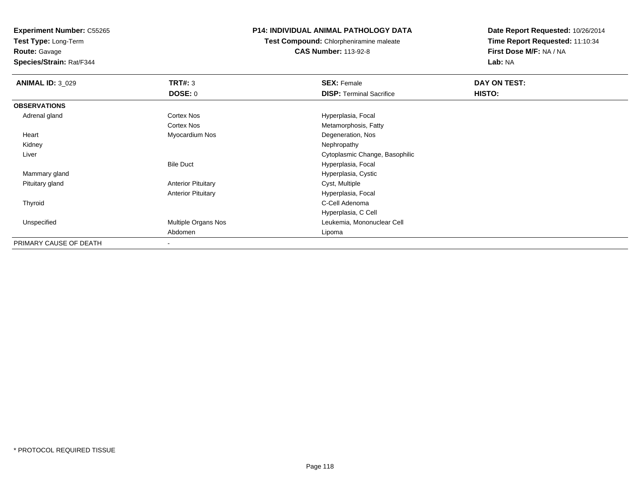**Test Type:** Long-Term

**Route:** Gavage

**Species/Strain:** Rat/F344

# **P14: INDIVIDUAL ANIMAL PATHOLOGY DATA**

**Test Compound:** Chlorpheniramine maleate**CAS Number:** 113-92-8

| <b>ANIMAL ID: 3_029</b> | TRT#: 3                   | <b>SEX: Female</b>              | DAY ON TEST: |  |
|-------------------------|---------------------------|---------------------------------|--------------|--|
|                         | <b>DOSE: 0</b>            | <b>DISP: Terminal Sacrifice</b> | HISTO:       |  |
| <b>OBSERVATIONS</b>     |                           |                                 |              |  |
| Adrenal gland           | <b>Cortex Nos</b>         | Hyperplasia, Focal              |              |  |
|                         | <b>Cortex Nos</b>         | Metamorphosis, Fatty            |              |  |
| Heart                   | Myocardium Nos            | Degeneration, Nos               |              |  |
| Kidney                  |                           | Nephropathy                     |              |  |
| Liver                   |                           | Cytoplasmic Change, Basophilic  |              |  |
|                         | <b>Bile Duct</b>          | Hyperplasia, Focal              |              |  |
| Mammary gland           |                           | Hyperplasia, Cystic             |              |  |
| Pituitary gland         | <b>Anterior Pituitary</b> | Cyst, Multiple                  |              |  |
|                         | <b>Anterior Pituitary</b> | Hyperplasia, Focal              |              |  |
| Thyroid                 |                           | C-Cell Adenoma                  |              |  |
|                         |                           | Hyperplasia, C Cell             |              |  |
| Unspecified             | Multiple Organs Nos       | Leukemia, Mononuclear Cell      |              |  |
|                         | Abdomen                   | Lipoma                          |              |  |
| PRIMARY CAUSE OF DEATH  | $\overline{\phantom{a}}$  |                                 |              |  |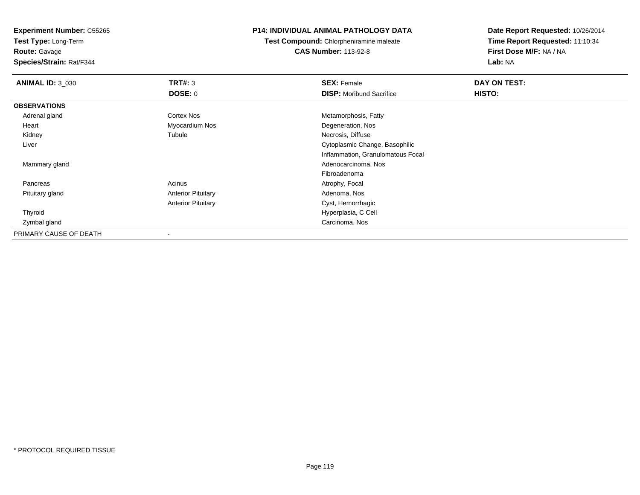**Test Type:** Long-Term

**Route:** Gavage

**Species/Strain:** Rat/F344

## **P14: INDIVIDUAL ANIMAL PATHOLOGY DATA**

**Test Compound:** Chlorpheniramine maleate**CAS Number:** 113-92-8

| <b>ANIMAL ID: 3_030</b> | TRT#: 3                   | <b>SEX: Female</b>                | DAY ON TEST: |  |
|-------------------------|---------------------------|-----------------------------------|--------------|--|
|                         | DOSE: 0                   | <b>DISP:</b> Moribund Sacrifice   | HISTO:       |  |
| <b>OBSERVATIONS</b>     |                           |                                   |              |  |
| Adrenal gland           | <b>Cortex Nos</b>         | Metamorphosis, Fatty              |              |  |
| Heart                   | Myocardium Nos            | Degeneration, Nos                 |              |  |
| Kidney                  | Tubule                    | Necrosis, Diffuse                 |              |  |
| Liver                   |                           | Cytoplasmic Change, Basophilic    |              |  |
|                         |                           | Inflammation, Granulomatous Focal |              |  |
| Mammary gland           |                           | Adenocarcinoma, Nos               |              |  |
|                         |                           | Fibroadenoma                      |              |  |
| Pancreas                | Acinus                    | Atrophy, Focal                    |              |  |
| Pituitary gland         | <b>Anterior Pituitary</b> | Adenoma, Nos                      |              |  |
|                         | <b>Anterior Pituitary</b> | Cyst, Hemorrhagic                 |              |  |
| Thyroid                 |                           | Hyperplasia, C Cell               |              |  |
| Zymbal gland            |                           | Carcinoma, Nos                    |              |  |
| PRIMARY CAUSE OF DEATH  |                           |                                   |              |  |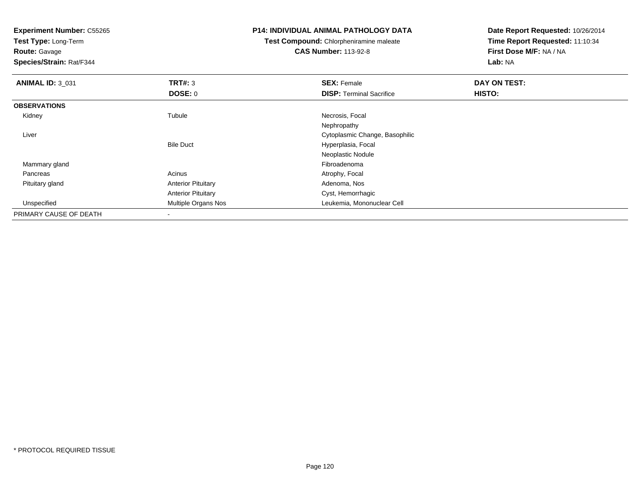**Test Type:** Long-Term

**Route:** Gavage

**Species/Strain:** Rat/F344

#### **P14: INDIVIDUAL ANIMAL PATHOLOGY DATA**

**Test Compound:** Chlorpheniramine maleate**CAS Number:** 113-92-8

| <b>ANIMAL ID: 3 031</b> | TRT#: 3                   | <b>SEX: Female</b>              | DAY ON TEST: |  |
|-------------------------|---------------------------|---------------------------------|--------------|--|
|                         | DOSE: 0                   | <b>DISP: Terminal Sacrifice</b> | HISTO:       |  |
| <b>OBSERVATIONS</b>     |                           |                                 |              |  |
| Kidney                  | Tubule                    | Necrosis, Focal                 |              |  |
|                         |                           | Nephropathy                     |              |  |
| Liver                   |                           | Cytoplasmic Change, Basophilic  |              |  |
|                         | <b>Bile Duct</b>          | Hyperplasia, Focal              |              |  |
|                         |                           | Neoplastic Nodule               |              |  |
| Mammary gland           |                           | Fibroadenoma                    |              |  |
| Pancreas                | Acinus                    | Atrophy, Focal                  |              |  |
| Pituitary gland         | <b>Anterior Pituitary</b> | Adenoma, Nos                    |              |  |
|                         | <b>Anterior Pituitary</b> | Cyst, Hemorrhagic               |              |  |
| Unspecified             | Multiple Organs Nos       | Leukemia, Mononuclear Cell      |              |  |
| PRIMARY CAUSE OF DEATH  |                           |                                 |              |  |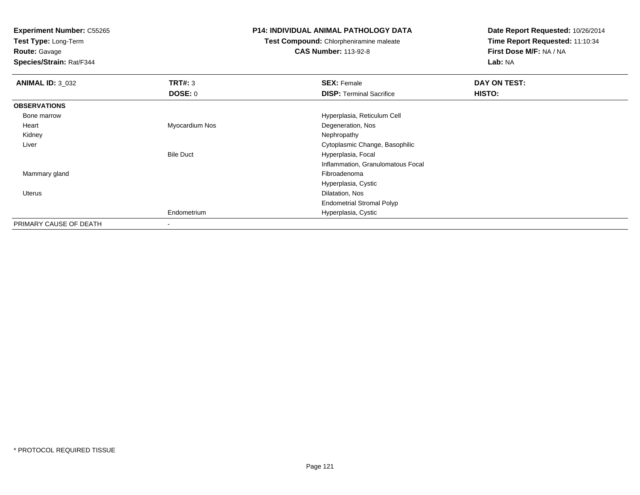**Test Type:** Long-Term

**Route:** Gavage

**Species/Strain:** Rat/F344

#### **P14: INDIVIDUAL ANIMAL PATHOLOGY DATA**

**Test Compound:** Chlorpheniramine maleate

**CAS Number:** 113-92-8

| <b>ANIMAL ID: 3 032</b> | TRT#: 3          | <b>SEX: Female</b>                | DAY ON TEST: |  |
|-------------------------|------------------|-----------------------------------|--------------|--|
|                         | <b>DOSE: 0</b>   | <b>DISP:</b> Terminal Sacrifice   | HISTO:       |  |
| <b>OBSERVATIONS</b>     |                  |                                   |              |  |
| Bone marrow             |                  | Hyperplasia, Reticulum Cell       |              |  |
| Heart                   | Myocardium Nos   | Degeneration, Nos                 |              |  |
| Kidney                  |                  | Nephropathy                       |              |  |
| Liver                   |                  | Cytoplasmic Change, Basophilic    |              |  |
|                         | <b>Bile Duct</b> | Hyperplasia, Focal                |              |  |
|                         |                  | Inflammation, Granulomatous Focal |              |  |
| Mammary gland           |                  | Fibroadenoma                      |              |  |
|                         |                  | Hyperplasia, Cystic               |              |  |
| <b>Uterus</b>           |                  | Dilatation, Nos                   |              |  |
|                         |                  | <b>Endometrial Stromal Polyp</b>  |              |  |
|                         | Endometrium      | Hyperplasia, Cystic               |              |  |
| PRIMARY CAUSE OF DEATH  | $\blacksquare$   |                                   |              |  |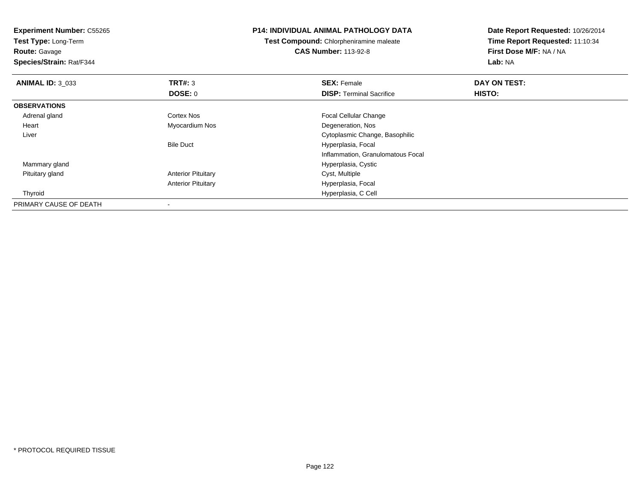**Experiment Number:** C55265**Test Type:** Long-Term**Route:** Gavage **Species/Strain:** Rat/F344**P14: INDIVIDUAL ANIMAL PATHOLOGY DATATest Compound:** Chlorpheniramine maleate**CAS Number:** 113-92-8**Date Report Requested:** 10/26/2014**Time Report Requested:** 11:10:34**First Dose M/F:** NA / NA**Lab:** NA**ANIMAL ID:** 3\_033**TRT#:** 3 **SEX:** Female **DAY ON TEST: DOSE:** 0**DISP:** Terminal Sacrifice **HISTO: OBSERVATIONS** Adrenal glandCortex Nos **Focal Cellular Change**  Heart Myocardium Nos Degeneration, Nos Liver Cytoplasmic Change, BasophilicBile Duct Hyperplasia, Focal Inflammation, Granulomatous Focal Mammary gland Hyperplasia, Cystic Pituitary gland**Anterior Pituitary** Anterior Pituitary Hyperplasia, Focal Thyroid Hyperplasia, C Cell PRIMARY CAUSE OF DEATH-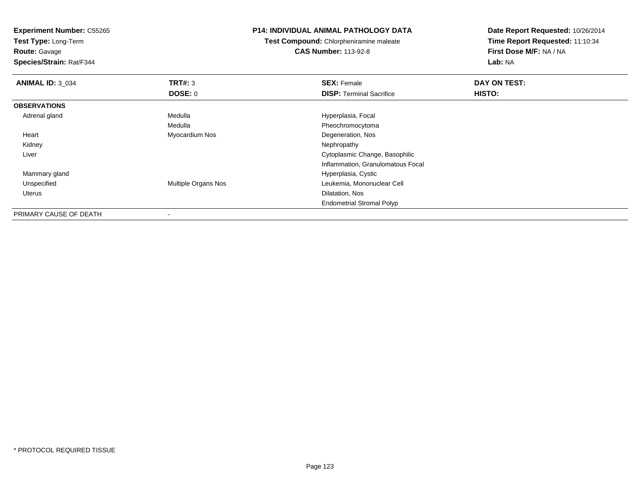**Experiment Number:** C55265**Test Type:** Long-Term**Route:** Gavage **Species/Strain:** Rat/F344**P14: INDIVIDUAL ANIMAL PATHOLOGY DATATest Compound:** Chlorpheniramine maleate**CAS Number:** 113-92-8**Date Report Requested:** 10/26/2014**Time Report Requested:** 11:10:34**First Dose M/F:** NA / NA**Lab:** NA**ANIMAL ID:** 3\_034**TRT#:** 3 **SEX:** Female **DAY ON TEST: DOSE:** 0**DISP:** Terminal Sacrifice **HISTO: OBSERVATIONS** Adrenal glandMedulla **Manuel Accord Medulla** Hyperplasia, Focal Medulla Pheochromocytoma Heart Myocardium Nos Degeneration, Nos Kidneyy the control of the control of the control of the control of the control of the control of the control of the control of the control of the control of the control of the control of the control of the control of the contro Liver Cytoplasmic Change, Basophilic Inflammation, Granulomatous Focal Mammary glandHyperplasia, Cystic<br>Multiple Organs Nos<br>Leukemia, Mononuc UnspecifiedLeukemia, Mononuclear Cell Uterus Dilatation, Nos Endometrial Stromal Polyp

PRIMARY CAUSE OF DEATH-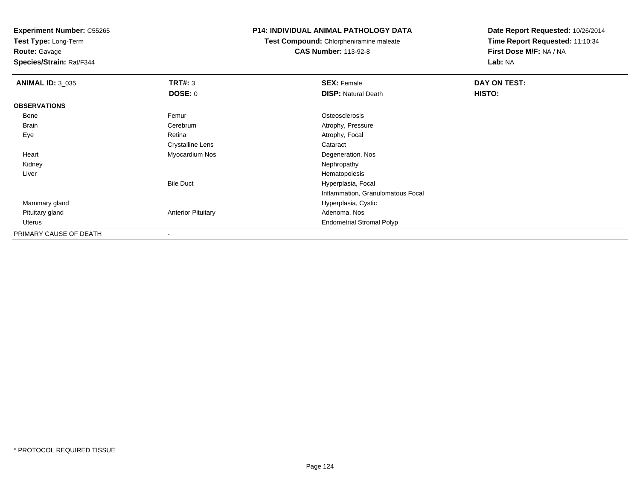**Test Type:** Long-Term

**Route:** Gavage

**Species/Strain:** Rat/F344

## **P14: INDIVIDUAL ANIMAL PATHOLOGY DATA**

**Test Compound:** Chlorpheniramine maleate**CAS Number:** 113-92-8

| <b>ANIMAL ID: 3_035</b> | TRT#: 3                   | <b>SEX: Female</b>                | DAY ON TEST: |  |
|-------------------------|---------------------------|-----------------------------------|--------------|--|
|                         | <b>DOSE: 0</b>            | <b>DISP: Natural Death</b>        | HISTO:       |  |
| <b>OBSERVATIONS</b>     |                           |                                   |              |  |
| Bone                    | Femur                     | Osteosclerosis                    |              |  |
| <b>Brain</b>            | Cerebrum                  | Atrophy, Pressure                 |              |  |
| Eye                     | Retina                    | Atrophy, Focal                    |              |  |
|                         | <b>Crystalline Lens</b>   | Cataract                          |              |  |
| Heart                   | Myocardium Nos            | Degeneration, Nos                 |              |  |
| Kidney                  |                           | Nephropathy                       |              |  |
| Liver                   |                           | Hematopoiesis                     |              |  |
|                         | <b>Bile Duct</b>          | Hyperplasia, Focal                |              |  |
|                         |                           | Inflammation, Granulomatous Focal |              |  |
| Mammary gland           |                           | Hyperplasia, Cystic               |              |  |
| Pituitary gland         | <b>Anterior Pituitary</b> | Adenoma, Nos                      |              |  |
| Uterus                  |                           | <b>Endometrial Stromal Polyp</b>  |              |  |
| PRIMARY CAUSE OF DEATH  |                           |                                   |              |  |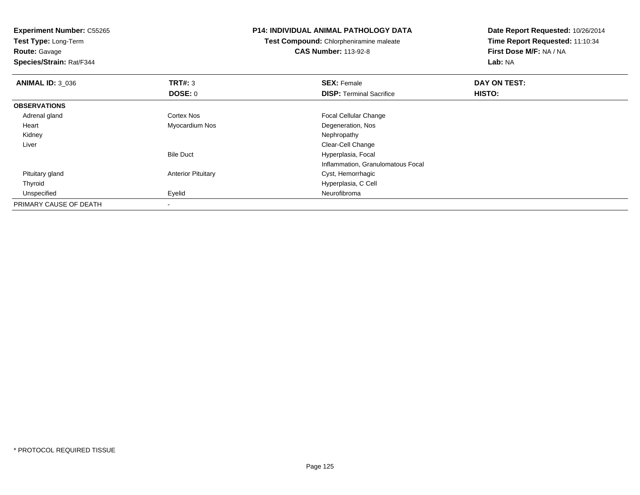**Experiment Number:** C55265**Test Type:** Long-Term**Route:** Gavage **Species/Strain:** Rat/F344**P14: INDIVIDUAL ANIMAL PATHOLOGY DATATest Compound:** Chlorpheniramine maleate**CAS Number:** 113-92-8**Date Report Requested:** 10/26/2014**Time Report Requested:** 11:10:34**First Dose M/F:** NA / NA**Lab:** NA**ANIMAL ID:** 3\_036**6 DAY ON TEST: TRT#:** 3 **SEX: Female SEX: Female DAY ON TEST: DOSE:** 0**DISP:** Terminal Sacrifice **HISTO: OBSERVATIONS** Adrenal glandCortex Nos **Focal Cellular Change**  Heart Myocardium NosDegeneration, Nos<br>Nephropathy Kidneyy the control of the control of the control of the control of the control of the control of the control of the control of the control of the control of the control of the control of the control of the control of the contro Liver Clear-Cell Changet **Hyperplasia, Focal** Bile DuctInflammation, Granulomatous Focal Pituitary glandAnterior Pituitary **Cyst, Hemorrhagic**  Thyroid Hyperplasia, C Cell Unspecifiedd **Eyelid** Eyelid **Expedition Contains the Contract of Containing Service Contract of Neurofibroma** PRIMARY CAUSE OF DEATH-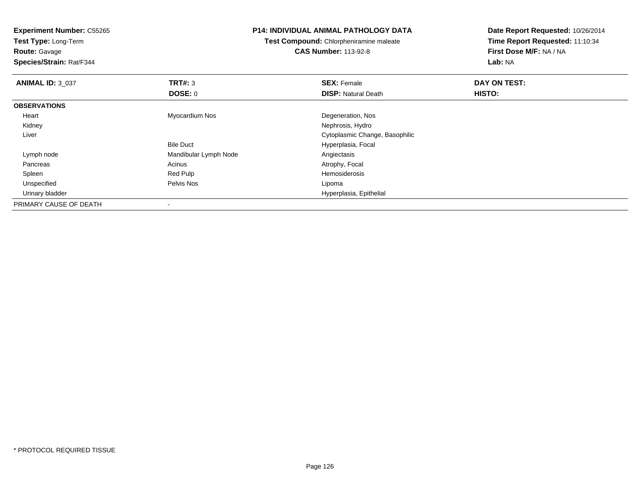**Experiment Number:** C55265**Test Type:** Long-Term**Route:** Gavage **Species/Strain:** Rat/F344**P14: INDIVIDUAL ANIMAL PATHOLOGY DATATest Compound:** Chlorpheniramine maleate**CAS Number:** 113-92-8**Date Report Requested:** 10/26/2014**Time Report Requested:** 11:10:34**First Dose M/F:** NA / NA**Lab:** NA**ANIMAL ID: 3 037 TRT#:** <sup>3</sup> **SEX:** Female **DAY ON TEST: DOSE:** 0**DISP:** Natural Death **HISTO: OBSERVATIONS** Heart Myocardium Nos Degeneration, Nos Kidney Nephrosis, Hydro Cytoplasmic Change, Basophilic LiverBile Duct Hyperplasia, Focal Lymph nodeMandibular Lymph Node<br>
Acinus<br>
Acinus<br>
Acinus<br>
Acinus Pancreass and the contract of the Acinus Acinus and the Acinus Atrophy, Focal and the Atrophy, Focal and the Acinus Acinus Acinus Acinus Acinus Acinus Acinus Acinus Acinus Acinus Acinus Acinus Acinus Acinus Acinus Acinus Acinus Ac Spleenn waa deel een bestel van de Red Pulp de Sean aan de Sean en de Sean aan de Hemosiderosis van de Sean en de Se Unspecified Pelvis Nos Lipoma Urinary bladder Hyperplasia, Epithelial PRIMARY CAUSE OF DEATH-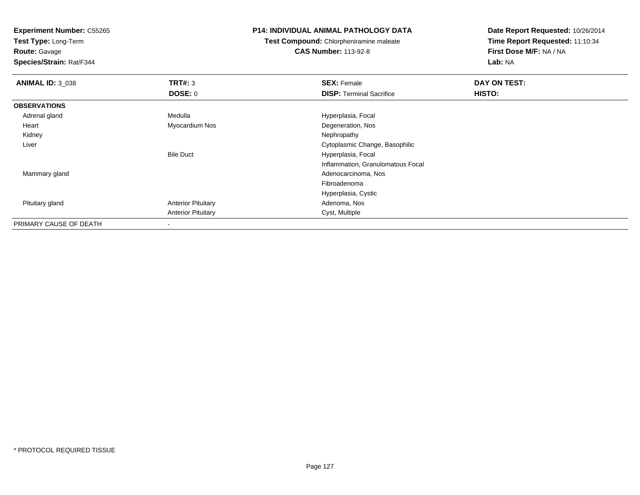**Test Type:** Long-Term

**Route:** Gavage

**Species/Strain:** Rat/F344

## **P14: INDIVIDUAL ANIMAL PATHOLOGY DATA**

**Test Compound:** Chlorpheniramine maleate**CAS Number:** 113-92-8

| <b>ANIMAL ID: 3_038</b> | TRT#: 3                   | <b>SEX: Female</b>                | DAY ON TEST: |  |
|-------------------------|---------------------------|-----------------------------------|--------------|--|
|                         | DOSE: 0                   | <b>DISP: Terminal Sacrifice</b>   | HISTO:       |  |
| <b>OBSERVATIONS</b>     |                           |                                   |              |  |
| Adrenal gland           | Medulla                   | Hyperplasia, Focal                |              |  |
| Heart                   | Myocardium Nos            | Degeneration, Nos                 |              |  |
| Kidney                  |                           | Nephropathy                       |              |  |
| Liver                   |                           | Cytoplasmic Change, Basophilic    |              |  |
|                         | <b>Bile Duct</b>          | Hyperplasia, Focal                |              |  |
|                         |                           | Inflammation, Granulomatous Focal |              |  |
| Mammary gland           |                           | Adenocarcinoma, Nos               |              |  |
|                         |                           | Fibroadenoma                      |              |  |
|                         |                           | Hyperplasia, Cystic               |              |  |
| Pituitary gland         | <b>Anterior Pituitary</b> | Adenoma, Nos                      |              |  |
|                         | <b>Anterior Pituitary</b> | Cyst, Multiple                    |              |  |
| PRIMARY CAUSE OF DEATH  |                           |                                   |              |  |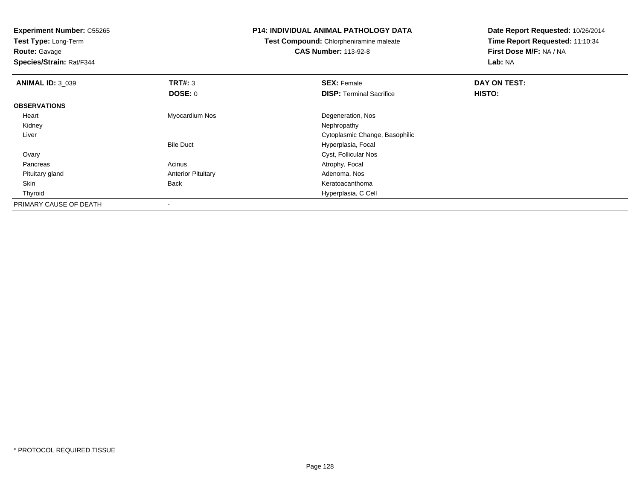**Experiment Number:** C55265**Test Type:** Long-Term**Route:** Gavage **Species/Strain:** Rat/F344**P14: INDIVIDUAL ANIMAL PATHOLOGY DATATest Compound:** Chlorpheniramine maleate**CAS Number:** 113-92-8**Date Report Requested:** 10/26/2014**Time Report Requested:** 11:10:34**First Dose M/F:** NA / NA**Lab:** NA**ANIMAL ID:** 3\_039**TRT#:** 3 **SEX:** Female **DAY ON TEST: DOSE:** 0**DISP:** Terminal Sacrifice **HISTO: OBSERVATIONS** Heart Myocardium Nos Degeneration, Nos Kidneyy the control of the control of the control of the control of the control of the control of the control of the control of the control of the control of the control of the control of the control of the control of the contro Liver Cytoplasmic Change, BasophilicBile Duct Hyperplasia, Focal **Ovary**  Cyst, Follicular Nos PancreasAcinus **Acinus** Atrophy, Focal Pituitary glandAnterior Pituitary **Adenoma, Nostandiary Material Adenoma, Nostandiary Adenoma, Nostandiary Adenoma, Nostandiary Adenoma, Nostandiary Adenoma, Nostandiary Adenoma, Nostandiary Adenoma, Nostandiary Adenoma, Nostandiary Aden**  SkinKeratoacanthoma Thyroid Hyperplasia, C Cell PRIMARY CAUSE OF DEATH-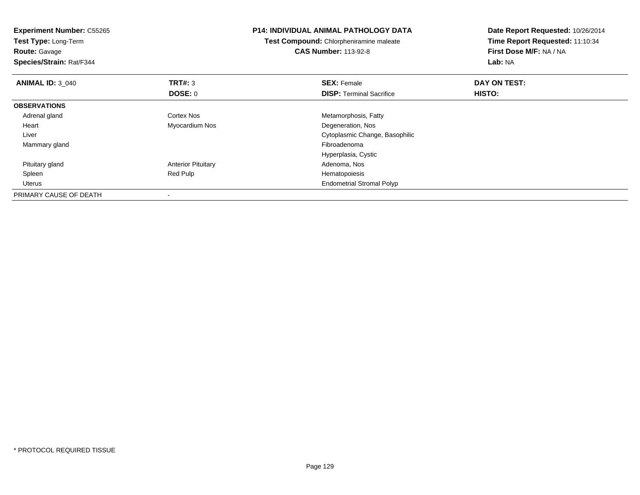| <b>Experiment Number: C55265</b><br>Test Type: Long-Term<br><b>Route: Gavage</b><br>Species/Strain: Rat/F344 |                           | <b>P14: INDIVIDUAL ANIMAL PATHOLOGY DATA</b><br>Test Compound: Chlorpheniramine maleate<br><b>CAS Number: 113-92-8</b> | Date Report Requested: 10/26/2014<br>Time Report Requested: 11:10:34<br>First Dose M/F: NA / NA<br>Lab: NA |
|--------------------------------------------------------------------------------------------------------------|---------------------------|------------------------------------------------------------------------------------------------------------------------|------------------------------------------------------------------------------------------------------------|
| <b>ANIMAL ID: 3_040</b>                                                                                      | <b>TRT#: 3</b>            | <b>SEX: Female</b>                                                                                                     | DAY ON TEST:                                                                                               |
|                                                                                                              | DOSE: 0                   | <b>DISP:</b> Terminal Sacrifice                                                                                        | HISTO:                                                                                                     |
| <b>OBSERVATIONS</b>                                                                                          |                           |                                                                                                                        |                                                                                                            |
| Adrenal gland                                                                                                | Cortex Nos                | Metamorphosis, Fatty                                                                                                   |                                                                                                            |
| Heart                                                                                                        | Myocardium Nos            | Degeneration, Nos                                                                                                      |                                                                                                            |
| Liver                                                                                                        |                           | Cytoplasmic Change, Basophilic                                                                                         |                                                                                                            |
| Mammary gland                                                                                                |                           | Fibroadenoma                                                                                                           |                                                                                                            |
|                                                                                                              |                           | Hyperplasia, Cystic                                                                                                    |                                                                                                            |
| Pituitary gland                                                                                              | <b>Anterior Pituitary</b> | Adenoma, Nos                                                                                                           |                                                                                                            |
| Spleen                                                                                                       | Red Pulp                  | Hematopoiesis                                                                                                          |                                                                                                            |
| Uterus                                                                                                       |                           | <b>Endometrial Stromal Polyp</b>                                                                                       |                                                                                                            |
| PRIMARY CAUSE OF DEATH                                                                                       |                           |                                                                                                                        |                                                                                                            |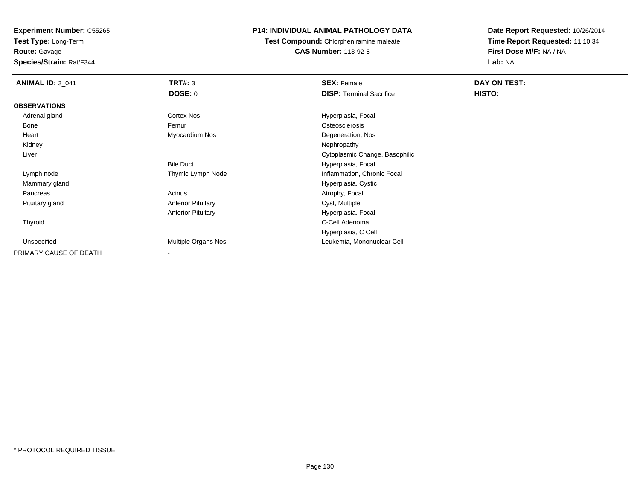**Test Type:** Long-Term

**Route:** Gavage

**Species/Strain:** Rat/F344

# **P14: INDIVIDUAL ANIMAL PATHOLOGY DATA**

**Test Compound:** Chlorpheniramine maleate**CAS Number:** 113-92-8

| <b>ANIMAL ID: 3_041</b> | <b>TRT#: 3</b>            | <b>SEX: Female</b>              | DAY ON TEST: |  |
|-------------------------|---------------------------|---------------------------------|--------------|--|
|                         | DOSE: 0                   | <b>DISP: Terminal Sacrifice</b> | HISTO:       |  |
| <b>OBSERVATIONS</b>     |                           |                                 |              |  |
| Adrenal gland           | Cortex Nos                | Hyperplasia, Focal              |              |  |
| Bone                    | Femur                     | Osteosclerosis                  |              |  |
| Heart                   | Myocardium Nos            | Degeneration, Nos               |              |  |
| Kidney                  |                           | Nephropathy                     |              |  |
| Liver                   |                           | Cytoplasmic Change, Basophilic  |              |  |
|                         | <b>Bile Duct</b>          | Hyperplasia, Focal              |              |  |
| Lymph node              | Thymic Lymph Node         | Inflammation, Chronic Focal     |              |  |
| Mammary gland           |                           | Hyperplasia, Cystic             |              |  |
| Pancreas                | Acinus                    | Atrophy, Focal                  |              |  |
| Pituitary gland         | <b>Anterior Pituitary</b> | Cyst, Multiple                  |              |  |
|                         | <b>Anterior Pituitary</b> | Hyperplasia, Focal              |              |  |
| Thyroid                 |                           | C-Cell Adenoma                  |              |  |
|                         |                           | Hyperplasia, C Cell             |              |  |
| Unspecified             | Multiple Organs Nos       | Leukemia, Mononuclear Cell      |              |  |
| PRIMARY CAUSE OF DEATH  | $\overline{\phantom{a}}$  |                                 |              |  |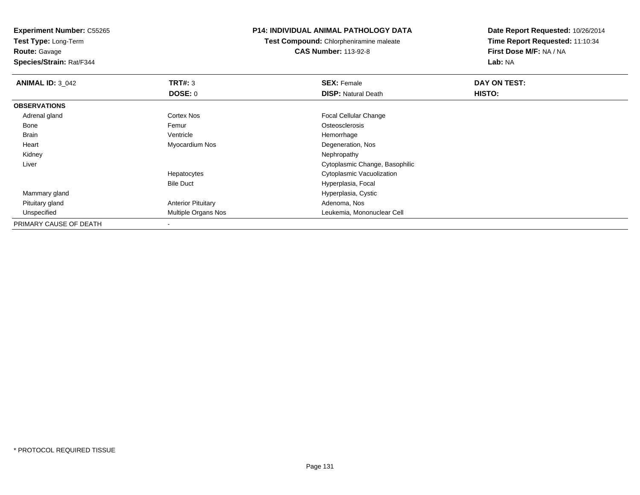**Test Type:** Long-Term**Route:** Gavage

**Species/Strain:** Rat/F344

## **P14: INDIVIDUAL ANIMAL PATHOLOGY DATA**

**Test Compound:** Chlorpheniramine maleate**CAS Number:** 113-92-8

| <b>ANIMAL ID: 3 042</b> | TRT#: 3                   | <b>SEX: Female</b>             | DAY ON TEST: |  |
|-------------------------|---------------------------|--------------------------------|--------------|--|
|                         | <b>DOSE: 0</b>            | <b>DISP: Natural Death</b>     | HISTO:       |  |
| <b>OBSERVATIONS</b>     |                           |                                |              |  |
| Adrenal gland           | Cortex Nos                | <b>Focal Cellular Change</b>   |              |  |
| Bone                    | Femur                     | Osteosclerosis                 |              |  |
| <b>Brain</b>            | Ventricle                 | Hemorrhage                     |              |  |
| Heart                   | Myocardium Nos            | Degeneration, Nos              |              |  |
| Kidney                  |                           | Nephropathy                    |              |  |
| Liver                   |                           | Cytoplasmic Change, Basophilic |              |  |
|                         | Hepatocytes               | Cytoplasmic Vacuolization      |              |  |
|                         | <b>Bile Duct</b>          | Hyperplasia, Focal             |              |  |
| Mammary gland           |                           | Hyperplasia, Cystic            |              |  |
| Pituitary gland         | <b>Anterior Pituitary</b> | Adenoma, Nos                   |              |  |
| Unspecified             | Multiple Organs Nos       | Leukemia, Mononuclear Cell     |              |  |
| PRIMARY CAUSE OF DEATH  | ۰                         |                                |              |  |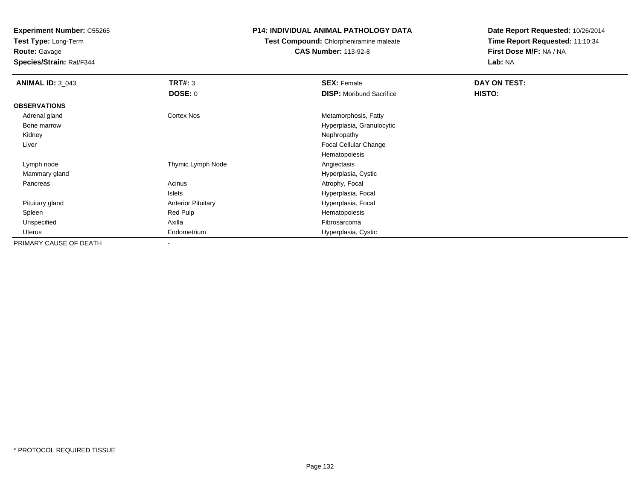**Test Type:** Long-Term

**Route:** Gavage

**Species/Strain:** Rat/F344

## **P14: INDIVIDUAL ANIMAL PATHOLOGY DATA**

**Test Compound:** Chlorpheniramine maleate**CAS Number:** 113-92-8

| <b>ANIMAL ID: 3_043</b> | TRT#: 3                   | <b>SEX: Female</b>              | DAY ON TEST: |  |
|-------------------------|---------------------------|---------------------------------|--------------|--|
|                         | <b>DOSE: 0</b>            | <b>DISP:</b> Moribund Sacrifice | HISTO:       |  |
| <b>OBSERVATIONS</b>     |                           |                                 |              |  |
| Adrenal gland           | <b>Cortex Nos</b>         | Metamorphosis, Fatty            |              |  |
| Bone marrow             |                           | Hyperplasia, Granulocytic       |              |  |
| Kidney                  |                           | Nephropathy                     |              |  |
| Liver                   |                           | Focal Cellular Change           |              |  |
|                         |                           | Hematopoiesis                   |              |  |
| Lymph node              | Thymic Lymph Node         | Angiectasis                     |              |  |
| Mammary gland           |                           | Hyperplasia, Cystic             |              |  |
| Pancreas                | Acinus                    | Atrophy, Focal                  |              |  |
|                         | Islets                    | Hyperplasia, Focal              |              |  |
| Pituitary gland         | <b>Anterior Pituitary</b> | Hyperplasia, Focal              |              |  |
| Spleen                  | Red Pulp                  | Hematopoiesis                   |              |  |
| Unspecified             | Axilla                    | Fibrosarcoma                    |              |  |
| Uterus                  | Endometrium               | Hyperplasia, Cystic             |              |  |
| PRIMARY CAUSE OF DEATH  | $\,$                      |                                 |              |  |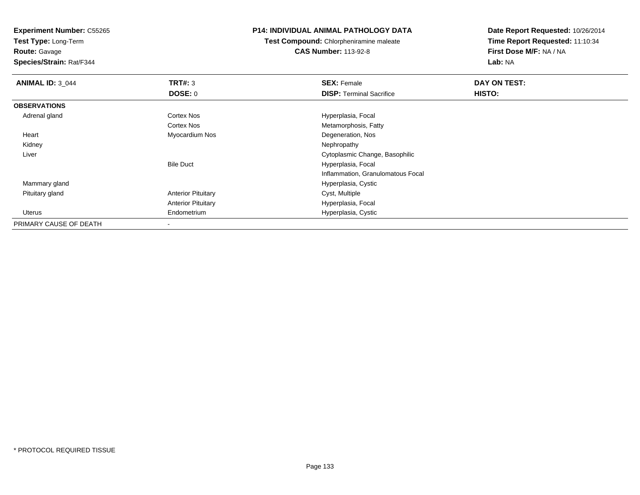**Test Type:** Long-Term

**Route:** Gavage

**Species/Strain:** Rat/F344

## **P14: INDIVIDUAL ANIMAL PATHOLOGY DATA**

**Test Compound:** Chlorpheniramine maleate**CAS Number:** 113-92-8

| <b>ANIMAL ID: 3_044</b> | TRT#: 3                   | <b>SEX: Female</b>                | DAY ON TEST: |  |
|-------------------------|---------------------------|-----------------------------------|--------------|--|
|                         | <b>DOSE: 0</b>            | <b>DISP:</b> Terminal Sacrifice   | HISTO:       |  |
| <b>OBSERVATIONS</b>     |                           |                                   |              |  |
| Adrenal gland           | Cortex Nos                | Hyperplasia, Focal                |              |  |
|                         | Cortex Nos                | Metamorphosis, Fatty              |              |  |
| Heart                   | Myocardium Nos            | Degeneration, Nos                 |              |  |
| Kidney                  |                           | Nephropathy                       |              |  |
| Liver                   |                           | Cytoplasmic Change, Basophilic    |              |  |
|                         | <b>Bile Duct</b>          | Hyperplasia, Focal                |              |  |
|                         |                           | Inflammation, Granulomatous Focal |              |  |
| Mammary gland           |                           | Hyperplasia, Cystic               |              |  |
| Pituitary gland         | <b>Anterior Pituitary</b> | Cyst, Multiple                    |              |  |
|                         | <b>Anterior Pituitary</b> | Hyperplasia, Focal                |              |  |
| Uterus                  | Endometrium               | Hyperplasia, Cystic               |              |  |
| PRIMARY CAUSE OF DEATH  |                           |                                   |              |  |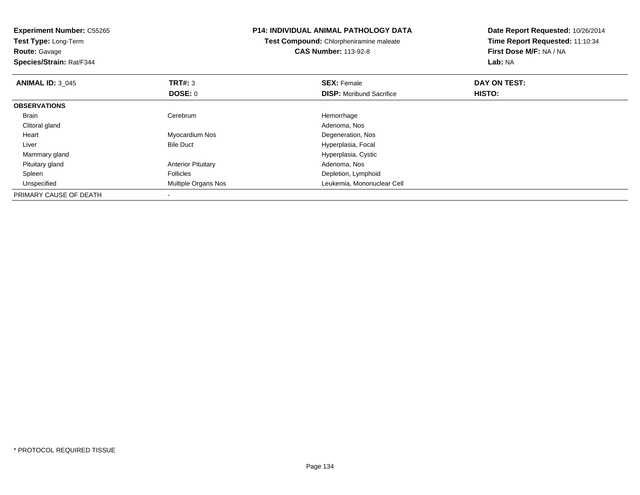| <b>Experiment Number: C55265</b><br>Test Type: Long-Term<br><b>Route: Gavage</b><br>Species/Strain: Rat/F344 |                           | <b>P14: INDIVIDUAL ANIMAL PATHOLOGY DATA</b><br><b>Test Compound: Chlorpheniramine maleate</b><br><b>CAS Number: 113-92-8</b> | Date Report Requested: 10/26/2014<br>Time Report Requested: 11:10:34<br>First Dose M/F: NA / NA<br>Lab: NA |
|--------------------------------------------------------------------------------------------------------------|---------------------------|-------------------------------------------------------------------------------------------------------------------------------|------------------------------------------------------------------------------------------------------------|
| <b>ANIMAL ID: 3 045</b>                                                                                      | TRT#: 3                   | <b>SEX: Female</b>                                                                                                            | DAY ON TEST:                                                                                               |
|                                                                                                              | <b>DOSE: 0</b>            | <b>DISP:</b> Moribund Sacrifice                                                                                               | <b>HISTO:</b>                                                                                              |
| <b>OBSERVATIONS</b>                                                                                          |                           |                                                                                                                               |                                                                                                            |
| <b>Brain</b>                                                                                                 | Cerebrum                  | Hemorrhage                                                                                                                    |                                                                                                            |
| Clitoral gland                                                                                               |                           | Adenoma, Nos                                                                                                                  |                                                                                                            |
| Heart                                                                                                        | Myocardium Nos            | Degeneration, Nos                                                                                                             |                                                                                                            |
| Liver                                                                                                        | <b>Bile Duct</b>          | Hyperplasia, Focal                                                                                                            |                                                                                                            |
| Mammary gland                                                                                                |                           | Hyperplasia, Cystic                                                                                                           |                                                                                                            |
| Pituitary gland                                                                                              | <b>Anterior Pituitary</b> | Adenoma, Nos                                                                                                                  |                                                                                                            |
| Spleen                                                                                                       | <b>Follicles</b>          | Depletion, Lymphoid                                                                                                           |                                                                                                            |
| Unspecified                                                                                                  | Multiple Organs Nos       | Leukemia, Mononuclear Cell                                                                                                    |                                                                                                            |
| PRIMARY CAUSE OF DEATH                                                                                       |                           |                                                                                                                               |                                                                                                            |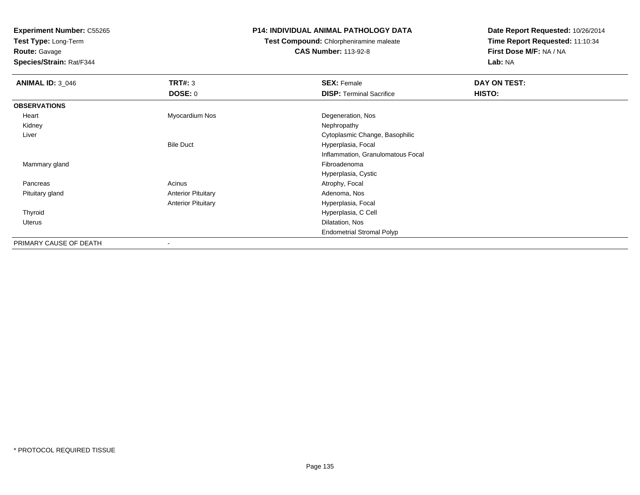**Test Type:** Long-Term**Route:** Gavage

**Species/Strain:** Rat/F344

## **P14: INDIVIDUAL ANIMAL PATHOLOGY DATA**

**Test Compound:** Chlorpheniramine maleate**CAS Number:** 113-92-8

| <b>ANIMAL ID: 3_046</b> | TRT#: 3                   | <b>SEX: Female</b>                | DAY ON TEST: |  |
|-------------------------|---------------------------|-----------------------------------|--------------|--|
|                         | <b>DOSE: 0</b>            | <b>DISP: Terminal Sacrifice</b>   | HISTO:       |  |
| <b>OBSERVATIONS</b>     |                           |                                   |              |  |
| Heart                   | Myocardium Nos            | Degeneration, Nos                 |              |  |
| Kidney                  |                           | Nephropathy                       |              |  |
| Liver                   |                           | Cytoplasmic Change, Basophilic    |              |  |
|                         | <b>Bile Duct</b>          | Hyperplasia, Focal                |              |  |
|                         |                           | Inflammation, Granulomatous Focal |              |  |
| Mammary gland           |                           | Fibroadenoma                      |              |  |
|                         |                           | Hyperplasia, Cystic               |              |  |
| Pancreas                | Acinus                    | Atrophy, Focal                    |              |  |
| Pituitary gland         | <b>Anterior Pituitary</b> | Adenoma, Nos                      |              |  |
|                         | <b>Anterior Pituitary</b> | Hyperplasia, Focal                |              |  |
| Thyroid                 |                           | Hyperplasia, C Cell               |              |  |
| Uterus                  |                           | Dilatation, Nos                   |              |  |
|                         |                           | <b>Endometrial Stromal Polyp</b>  |              |  |
| PRIMARY CAUSE OF DEATH  | ۰                         |                                   |              |  |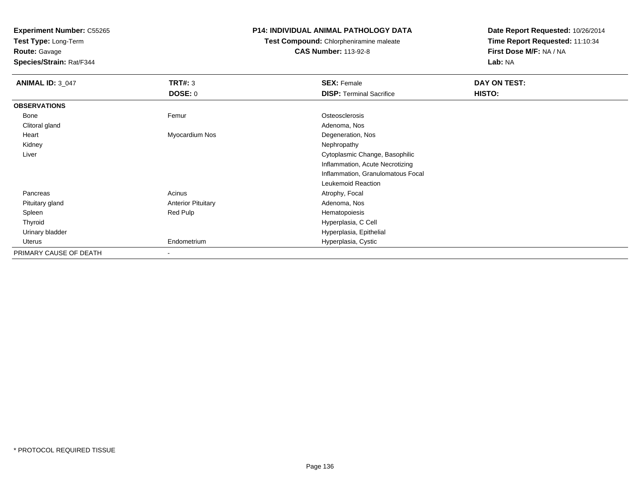**Test Type:** Long-Term

**Route:** Gavage

**Species/Strain:** Rat/F344

# **P14: INDIVIDUAL ANIMAL PATHOLOGY DATA**

**Test Compound:** Chlorpheniramine maleate**CAS Number:** 113-92-8

| <b>ANIMAL ID: 3_047</b> | TRT#: 3                   | <b>SEX: Female</b>                | DAY ON TEST: |
|-------------------------|---------------------------|-----------------------------------|--------------|
|                         | <b>DOSE: 0</b>            | <b>DISP: Terminal Sacrifice</b>   | HISTO:       |
| <b>OBSERVATIONS</b>     |                           |                                   |              |
| Bone                    | Femur                     | Osteosclerosis                    |              |
| Clitoral gland          |                           | Adenoma, Nos                      |              |
| Heart                   | Myocardium Nos            | Degeneration, Nos                 |              |
| Kidney                  |                           | Nephropathy                       |              |
| Liver                   |                           | Cytoplasmic Change, Basophilic    |              |
|                         |                           | Inflammation, Acute Necrotizing   |              |
|                         |                           | Inflammation, Granulomatous Focal |              |
|                         |                           | Leukemoid Reaction                |              |
| Pancreas                | Acinus                    | Atrophy, Focal                    |              |
| Pituitary gland         | <b>Anterior Pituitary</b> | Adenoma, Nos                      |              |
| Spleen                  | Red Pulp                  | Hematopoiesis                     |              |
| Thyroid                 |                           | Hyperplasia, C Cell               |              |
| Urinary bladder         |                           | Hyperplasia, Epithelial           |              |
| Uterus                  | Endometrium               | Hyperplasia, Cystic               |              |
| PRIMARY CAUSE OF DEATH  | ۰.                        |                                   |              |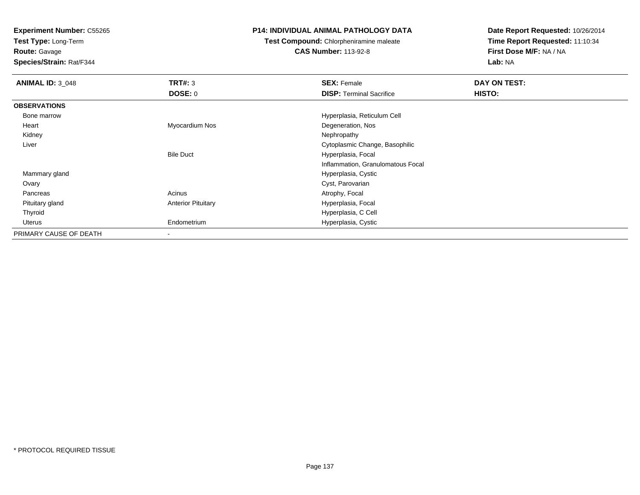**Test Type:** Long-Term

**Route:** Gavage

**Species/Strain:** Rat/F344

## **P14: INDIVIDUAL ANIMAL PATHOLOGY DATA**

**Test Compound:** Chlorpheniramine maleate

**CAS Number:** 113-92-8

| <b>ANIMAL ID: 3 048</b> | TRT#: 3                   | <b>SEX: Female</b>                | DAY ON TEST: |
|-------------------------|---------------------------|-----------------------------------|--------------|
|                         | <b>DOSE: 0</b>            | <b>DISP: Terminal Sacrifice</b>   | HISTO:       |
| <b>OBSERVATIONS</b>     |                           |                                   |              |
| Bone marrow             |                           | Hyperplasia, Reticulum Cell       |              |
| Heart                   | Myocardium Nos            | Degeneration, Nos                 |              |
| Kidney                  |                           | Nephropathy                       |              |
| Liver                   |                           | Cytoplasmic Change, Basophilic    |              |
|                         | <b>Bile Duct</b>          | Hyperplasia, Focal                |              |
|                         |                           | Inflammation, Granulomatous Focal |              |
| Mammary gland           |                           | Hyperplasia, Cystic               |              |
| Ovary                   |                           | Cyst, Parovarian                  |              |
| Pancreas                | Acinus                    | Atrophy, Focal                    |              |
| Pituitary gland         | <b>Anterior Pituitary</b> | Hyperplasia, Focal                |              |
| Thyroid                 |                           | Hyperplasia, C Cell               |              |
| Uterus                  | Endometrium               | Hyperplasia, Cystic               |              |
| PRIMARY CAUSE OF DEATH  |                           |                                   |              |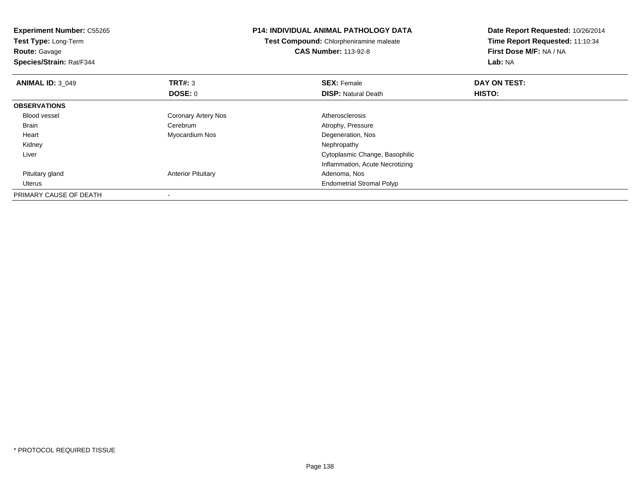| <b>Experiment Number: C55265</b><br>Test Type: Long-Term |                           | <b>P14: INDIVIDUAL ANIMAL PATHOLOGY DATA</b> | Date Report Requested: 10/26/2014 |
|----------------------------------------------------------|---------------------------|----------------------------------------------|-----------------------------------|
|                                                          |                           | Test Compound: Chlorpheniramine maleate      | Time Report Requested: 11:10:34   |
| <b>Route: Gavage</b>                                     |                           | <b>CAS Number: 113-92-8</b>                  | First Dose M/F: NA / NA           |
| Species/Strain: Rat/F344                                 |                           |                                              | Lab: NA                           |
| <b>ANIMAL ID: 3 049</b>                                  | <b>TRT#: 3</b>            | <b>SEX: Female</b>                           | DAY ON TEST:                      |
|                                                          | DOSE: 0                   | <b>DISP: Natural Death</b>                   | HISTO:                            |
| <b>OBSERVATIONS</b>                                      |                           |                                              |                                   |
| <b>Blood vessel</b>                                      | Coronary Artery Nos       | Atherosclerosis                              |                                   |
| Brain                                                    | Cerebrum                  | Atrophy, Pressure                            |                                   |
| Heart                                                    | Myocardium Nos            | Degeneration, Nos                            |                                   |
| Kidney                                                   |                           | Nephropathy                                  |                                   |
| Liver                                                    |                           | Cytoplasmic Change, Basophilic               |                                   |
|                                                          |                           | Inflammation, Acute Necrotizing              |                                   |
| Pituitary gland                                          | <b>Anterior Pituitary</b> | Adenoma, Nos                                 |                                   |
| Uterus                                                   |                           | <b>Endometrial Stromal Polyp</b>             |                                   |
| PRIMARY CAUSE OF DEATH                                   |                           |                                              |                                   |